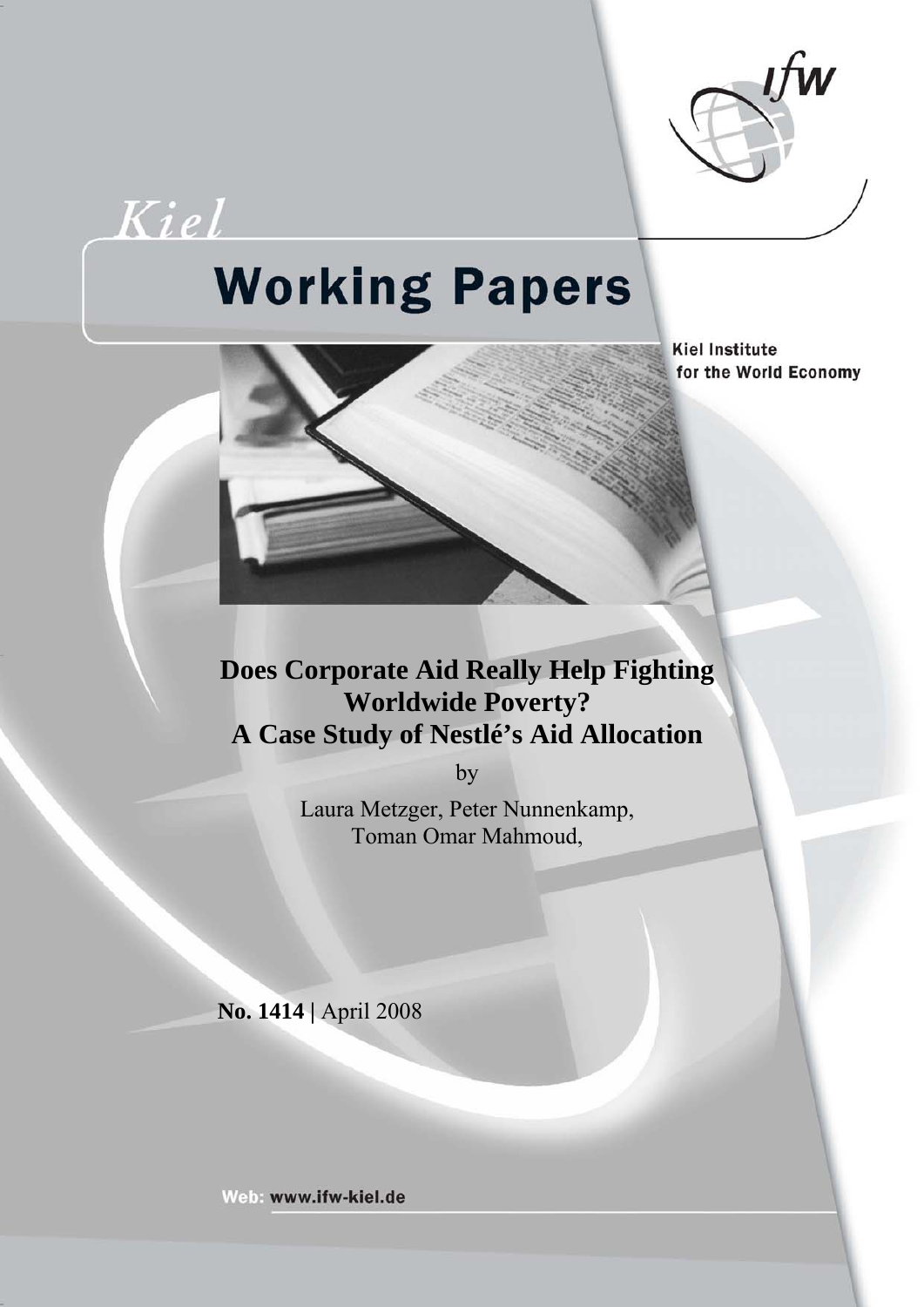

Kiel

# **Working Papers**

**Kiel Institute** for the World Economy

# **Does Corporate Aid Really Help Fighting Worldwide Poverty? A Case Study of Nestlé's Aid Allocation**

by

Laura Metzger, Peter Nunnenkamp, Toman Omar Mahmoud,

**No. 1414 |** April 2008

Web: www.ifw-kiel.de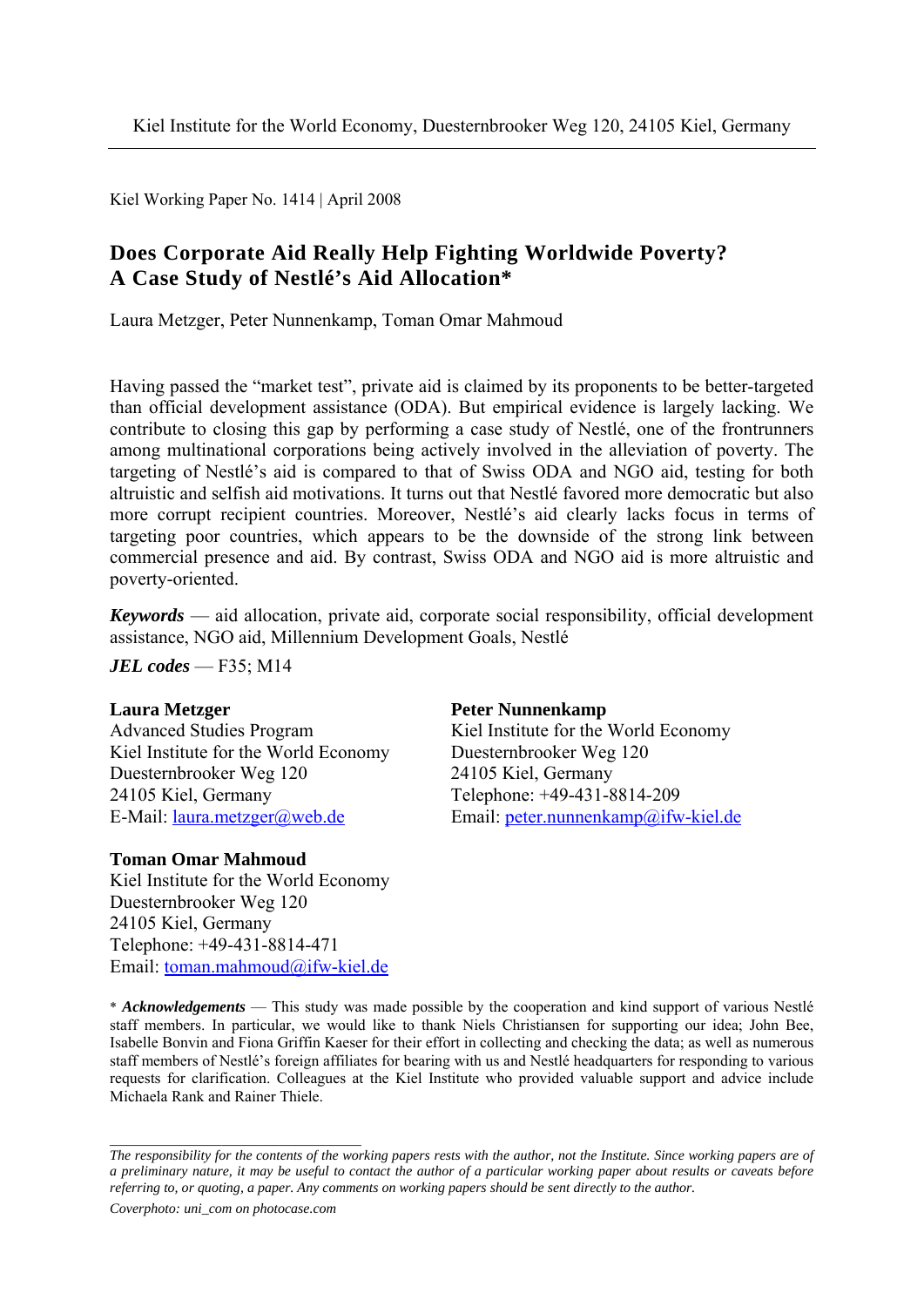Kiel Working Paper No. 1414 | April 2008

### **Does Corporate Aid Really Help Fighting Worldwide Poverty? A Case Study of Nestlé's Aid Allocation\***

Laura Metzger, Peter Nunnenkamp, Toman Omar Mahmoud

Having passed the "market test", private aid is claimed by its proponents to be better-targeted than official development assistance (ODA). But empirical evidence is largely lacking. We contribute to closing this gap by performing a case study of Nestlé, one of the frontrunners among multinational corporations being actively involved in the alleviation of poverty. The targeting of Nestlé's aid is compared to that of Swiss ODA and NGO aid, testing for both altruistic and selfish aid motivations. It turns out that Nestlé favored more democratic but also more corrupt recipient countries. Moreover, Nestlé's aid clearly lacks focus in terms of targeting poor countries, which appears to be the downside of the strong link between commercial presence and aid. By contrast, Swiss ODA and NGO aid is more altruistic and poverty-oriented.

*Keywords* — aid allocation, private aid, corporate social responsibility, official development assistance, NGO aid, Millennium Development Goals, Nestlé

*JEL codes* — F35; M14

Kiel Institute for the World Economy Duesternbrooker Weg 120 Duesternbrooker Weg 120 24105 Kiel, Germany 24105 Kiel, Germany Telephone: +49-431-8814-209

#### **Toman Omar Mahmoud**

Kiel Institute for the World Economy Duesternbrooker Weg 120 24105 Kiel, Germany Telephone: +49-431-8814-471 Email: toman.mahmoud@ifw-kiel.de

#### **Laura Metzger Peter Nunnenkamp**

Advanced Studies Program Kiel Institute for the World Economy E-Mail: laura.metzger@web.de Email: peter.nunnenkamp@ifw-kiel.de

\* *Acknowledgements* — This study was made possible by the cooperation and kind support of various Nestlé staff members. In particular, we would like to thank Niels Christiansen for supporting our idea; John Bee, Isabelle Bonvin and Fiona Griffin Kaeser for their effort in collecting and checking the data; as well as numerous staff members of Nestlé's foreign affiliates for bearing with us and Nestlé headquarters for responding to various requests for clarification. Colleagues at the Kiel Institute who provided valuable support and advice include Michaela Rank and Rainer Thiele.

*Coverphoto: uni\_com on photocase.com* 

*\_\_\_\_\_\_\_\_\_\_\_\_\_\_\_\_\_\_\_\_\_\_\_\_\_\_\_\_\_\_\_\_\_\_\_\_* 

*The responsibility for the contents of the working papers rests with the author, not the Institute. Since working papers are of a preliminary nature, it may be useful to contact the author of a particular working paper about results or caveats before referring to, or quoting, a paper. Any comments on working papers should be sent directly to the author.*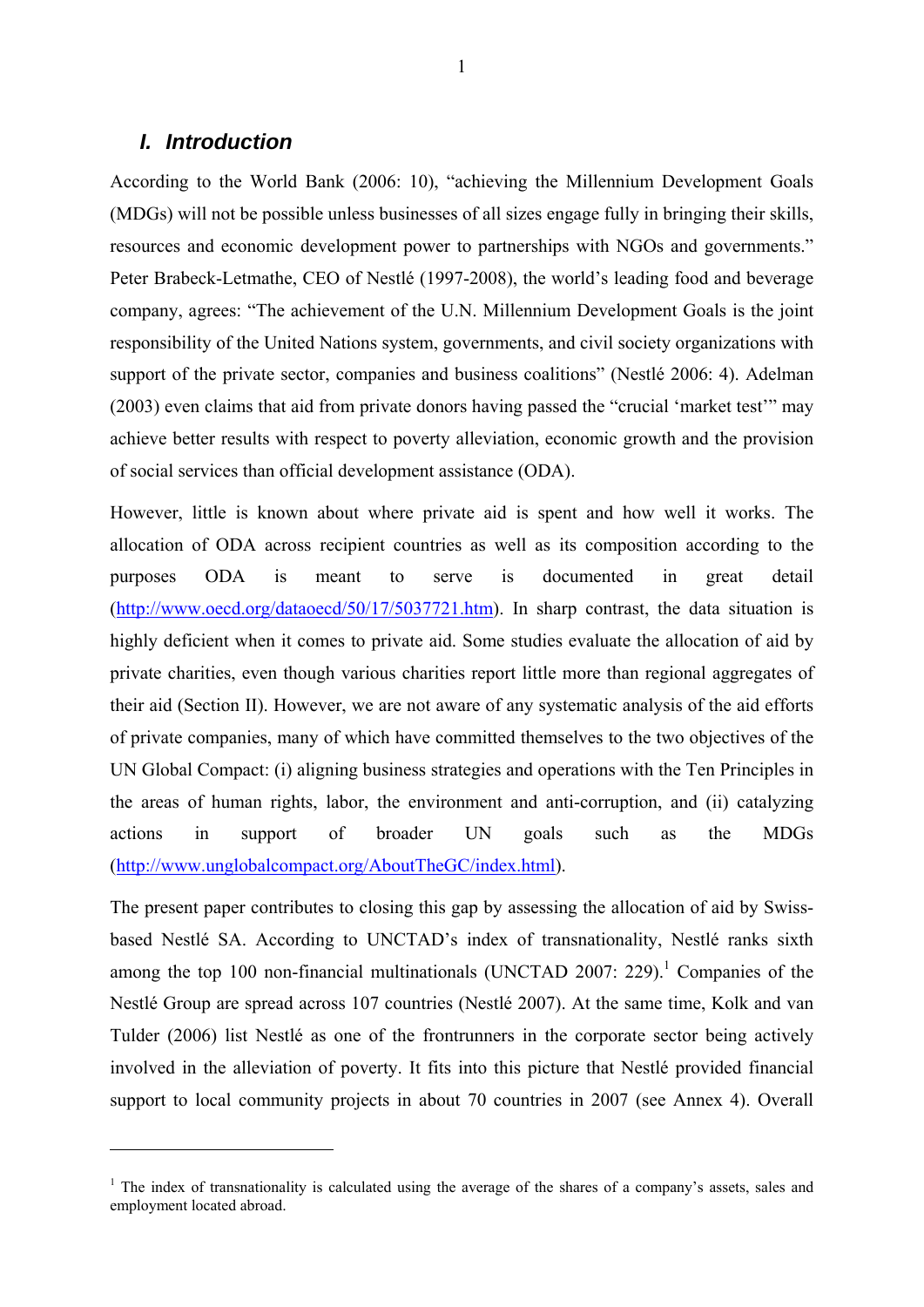#### *I. Introduction*

1

According to the World Bank (2006: 10), "achieving the Millennium Development Goals (MDGs) will not be possible unless businesses of all sizes engage fully in bringing their skills, resources and economic development power to partnerships with NGOs and governments." Peter Brabeck-Letmathe, CEO of Nestlé (1997-2008), the world's leading food and beverage company, agrees: "The achievement of the U.N. Millennium Development Goals is the joint responsibility of the United Nations system, governments, and civil society organizations with support of the private sector, companies and business coalitions" (Nestlé 2006: 4). Adelman (2003) even claims that aid from private donors having passed the "crucial 'market test'" may achieve better results with respect to poverty alleviation, economic growth and the provision of social services than official development assistance (ODA).

However, little is known about where private aid is spent and how well it works. The allocation of ODA across recipient countries as well as its composition according to the purposes ODA is meant to serve is documented in great detail (http://www.oecd.org/dataoecd/50/17/5037721.htm). In sharp contrast, the data situation is highly deficient when it comes to private aid. Some studies evaluate the allocation of aid by private charities, even though various charities report little more than regional aggregates of their aid (Section II). However, we are not aware of any systematic analysis of the aid efforts of private companies, many of which have committed themselves to the two objectives of the UN Global Compact: (i) aligning business strategies and operations with the Ten Principles in the areas of human rights, labor, the environment and anti-corruption, and (ii) catalyzing actions in support of broader UN goals such as the MDGs (http://www.unglobalcompact.org/AboutTheGC/index.html).

The present paper contributes to closing this gap by assessing the allocation of aid by Swissbased Nestlé SA. According to UNCTAD's index of transnationality, Nestlé ranks sixth among the top 100 non-financial multinationals (UNCTAD 2007: 229).<sup>1</sup> Companies of the Nestlé Group are spread across 107 countries (Nestlé 2007). At the same time, Kolk and van Tulder (2006) list Nestlé as one of the frontrunners in the corporate sector being actively involved in the alleviation of poverty. It fits into this picture that Nestlé provided financial support to local community projects in about 70 countries in 2007 (see Annex 4). Overall

<sup>&</sup>lt;sup>1</sup> The index of transnationality is calculated using the average of the shares of a company's assets, sales and employment located abroad.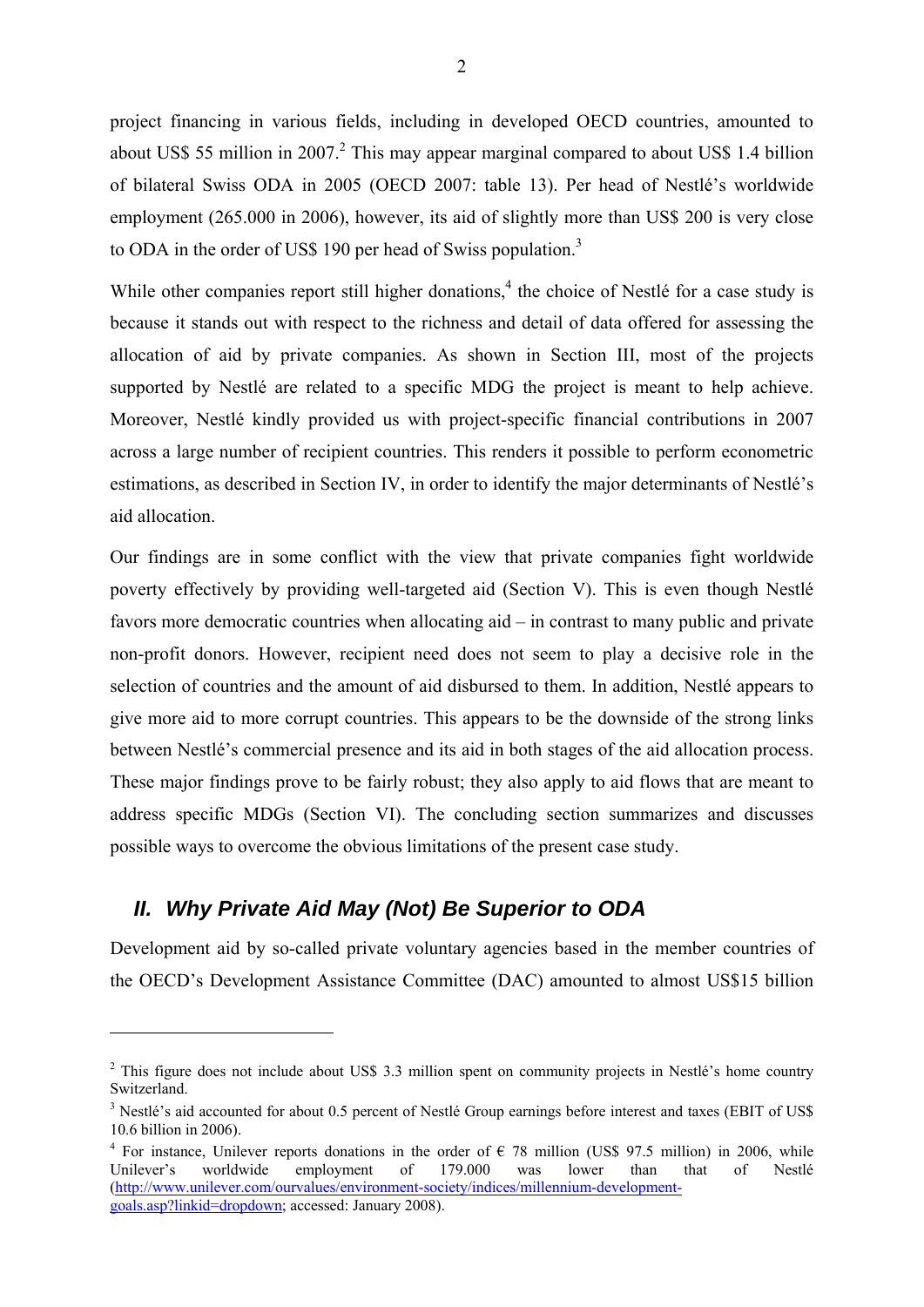project financing in various fields, including in developed OECD countries, amounted to about US\$ 55 million in 2007.<sup>2</sup> This may appear marginal compared to about US\$ 1.4 billion of bilateral Swiss ODA in 2005 (OECD 2007: table 13). Per head of Nestlé's worldwide employment (265.000 in 2006), however, its aid of slightly more than US\$ 200 is very close to ODA in the order of US\$ 190 per head of Swiss population. $3$ 

While other companies report still higher donations, $4$  the choice of Nestlé for a case study is because it stands out with respect to the richness and detail of data offered for assessing the allocation of aid by private companies. As shown in Section III, most of the projects supported by Nestlé are related to a specific MDG the project is meant to help achieve. Moreover, Nestlé kindly provided us with project-specific financial contributions in 2007 across a large number of recipient countries. This renders it possible to perform econometric estimations, as described in Section IV, in order to identify the major determinants of Nestlé's aid allocation.

Our findings are in some conflict with the view that private companies fight worldwide poverty effectively by providing well-targeted aid (Section V). This is even though Nestlé favors more democratic countries when allocating aid – in contrast to many public and private non-profit donors. However, recipient need does not seem to play a decisive role in the selection of countries and the amount of aid disbursed to them. In addition, Nestlé appears to give more aid to more corrupt countries. This appears to be the downside of the strong links between Nestlé's commercial presence and its aid in both stages of the aid allocation process. These major findings prove to be fairly robust; they also apply to aid flows that are meant to address specific MDGs (Section VI). The concluding section summarizes and discusses possible ways to overcome the obvious limitations of the present case study.

# *II. Why Private Aid May (Not) Be Superior to ODA*

1

Development aid by so-called private voluntary agencies based in the member countries of the OECD's Development Assistance Committee (DAC) amounted to almost US\$15 billion

 $2$  This figure does not include about US\$ 3.3 million spent on community projects in Nestlé's home country Switzerland.

<sup>&</sup>lt;sup>3</sup> Nestlé's aid accounted for about 0.5 percent of Nestlé Group earnings before interest and taxes (EBIT of US\$ 10.6 billion in 2006).

<sup>&</sup>lt;sup>4</sup> For instance, Unilever reports donations in the order of  $\epsilon$  78 million (US\$ 97.5 million) in 2006, while Unilever's worldwide employment of 179.000 was lower than that of Nestlé (http://www.unilever.com/ourvalues/environment-society/indices/millennium-developmentgoals.asp?linkid=dropdown; accessed: January 2008).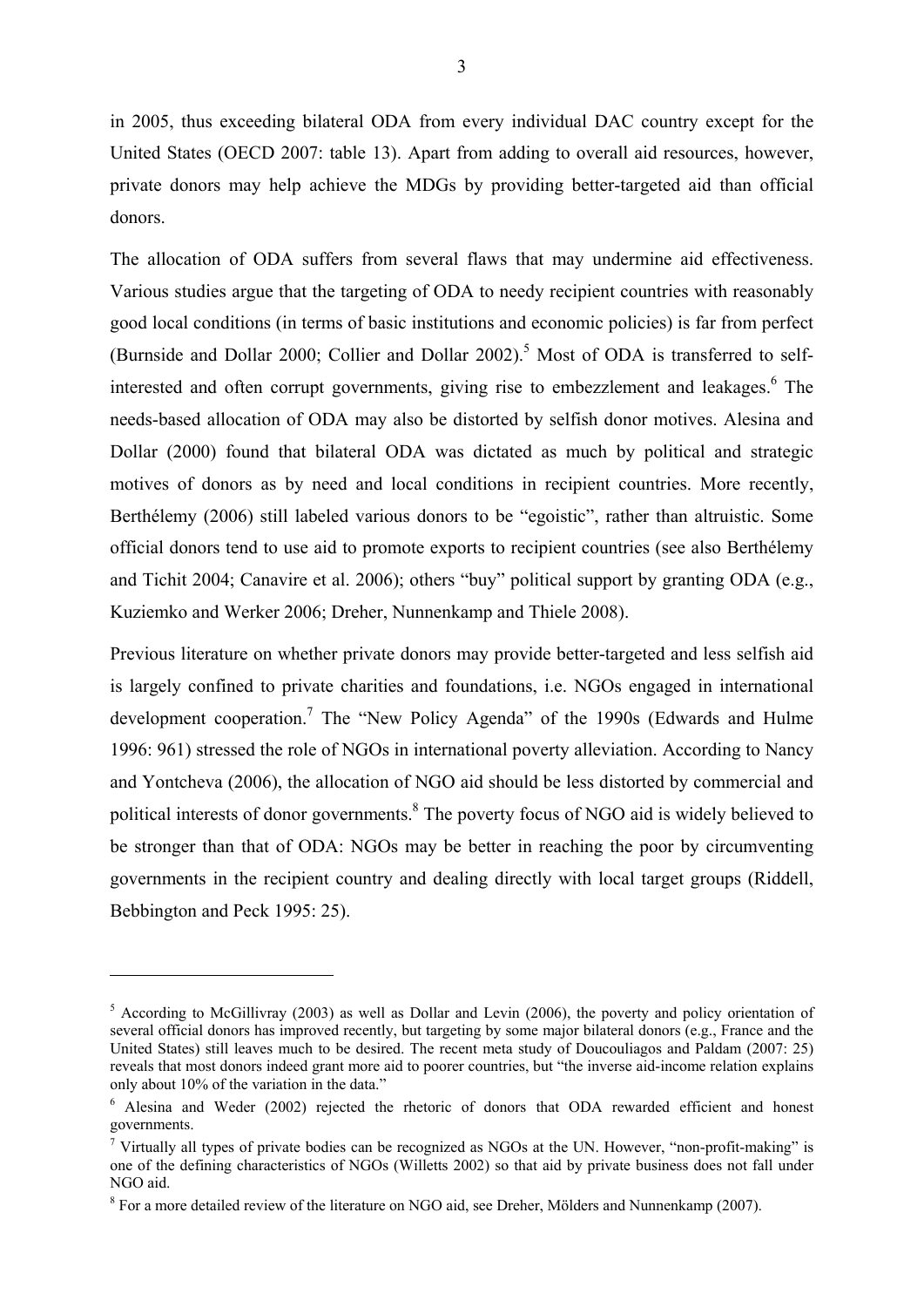in 2005, thus exceeding bilateral ODA from every individual DAC country except for the United States (OECD 2007: table 13). Apart from adding to overall aid resources, however, private donors may help achieve the MDGs by providing better-targeted aid than official donors.

The allocation of ODA suffers from several flaws that may undermine aid effectiveness. Various studies argue that the targeting of ODA to needy recipient countries with reasonably good local conditions (in terms of basic institutions and economic policies) is far from perfect (Burnside and Dollar 2000; Collier and Dollar 2002).<sup>5</sup> Most of ODA is transferred to selfinterested and often corrupt governments, giving rise to embezzlement and leakages.<sup>6</sup> The needs-based allocation of ODA may also be distorted by selfish donor motives. Alesina and Dollar (2000) found that bilateral ODA was dictated as much by political and strategic motives of donors as by need and local conditions in recipient countries. More recently, Berthélemy (2006) still labeled various donors to be "egoistic", rather than altruistic. Some official donors tend to use aid to promote exports to recipient countries (see also Berthélemy and Tichit 2004; Canavire et al. 2006); others "buy" political support by granting ODA (e.g., Kuziemko and Werker 2006; Dreher, Nunnenkamp and Thiele 2008).

Previous literature on whether private donors may provide better-targeted and less selfish aid is largely confined to private charities and foundations, i.e. NGOs engaged in international development cooperation.<sup>7</sup> The "New Policy Agenda" of the 1990s (Edwards and Hulme 1996: 961) stressed the role of NGOs in international poverty alleviation. According to Nancy and Yontcheva (2006), the allocation of NGO aid should be less distorted by commercial and political interests of donor governments.<sup>8</sup> The poverty focus of NGO aid is widely believed to be stronger than that of ODA: NGOs may be better in reaching the poor by circumventing governments in the recipient country and dealing directly with local target groups (Riddell, Bebbington and Peck 1995: 25).

<sup>&</sup>lt;sup>5</sup> According to McGillivray (2003) as well as Dollar and Levin (2006), the poverty and policy orientation of several official donors has improved recently, but targeting by some major bilateral donors (e.g., France and the United States) still leaves much to be desired. The recent meta study of Doucouliagos and Paldam (2007: 25) reveals that most donors indeed grant more aid to poorer countries, but "the inverse aid-income relation explains only about 10% of the variation in the data."

<sup>&</sup>lt;sup>6</sup> Alesina and Weder (2002) rejected the rhetoric of donors that ODA rewarded efficient and honest governments.

<sup>&</sup>lt;sup>7</sup> Virtually all types of private bodies can be recognized as NGOs at the UN. However, "non-profit-making" is one of the defining characteristics of NGOs (Willetts 2002) so that aid by private business does not fall under NGO aid.

<sup>&</sup>lt;sup>8</sup> For a more detailed review of the literature on NGO aid, see Dreher, Mölders and Nunnenkamp (2007).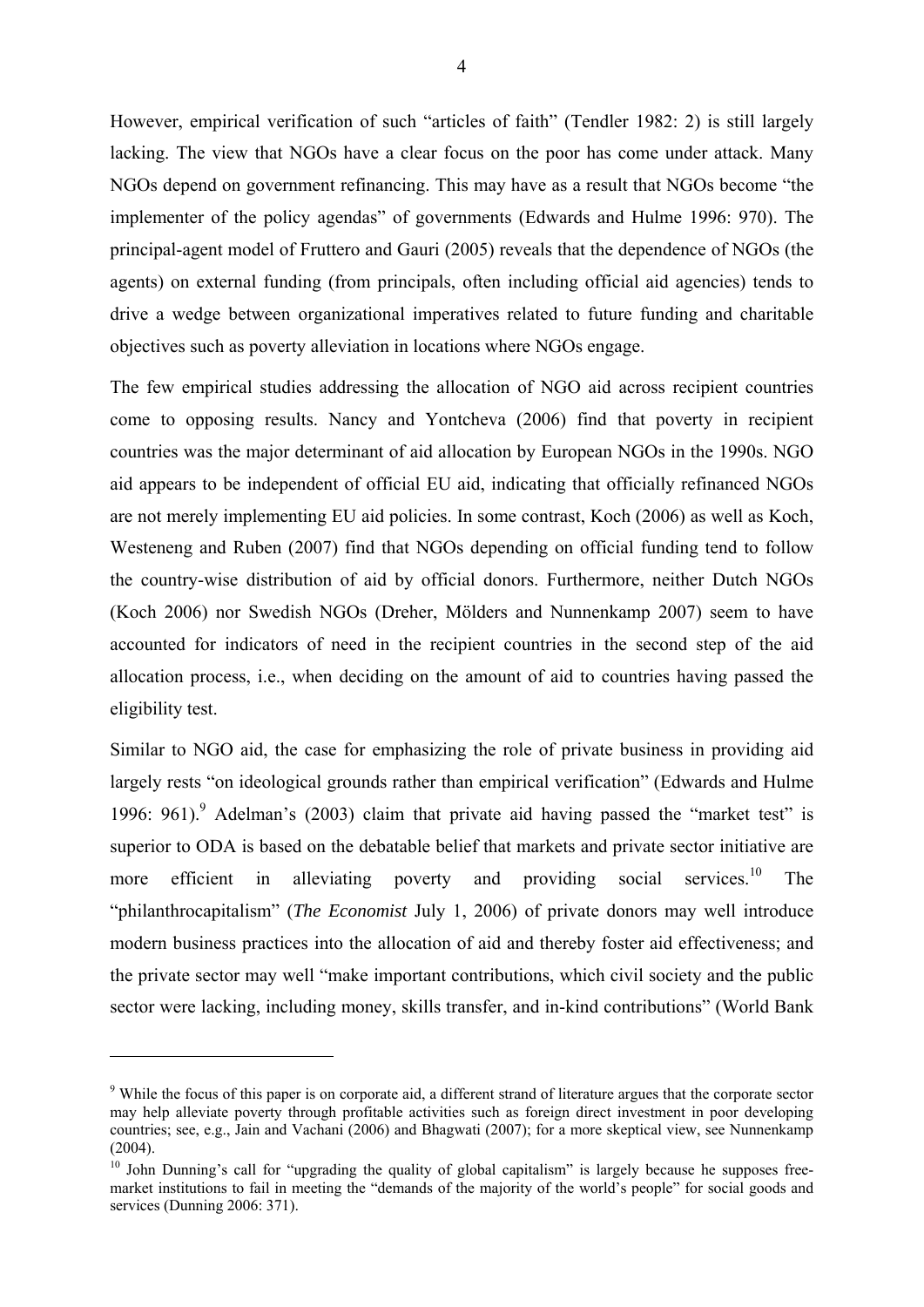However, empirical verification of such "articles of faith" (Tendler 1982: 2) is still largely lacking. The view that NGOs have a clear focus on the poor has come under attack. Many NGOs depend on government refinancing. This may have as a result that NGOs become "the implementer of the policy agendas" of governments (Edwards and Hulme 1996: 970). The principal-agent model of Fruttero and Gauri (2005) reveals that the dependence of NGOs (the agents) on external funding (from principals, often including official aid agencies) tends to drive a wedge between organizational imperatives related to future funding and charitable objectives such as poverty alleviation in locations where NGOs engage.

The few empirical studies addressing the allocation of NGO aid across recipient countries come to opposing results. Nancy and Yontcheva (2006) find that poverty in recipient countries was the major determinant of aid allocation by European NGOs in the 1990s. NGO aid appears to be independent of official EU aid, indicating that officially refinanced NGOs are not merely implementing EU aid policies. In some contrast, Koch (2006) as well as Koch, Westeneng and Ruben (2007) find that NGOs depending on official funding tend to follow the country-wise distribution of aid by official donors. Furthermore, neither Dutch NGOs (Koch 2006) nor Swedish NGOs (Dreher, Mölders and Nunnenkamp 2007) seem to have accounted for indicators of need in the recipient countries in the second step of the aid allocation process, i.e., when deciding on the amount of aid to countries having passed the eligibility test.

Similar to NGO aid, the case for emphasizing the role of private business in providing aid largely rests "on ideological grounds rather than empirical verification" (Edwards and Hulme 1996: 961). Adelman's (2003) claim that private aid having passed the "market test" is superior to ODA is based on the debatable belief that markets and private sector initiative are more efficient in alleviating poverty and providing social services.<sup>10</sup> The "philanthrocapitalism" (*The Economist* July 1, 2006) of private donors may well introduce modern business practices into the allocation of aid and thereby foster aid effectiveness; and the private sector may well "make important contributions, which civil society and the public sector were lacking, including money, skills transfer, and in-kind contributions" (World Bank

<u>.</u>

<sup>&</sup>lt;sup>9</sup> While the focus of this paper is on corporate aid, a different strand of literature argues that the corporate sector may help alleviate poverty through profitable activities such as foreign direct investment in poor developing countries; see, e.g., Jain and Vachani (2006) and Bhagwati (2007); for a more skeptical view, see Nunnenkamp (2004).

<sup>&</sup>lt;sup>10</sup> John Dunning's call for "upgrading the quality of global capitalism" is largely because he supposes freemarket institutions to fail in meeting the "demands of the majority of the world's people" for social goods and services (Dunning 2006: 371).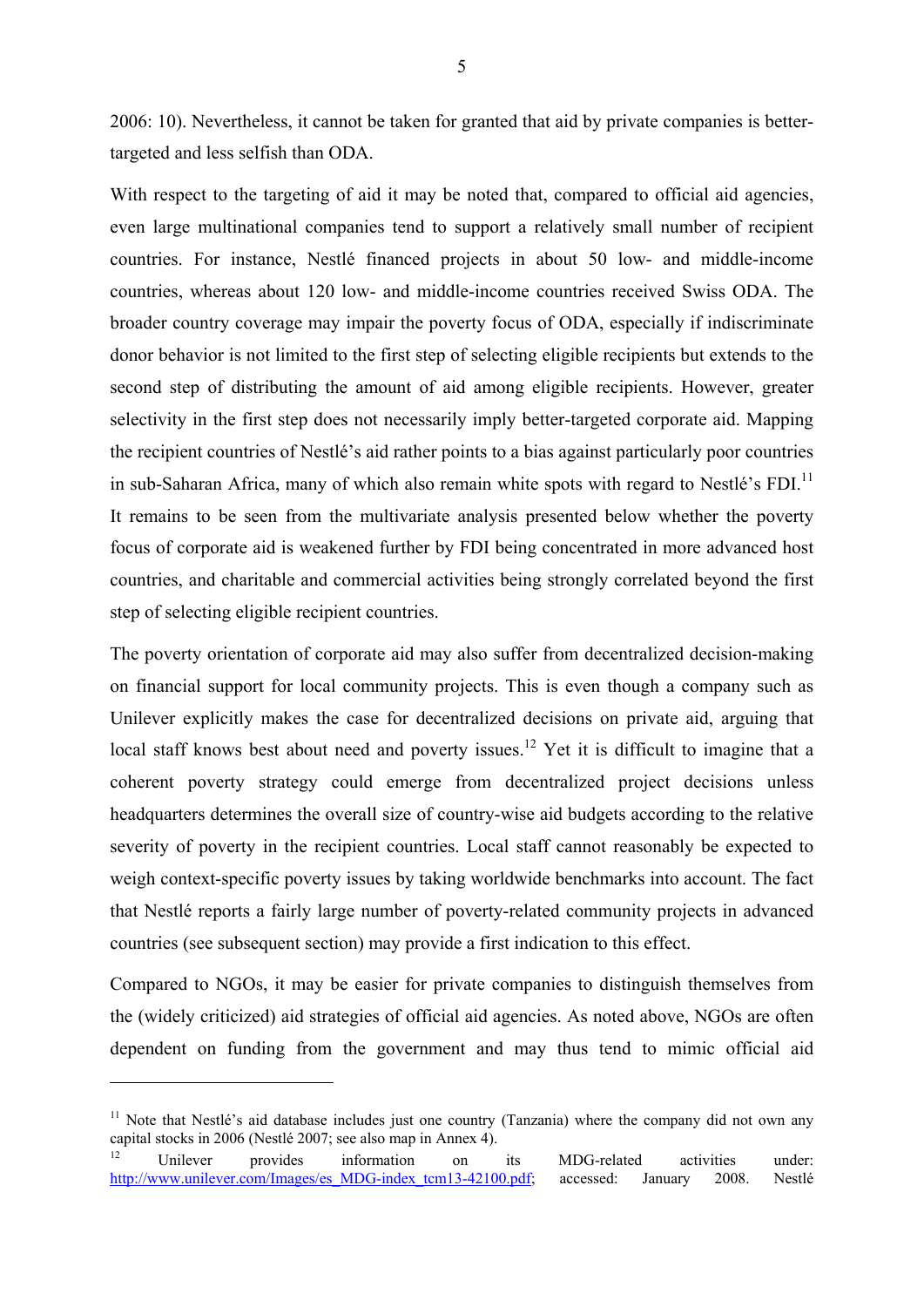2006: 10). Nevertheless, it cannot be taken for granted that aid by private companies is bettertargeted and less selfish than ODA.

With respect to the targeting of aid it may be noted that, compared to official aid agencies, even large multinational companies tend to support a relatively small number of recipient countries. For instance, Nestlé financed projects in about 50 low- and middle-income countries, whereas about 120 low- and middle-income countries received Swiss ODA. The broader country coverage may impair the poverty focus of ODA, especially if indiscriminate donor behavior is not limited to the first step of selecting eligible recipients but extends to the second step of distributing the amount of aid among eligible recipients. However, greater selectivity in the first step does not necessarily imply better-targeted corporate aid. Mapping the recipient countries of Nestlé's aid rather points to a bias against particularly poor countries in sub-Saharan Africa, many of which also remain white spots with regard to Nestlé's  $FDI$ <sup>11</sup> It remains to be seen from the multivariate analysis presented below whether the poverty focus of corporate aid is weakened further by FDI being concentrated in more advanced host countries, and charitable and commercial activities being strongly correlated beyond the first step of selecting eligible recipient countries.

The poverty orientation of corporate aid may also suffer from decentralized decision-making on financial support for local community projects. This is even though a company such as Unilever explicitly makes the case for decentralized decisions on private aid, arguing that local staff knows best about need and poverty issues.<sup>12</sup> Yet it is difficult to imagine that a coherent poverty strategy could emerge from decentralized project decisions unless headquarters determines the overall size of country-wise aid budgets according to the relative severity of poverty in the recipient countries. Local staff cannot reasonably be expected to weigh context-specific poverty issues by taking worldwide benchmarks into account. The fact that Nestlé reports a fairly large number of poverty-related community projects in advanced countries (see subsequent section) may provide a first indication to this effect.

Compared to NGOs, it may be easier for private companies to distinguish themselves from the (widely criticized) aid strategies of official aid agencies. As noted above, NGOs are often dependent on funding from the government and may thus tend to mimic official aid

 $11$  Note that Nestlé's aid database includes just one country (Tanzania) where the company did not own any capital stocks in 2006 (Nestlé 2007; see also map in Annex 4).

<sup>&</sup>lt;sup>12</sup> Unilever provides information on its MDG-related activities under: http://www.unilever.com/Images/es\_MDG-index\_tcm13-42100.pdf; accessed: January 2008. Nestlé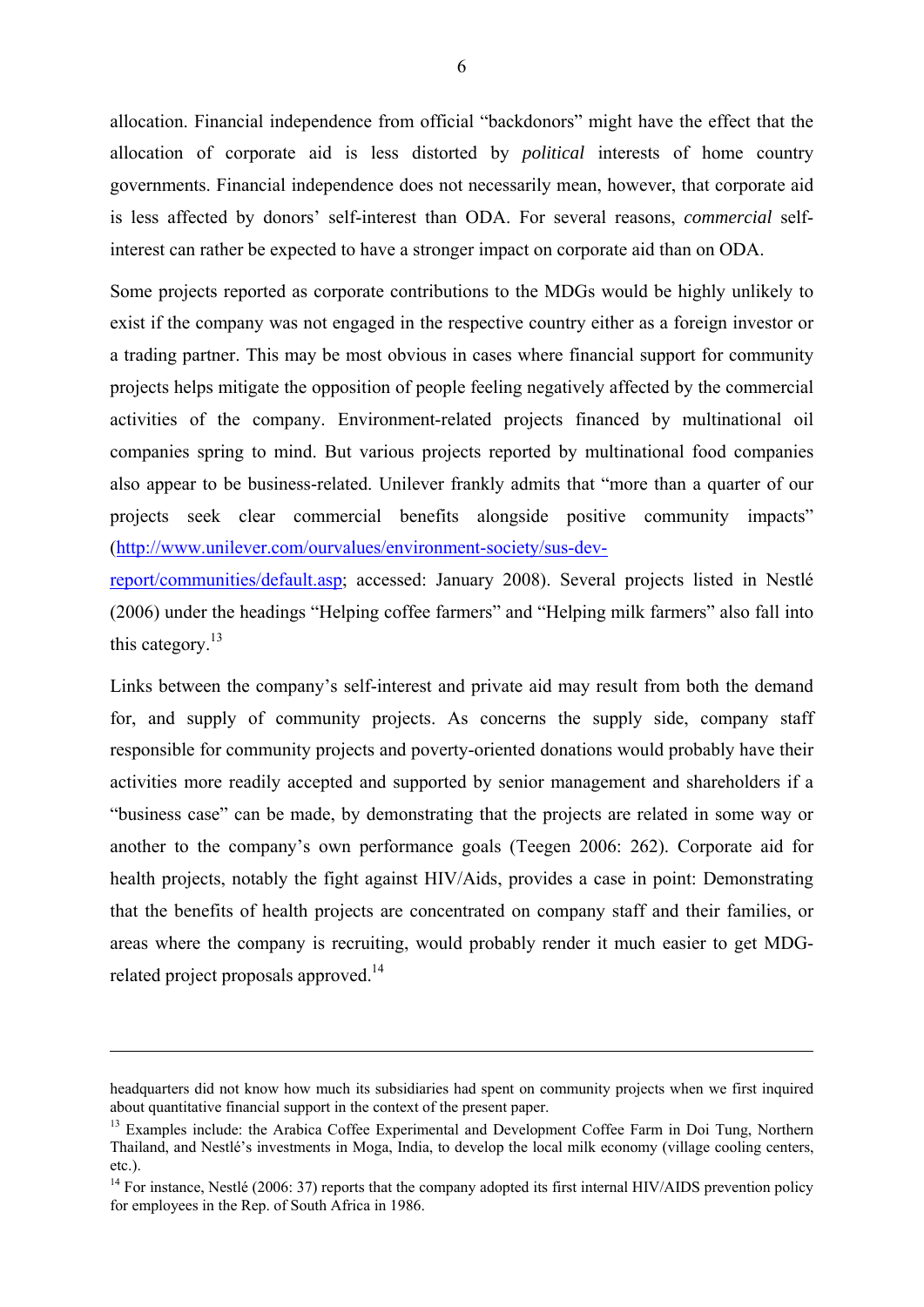allocation. Financial independence from official "backdonors" might have the effect that the allocation of corporate aid is less distorted by *political* interests of home country governments. Financial independence does not necessarily mean, however, that corporate aid is less affected by donors' self-interest than ODA. For several reasons, *commercial* selfinterest can rather be expected to have a stronger impact on corporate aid than on ODA.

Some projects reported as corporate contributions to the MDGs would be highly unlikely to exist if the company was not engaged in the respective country either as a foreign investor or a trading partner. This may be most obvious in cases where financial support for community projects helps mitigate the opposition of people feeling negatively affected by the commercial activities of the company. Environment-related projects financed by multinational oil companies spring to mind. But various projects reported by multinational food companies also appear to be business-related. Unilever frankly admits that "more than a quarter of our projects seek clear commercial benefits alongside positive community impacts" (http://www.unilever.com/ourvalues/environment-society/sus-dev-

report/communities/default.asp; accessed: January 2008). Several projects listed in Nestlé (2006) under the headings "Helping coffee farmers" and "Helping milk farmers" also fall into this category.<sup>13</sup>

Links between the company's self-interest and private aid may result from both the demand for, and supply of community projects. As concerns the supply side, company staff responsible for community projects and poverty-oriented donations would probably have their activities more readily accepted and supported by senior management and shareholders if a "business case" can be made, by demonstrating that the projects are related in some way or another to the company's own performance goals (Teegen 2006: 262). Corporate aid for health projects, notably the fight against HIV/Aids, provides a case in point: Demonstrating that the benefits of health projects are concentrated on company staff and their families, or areas where the company is recruiting, would probably render it much easier to get MDGrelated project proposals approved.<sup>14</sup>

<u>.</u>

headquarters did not know how much its subsidiaries had spent on community projects when we first inquired about quantitative financial support in the context of the present paper.

<sup>&</sup>lt;sup>13</sup> Examples include: the Arabica Coffee Experimental and Development Coffee Farm in Doi Tung, Northern Thailand, and Nestlé's investments in Moga, India, to develop the local milk economy (village cooling centers, etc.).

 $14$  For instance, Nestlé (2006: 37) reports that the company adopted its first internal HIV/AIDS prevention policy for employees in the Rep. of South Africa in 1986.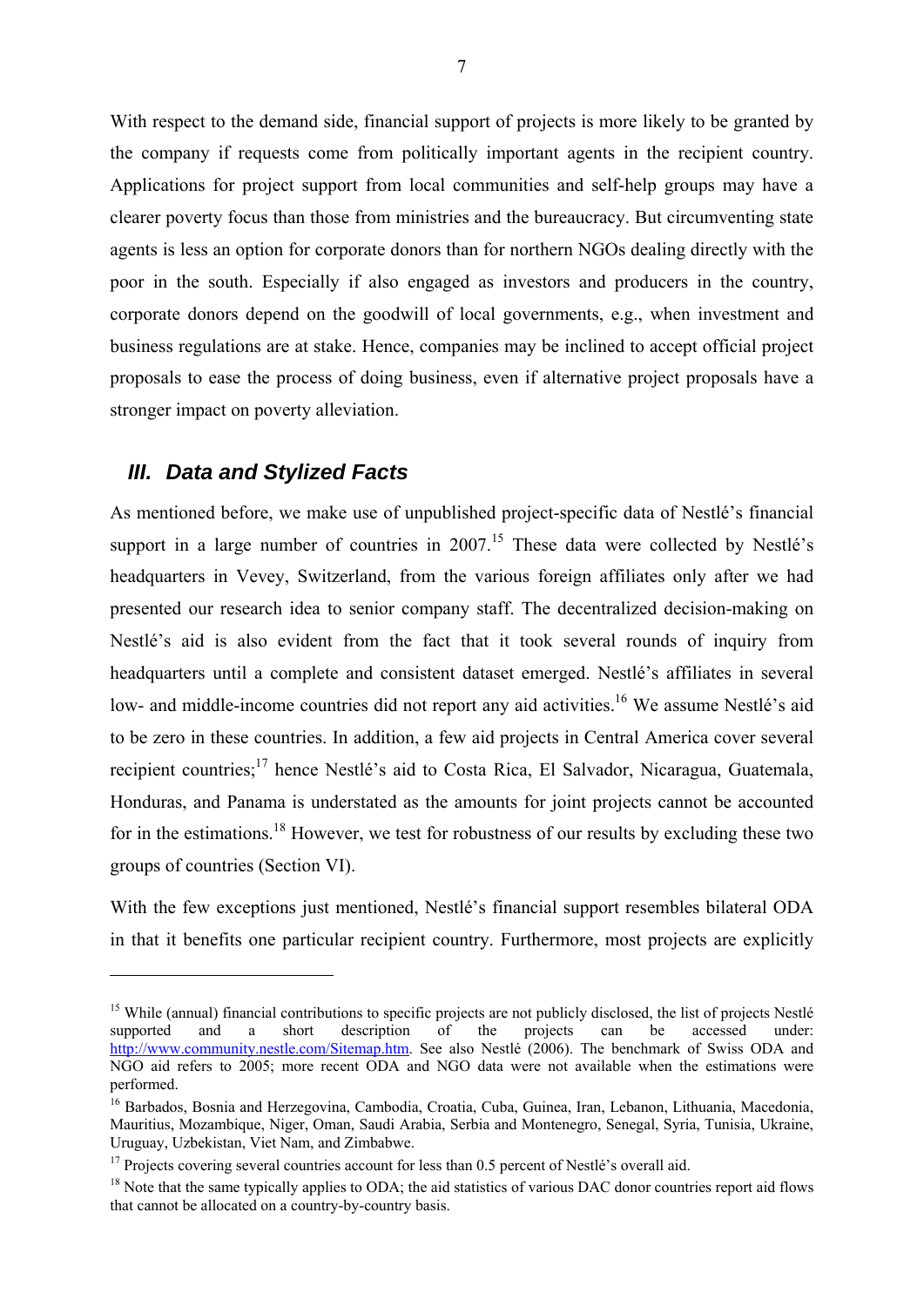With respect to the demand side, financial support of projects is more likely to be granted by the company if requests come from politically important agents in the recipient country. Applications for project support from local communities and self-help groups may have a clearer poverty focus than those from ministries and the bureaucracy. But circumventing state agents is less an option for corporate donors than for northern NGOs dealing directly with the poor in the south. Especially if also engaged as investors and producers in the country, corporate donors depend on the goodwill of local governments, e.g., when investment and business regulations are at stake. Hence, companies may be inclined to accept official project proposals to ease the process of doing business, even if alternative project proposals have a stronger impact on poverty alleviation.

#### *III. Data and Stylized Facts*

1

As mentioned before, we make use of unpublished project-specific data of Nestlé's financial support in a large number of countries in  $2007$ .<sup>15</sup> These data were collected by Nestlé's headquarters in Vevey, Switzerland, from the various foreign affiliates only after we had presented our research idea to senior company staff. The decentralized decision-making on Nestlé's aid is also evident from the fact that it took several rounds of inquiry from headquarters until a complete and consistent dataset emerged. Nestlé's affiliates in several low- and middle-income countries did not report any aid activities.<sup>16</sup> We assume Nestlé's aid to be zero in these countries. In addition, a few aid projects in Central America cover several recipient countries;<sup>17</sup> hence Nestlé's aid to Costa Rica, El Salvador, Nicaragua, Guatemala, Honduras, and Panama is understated as the amounts for joint projects cannot be accounted for in the estimations.<sup>18</sup> However, we test for robustness of our results by excluding these two groups of countries (Section VI).

With the few exceptions just mentioned, Nestlé's financial support resembles bilateral ODA in that it benefits one particular recipient country. Furthermore, most projects are explicitly

<sup>&</sup>lt;sup>15</sup> While (annual) financial contributions to specific projects are not publicly disclosed, the list of projects Nestlé supported and a short description of the projects can be accessed under: supported and a short description of the projects can be accessed under: http://www.community.nestle.com/Sitemap.htm. See also Nestlé (2006). The benchmark of Swiss ODA and NGO aid refers to 2005; more recent ODA and NGO data were not available when the estimations were performed.

<sup>16</sup> Barbados, Bosnia and Herzegovina, Cambodia, Croatia, Cuba, Guinea, Iran, Lebanon, Lithuania, Macedonia, Mauritius, Mozambique, Niger, Oman, Saudi Arabia, Serbia and Montenegro, Senegal, Syria, Tunisia, Ukraine, Uruguay, Uzbekistan, Viet Nam, and Zimbabwe.

<sup>&</sup>lt;sup>17</sup> Projects covering several countries account for less than 0.5 percent of Nestlé's overall aid.

<sup>&</sup>lt;sup>18</sup> Note that the same typically applies to ODA; the aid statistics of various DAC donor countries report aid flows that cannot be allocated on a country-by-country basis.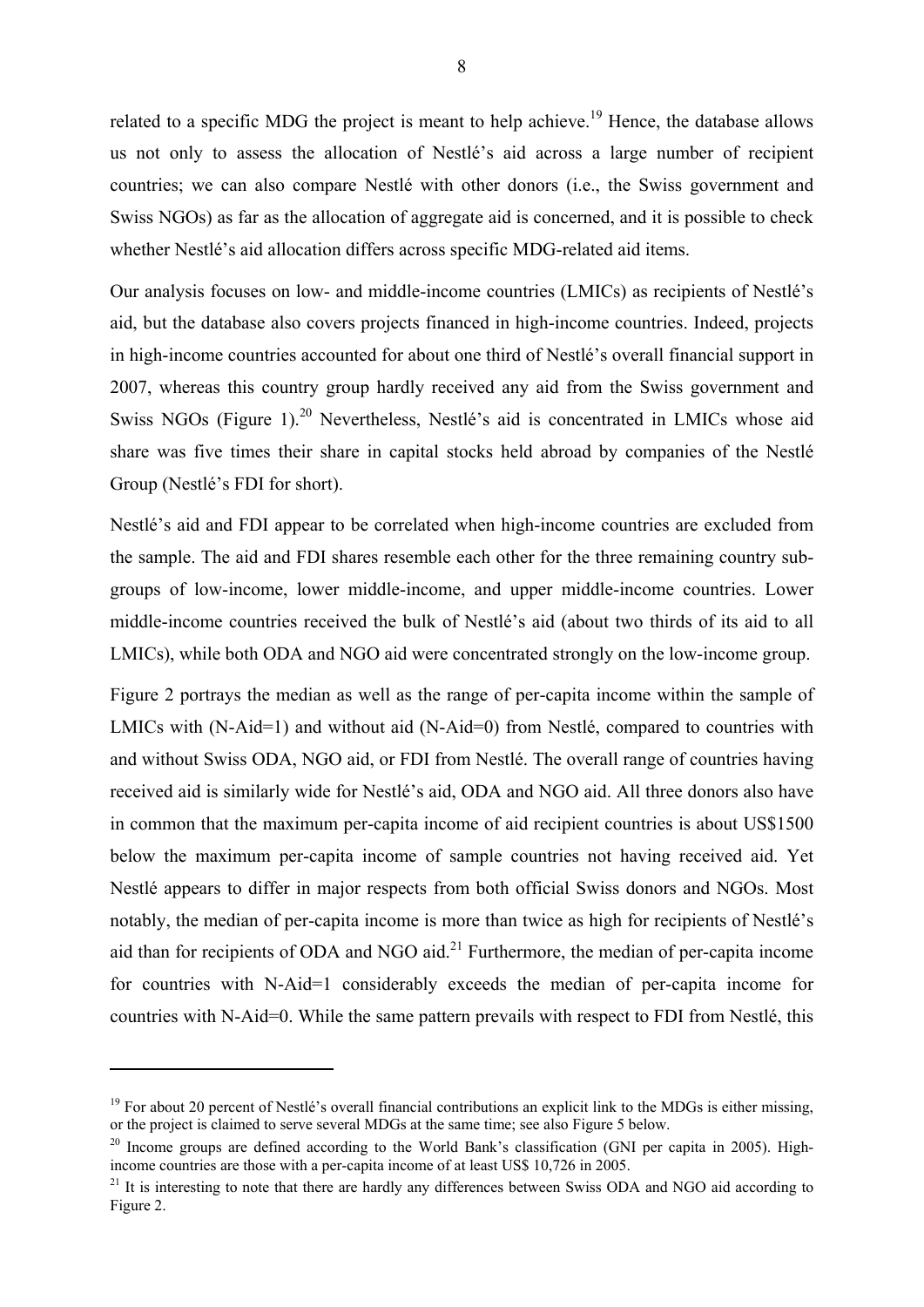related to a specific MDG the project is meant to help achieve.<sup>19</sup> Hence, the database allows us not only to assess the allocation of Nestlé's aid across a large number of recipient countries; we can also compare Nestlé with other donors (i.e., the Swiss government and Swiss NGOs) as far as the allocation of aggregate aid is concerned, and it is possible to check whether Nestlé's aid allocation differs across specific MDG-related aid items.

Our analysis focuses on low- and middle-income countries (LMICs) as recipients of Nestlé's aid, but the database also covers projects financed in high-income countries. Indeed, projects in high-income countries accounted for about one third of Nestlé's overall financial support in 2007, whereas this country group hardly received any aid from the Swiss government and Swiss NGOs (Figure 1)<sup>20</sup> Nevertheless, Nestlé's aid is concentrated in LMICs whose aid share was five times their share in capital stocks held abroad by companies of the Nestlé Group (Nestlé's FDI for short).

Nestlé's aid and FDI appear to be correlated when high-income countries are excluded from the sample. The aid and FDI shares resemble each other for the three remaining country subgroups of low-income, lower middle-income, and upper middle-income countries. Lower middle-income countries received the bulk of Nestlé's aid (about two thirds of its aid to all LMICs), while both ODA and NGO aid were concentrated strongly on the low-income group.

Figure 2 portrays the median as well as the range of per-capita income within the sample of LMICs with (N-Aid=1) and without aid (N-Aid=0) from Nestlé, compared to countries with and without Swiss ODA, NGO aid, or FDI from Nestlé. The overall range of countries having received aid is similarly wide for Nestlé's aid, ODA and NGO aid. All three donors also have in common that the maximum per-capita income of aid recipient countries is about US\$1500 below the maximum per-capita income of sample countries not having received aid. Yet Nestlé appears to differ in major respects from both official Swiss donors and NGOs. Most notably, the median of per-capita income is more than twice as high for recipients of Nestlé's aid than for recipients of ODA and NGO aid. $^{21}$  Furthermore, the median of per-capita income for countries with N-Aid=1 considerably exceeds the median of per-capita income for countries with N-Aid=0. While the same pattern prevails with respect to FDI from Nestlé, this

 $19$  For about 20 percent of Nestlé's overall financial contributions an explicit link to the MDGs is either missing. or the project is claimed to serve several MDGs at the same time; see also Figure 5 below.

 $20$  Income groups are defined according to the World Bank's classification (GNI per capita in 2005). Highincome countries are those with a per-capita income of at least US\$ 10,726 in 2005.

<sup>&</sup>lt;sup>21</sup> It is interesting to note that there are hardly any differences between Swiss ODA and NGO aid according to Figure 2.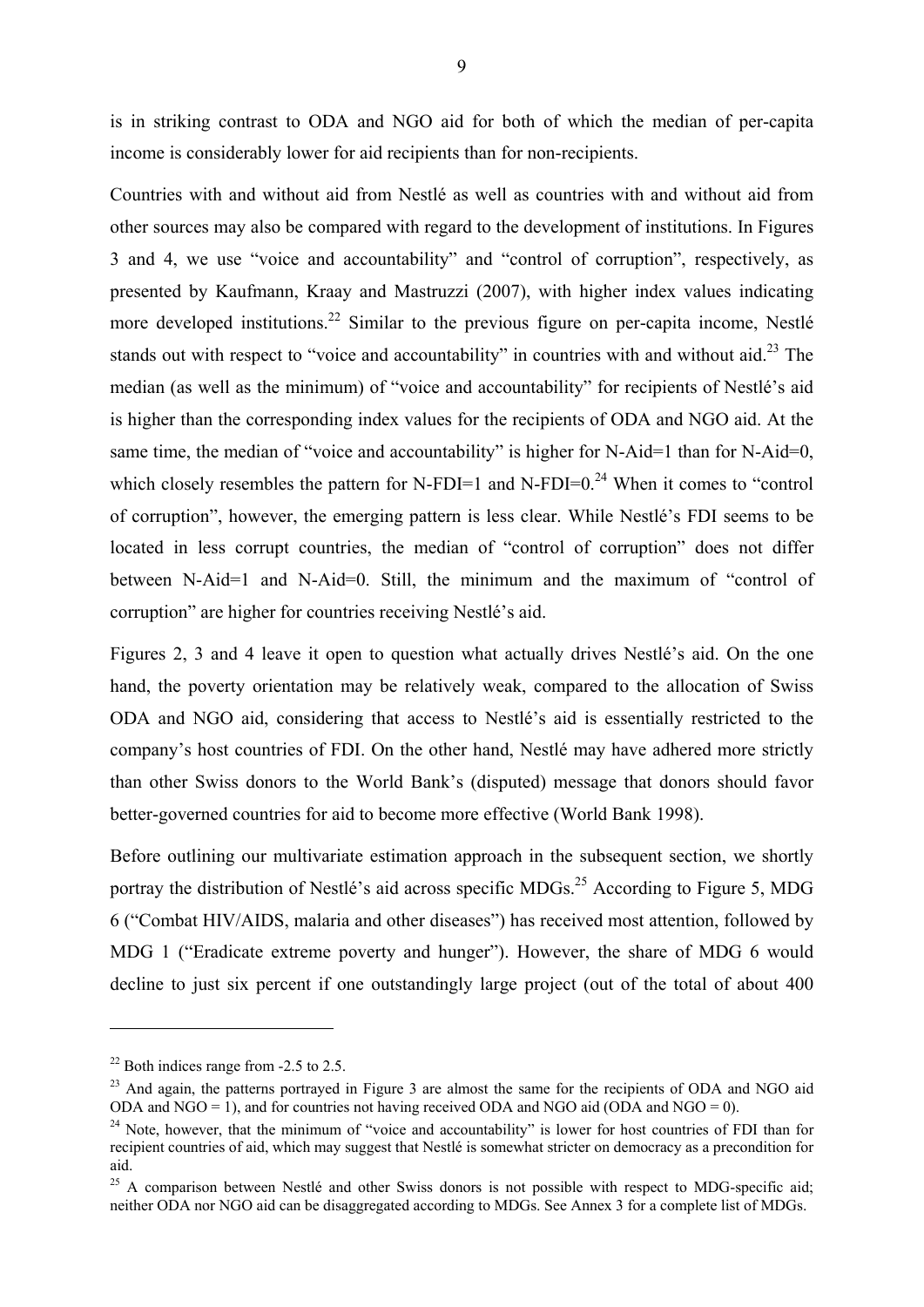is in striking contrast to ODA and NGO aid for both of which the median of per-capita income is considerably lower for aid recipients than for non-recipients.

Countries with and without aid from Nestlé as well as countries with and without aid from other sources may also be compared with regard to the development of institutions. In Figures 3 and 4, we use "voice and accountability" and "control of corruption", respectively, as presented by Kaufmann, Kraay and Mastruzzi (2007), with higher index values indicating more developed institutions.<sup>22</sup> Similar to the previous figure on per-capita income, Nestlé stands out with respect to "voice and accountability" in countries with and without aid.<sup>23</sup> The median (as well as the minimum) of "voice and accountability" for recipients of Nestlé's aid is higher than the corresponding index values for the recipients of ODA and NGO aid. At the same time, the median of "voice and accountability" is higher for N-Aid=1 than for N-Aid=0, which closely resembles the pattern for N-FDI=1 and N-FDI=0.<sup>24</sup> When it comes to "control" of corruption", however, the emerging pattern is less clear. While Nestlé's FDI seems to be located in less corrupt countries, the median of "control of corruption" does not differ between N-Aid=1 and N-Aid=0. Still, the minimum and the maximum of "control of corruption" are higher for countries receiving Nestlé's aid.

Figures 2, 3 and 4 leave it open to question what actually drives Nestlé's aid. On the one hand, the poverty orientation may be relatively weak, compared to the allocation of Swiss ODA and NGO aid, considering that access to Nestlé's aid is essentially restricted to the company's host countries of FDI. On the other hand, Nestlé may have adhered more strictly than other Swiss donors to the World Bank's (disputed) message that donors should favor better-governed countries for aid to become more effective (World Bank 1998).

Before outlining our multivariate estimation approach in the subsequent section, we shortly portray the distribution of Nestlé's aid across specific MDGs.<sup>25</sup> According to Figure 5, MDG 6 ("Combat HIV/AIDS, malaria and other diseases") has received most attention, followed by MDG 1 ("Eradicate extreme poverty and hunger"). However, the share of MDG 6 would decline to just six percent if one outstandingly large project (out of the total of about 400

 $22$  Both indices range from  $-2.5$  to 2.5.

<sup>&</sup>lt;sup>23</sup> And again, the patterns portrayed in Figure 3 are almost the same for the recipients of ODA and NGO aid ODA and NGO = 0).

<sup>&</sup>lt;sup>24</sup> Note, however, that the minimum of "voice and accountability" is lower for host countries of FDI than for recipient countries of aid, which may suggest that Nestlé is somewhat stricter on democracy as a precondition for aid.

<sup>&</sup>lt;sup>25</sup> A comparison between Nestlé and other Swiss donors is not possible with respect to MDG-specific aid; neither ODA nor NGO aid can be disaggregated according to MDGs. See Annex 3 for a complete list of MDGs.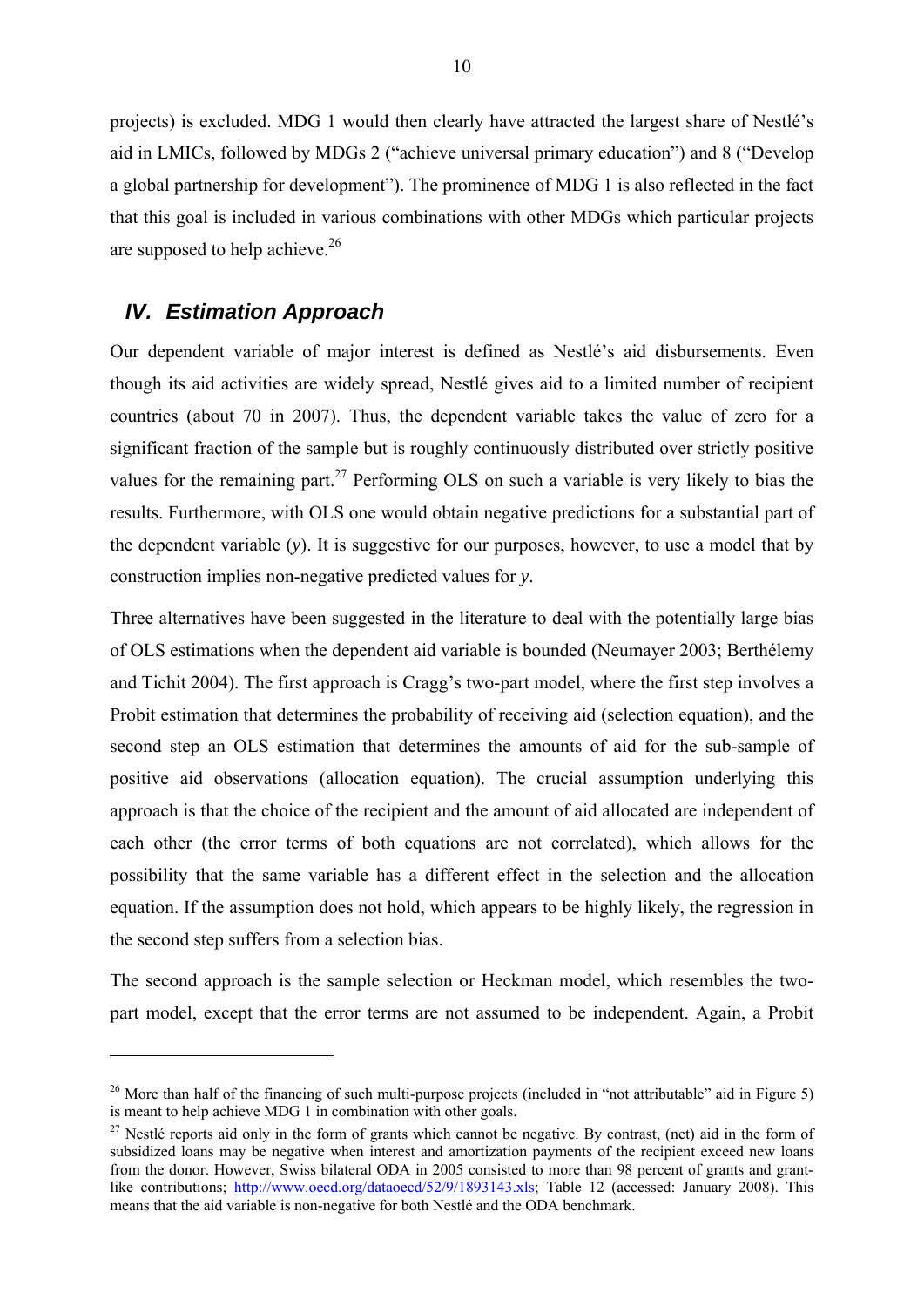projects) is excluded. MDG 1 would then clearly have attracted the largest share of Nestlé's aid in LMICs, followed by MDGs 2 ("achieve universal primary education") and 8 ("Develop a global partnership for development"). The prominence of MDG 1 is also reflected in the fact that this goal is included in various combinations with other MDGs which particular projects are supposed to help achieve. $2<sup>6</sup>$ 

#### *IV. Estimation Approach*

<u>.</u>

Our dependent variable of major interest is defined as Nestlé's aid disbursements. Even though its aid activities are widely spread, Nestlé gives aid to a limited number of recipient countries (about 70 in 2007). Thus, the dependent variable takes the value of zero for a significant fraction of the sample but is roughly continuously distributed over strictly positive values for the remaining part.<sup>27</sup> Performing OLS on such a variable is very likely to bias the results. Furthermore, with OLS one would obtain negative predictions for a substantial part of the dependent variable (*y*). It is suggestive for our purposes, however, to use a model that by construction implies non-negative predicted values for *y*.

Three alternatives have been suggested in the literature to deal with the potentially large bias of OLS estimations when the dependent aid variable is bounded (Neumayer 2003; Berthélemy and Tichit 2004). The first approach is Cragg's two-part model, where the first step involves a Probit estimation that determines the probability of receiving aid (selection equation), and the second step an OLS estimation that determines the amounts of aid for the sub-sample of positive aid observations (allocation equation). The crucial assumption underlying this approach is that the choice of the recipient and the amount of aid allocated are independent of each other (the error terms of both equations are not correlated), which allows for the possibility that the same variable has a different effect in the selection and the allocation equation. If the assumption does not hold, which appears to be highly likely, the regression in the second step suffers from a selection bias.

The second approach is the sample selection or Heckman model, which resembles the twopart model, except that the error terms are not assumed to be independent. Again, a Probit

<sup>&</sup>lt;sup>26</sup> More than half of the financing of such multi-purpose projects (included in "not attributable" aid in Figure 5) is meant to help achieve MDG 1 in combination with other goals.

<sup>&</sup>lt;sup>27</sup> Nestlé reports aid only in the form of grants which cannot be negative. By contrast, (net) aid in the form of subsidized loans may be negative when interest and amortization payments of the recipient exceed new loans from the donor. However, Swiss bilateral ODA in 2005 consisted to more than 98 percent of grants and grantlike contributions; http://www.oecd.org/dataoecd/52/9/1893143.xls; Table 12 (accessed: January 2008). This means that the aid variable is non-negative for both Nestlé and the ODA benchmark.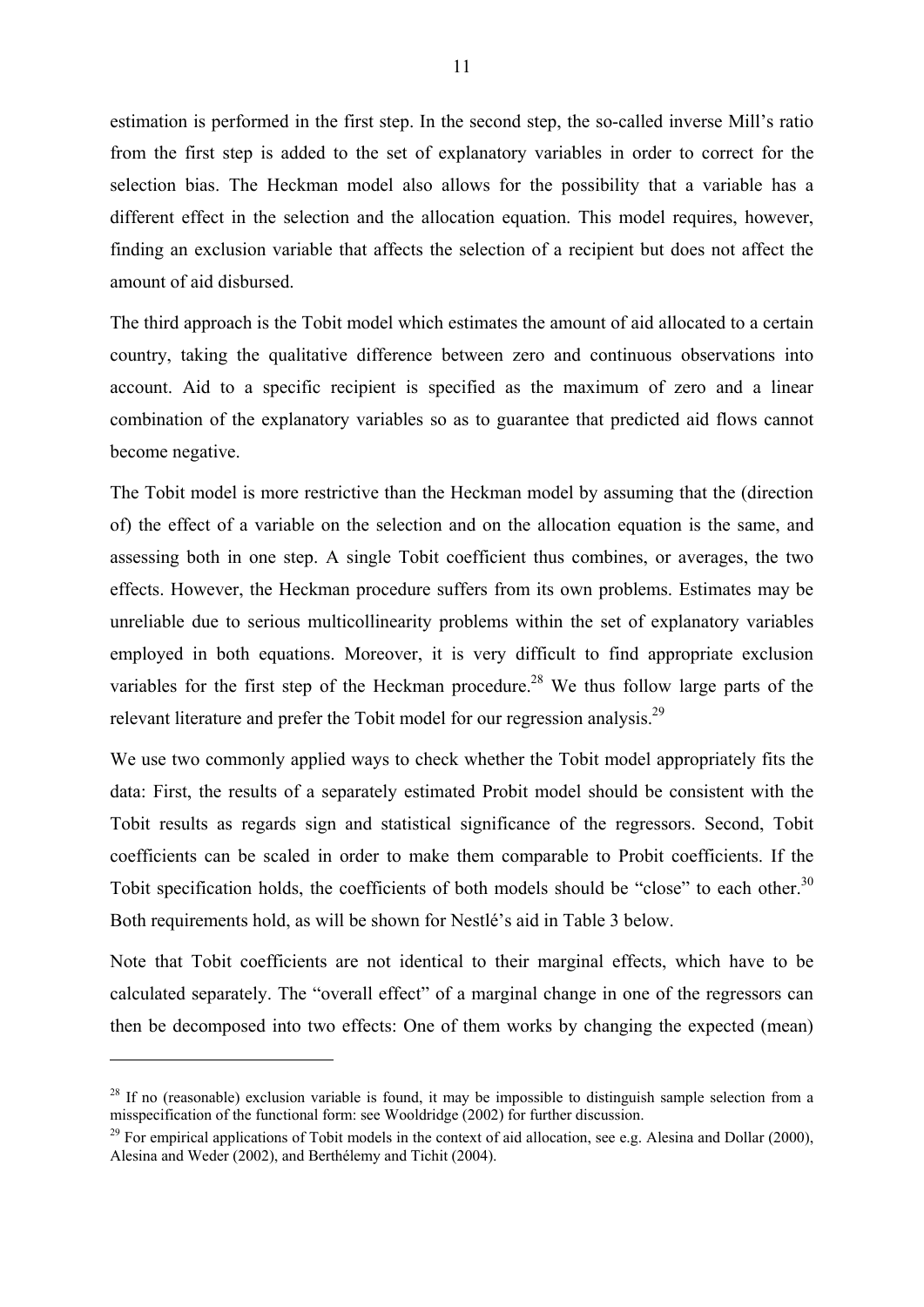estimation is performed in the first step. In the second step, the so-called inverse Mill's ratio from the first step is added to the set of explanatory variables in order to correct for the selection bias. The Heckman model also allows for the possibility that a variable has a different effect in the selection and the allocation equation. This model requires, however, finding an exclusion variable that affects the selection of a recipient but does not affect the amount of aid disbursed.

The third approach is the Tobit model which estimates the amount of aid allocated to a certain country, taking the qualitative difference between zero and continuous observations into account. Aid to a specific recipient is specified as the maximum of zero and a linear combination of the explanatory variables so as to guarantee that predicted aid flows cannot become negative.

The Tobit model is more restrictive than the Heckman model by assuming that the (direction of) the effect of a variable on the selection and on the allocation equation is the same, and assessing both in one step. A single Tobit coefficient thus combines, or averages, the two effects. However, the Heckman procedure suffers from its own problems. Estimates may be unreliable due to serious multicollinearity problems within the set of explanatory variables employed in both equations. Moreover, it is very difficult to find appropriate exclusion variables for the first step of the Heckman procedure.<sup>28</sup> We thus follow large parts of the relevant literature and prefer the Tobit model for our regression analysis.<sup>29</sup>

We use two commonly applied ways to check whether the Tobit model appropriately fits the data: First, the results of a separately estimated Probit model should be consistent with the Tobit results as regards sign and statistical significance of the regressors. Second, Tobit coefficients can be scaled in order to make them comparable to Probit coefficients. If the Tobit specification holds, the coefficients of both models should be "close" to each other.<sup>30</sup> Both requirements hold, as will be shown for Nestlé's aid in Table 3 below.

Note that Tobit coefficients are not identical to their marginal effects, which have to be calculated separately. The "overall effect" of a marginal change in one of the regressors can then be decomposed into two effects: One of them works by changing the expected (mean)

 $^{28}$  If no (reasonable) exclusion variable is found, it may be impossible to distinguish sample selection from a misspecification of the functional form: see Wooldridge (2002) for further discussion.

<sup>&</sup>lt;sup>29</sup> For empirical applications of Tobit models in the context of aid allocation, see e.g. Alesina and Dollar (2000), Alesina and Weder (2002), and Berthélemy and Tichit (2004).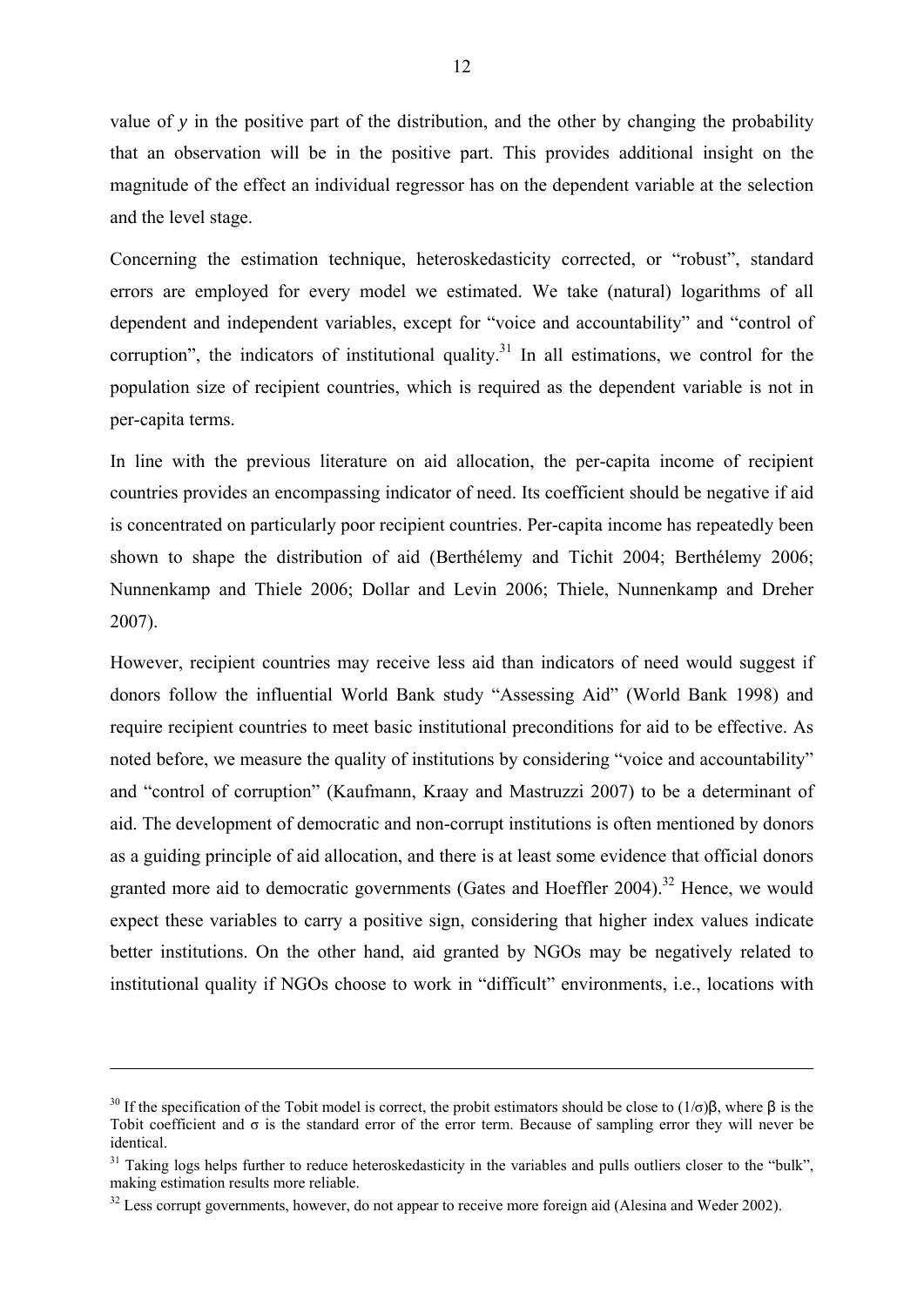value of *y* in the positive part of the distribution, and the other by changing the probability that an observation will be in the positive part. This provides additional insight on the magnitude of the effect an individual regressor has on the dependent variable at the selection and the level stage.

Concerning the estimation technique, heteroskedasticity corrected, or "robust", standard errors are employed for every model we estimated. We take (natural) logarithms of all dependent and independent variables, except for "voice and accountability" and "control of corruption", the indicators of institutional quality.<sup>31</sup> In all estimations, we control for the population size of recipient countries, which is required as the dependent variable is not in per-capita terms.

In line with the previous literature on aid allocation, the per-capita income of recipient countries provides an encompassing indicator of need. Its coefficient should be negative if aid is concentrated on particularly poor recipient countries. Per-capita income has repeatedly been shown to shape the distribution of aid (Berthélemy and Tichit 2004; Berthélemy 2006; Nunnenkamp and Thiele 2006; Dollar and Levin 2006; Thiele, Nunnenkamp and Dreher 2007).

However, recipient countries may receive less aid than indicators of need would suggest if donors follow the influential World Bank study "Assessing Aid" (World Bank 1998) and require recipient countries to meet basic institutional preconditions for aid to be effective. As noted before, we measure the quality of institutions by considering "voice and accountability" and "control of corruption" (Kaufmann, Kraay and Mastruzzi 2007) to be a determinant of aid. The development of democratic and non-corrupt institutions is often mentioned by donors as a guiding principle of aid allocation, and there is at least some evidence that official donors granted more aid to democratic governments (Gates and Hoeffler 2004).<sup>32</sup> Hence, we would expect these variables to carry a positive sign, considering that higher index values indicate better institutions. On the other hand, aid granted by NGOs may be negatively related to institutional quality if NGOs choose to work in "difficult" environments, i.e., locations with

<sup>&</sup>lt;sup>30</sup> If the specification of the Tobit model is correct, the probit estimators should be close to (1/σ)β, where β is the Tobit coefficient and  $\sigma$  is the standard error of the error term. Because of sampling error they will never be identical.

<sup>&</sup>lt;sup>31</sup> Taking logs helps further to reduce heteroskedasticity in the variables and pulls outliers closer to the "bulk", making estimation results more reliable.

 $32$  Less corrupt governments, however, do not appear to receive more foreign aid (Alesina and Weder 2002).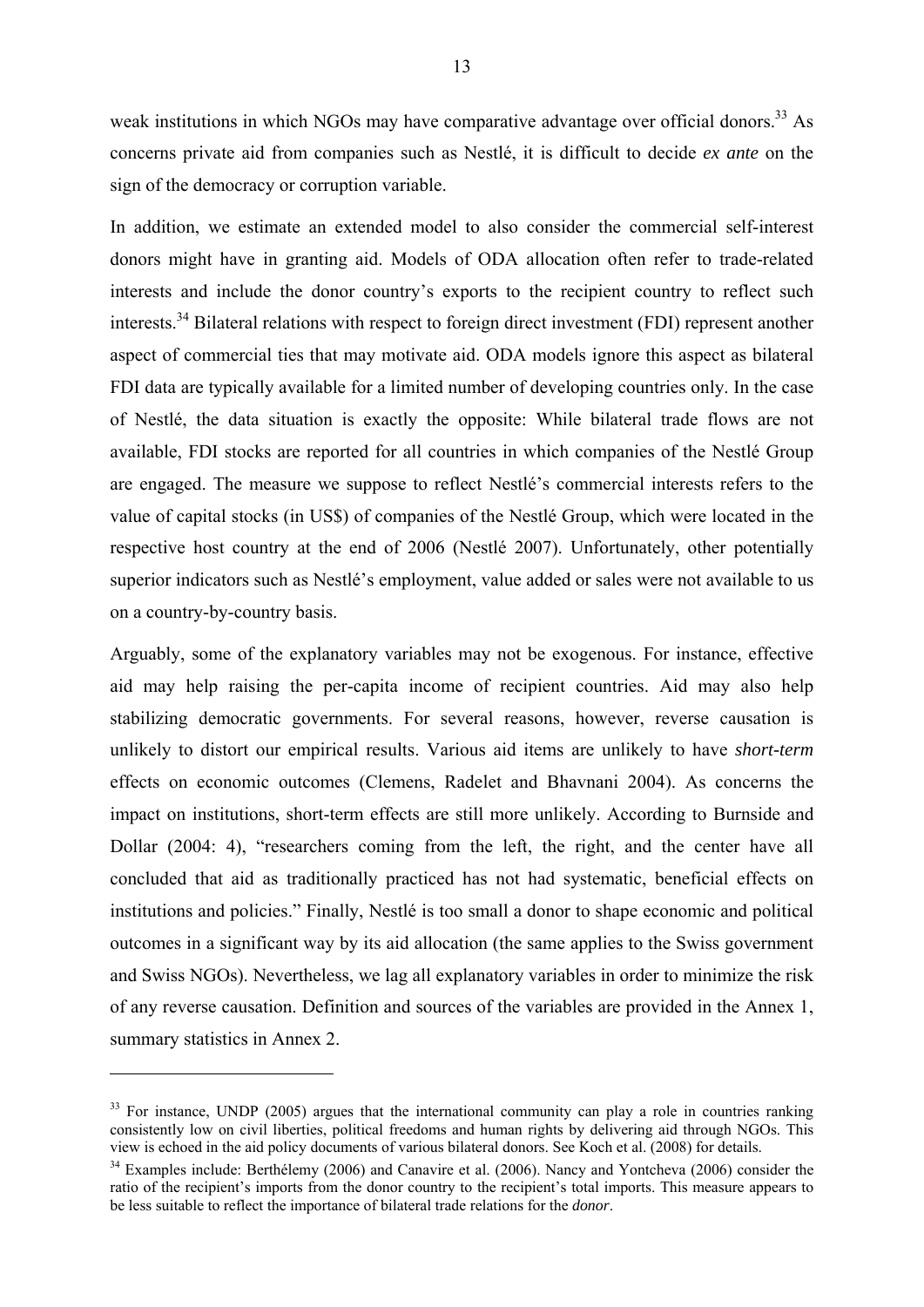weak institutions in which NGOs may have comparative advantage over official donors.<sup>33</sup> As concerns private aid from companies such as Nestlé, it is difficult to decide *ex ante* on the sign of the democracy or corruption variable.

In addition, we estimate an extended model to also consider the commercial self-interest donors might have in granting aid. Models of ODA allocation often refer to trade-related interests and include the donor country's exports to the recipient country to reflect such interests.<sup>34</sup> Bilateral relations with respect to foreign direct investment (FDI) represent another aspect of commercial ties that may motivate aid. ODA models ignore this aspect as bilateral FDI data are typically available for a limited number of developing countries only. In the case of Nestlé, the data situation is exactly the opposite: While bilateral trade flows are not available, FDI stocks are reported for all countries in which companies of the Nestlé Group are engaged. The measure we suppose to reflect Nestlé's commercial interests refers to the value of capital stocks (in US\$) of companies of the Nestlé Group, which were located in the respective host country at the end of 2006 (Nestlé 2007). Unfortunately, other potentially superior indicators such as Nestlé's employment, value added or sales were not available to us on a country-by-country basis.

Arguably, some of the explanatory variables may not be exogenous. For instance, effective aid may help raising the per-capita income of recipient countries. Aid may also help stabilizing democratic governments. For several reasons, however, reverse causation is unlikely to distort our empirical results. Various aid items are unlikely to have *short-term* effects on economic outcomes (Clemens, Radelet and Bhavnani 2004). As concerns the impact on institutions, short-term effects are still more unlikely. According to Burnside and Dollar (2004: 4), "researchers coming from the left, the right, and the center have all concluded that aid as traditionally practiced has not had systematic, beneficial effects on institutions and policies." Finally, Nestlé is too small a donor to shape economic and political outcomes in a significant way by its aid allocation (the same applies to the Swiss government and Swiss NGOs). Nevertheless, we lag all explanatory variables in order to minimize the risk of any reverse causation. Definition and sources of the variables are provided in the Annex 1, summary statistics in Annex 2.

 $33$  For instance, UNDP (2005) argues that the international community can play a role in countries ranking consistently low on civil liberties, political freedoms and human rights by delivering aid through NGOs. This view is echoed in the aid policy documents of various bilateral donors. See Koch et al. (2008) for details.

 $34$  Examples include: Berthélemy (2006) and Canavire et al. (2006). Nancy and Yontcheva (2006) consider the ratio of the recipient's imports from the donor country to the recipient's total imports. This measure appears to be less suitable to reflect the importance of bilateral trade relations for the *donor*.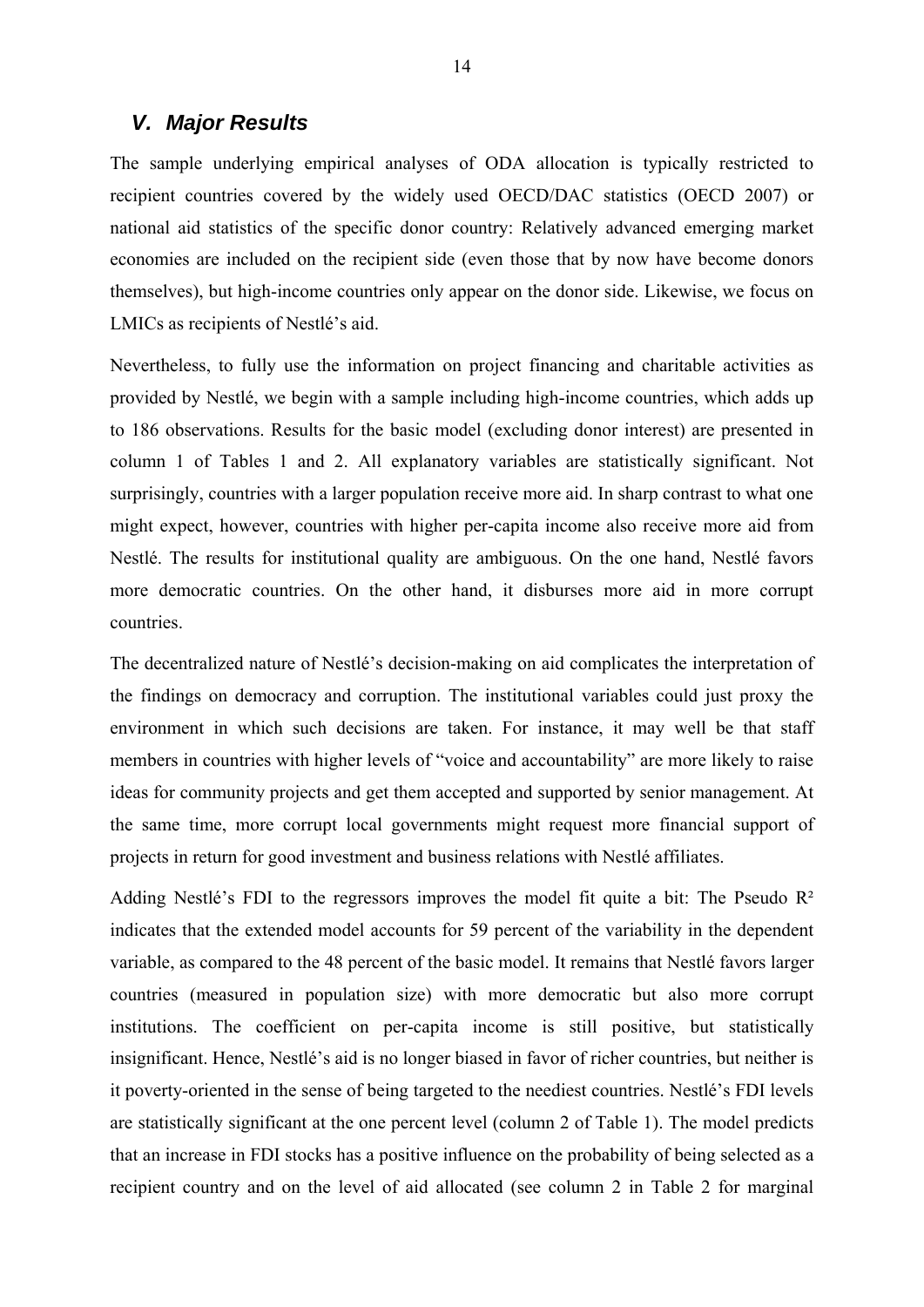#### *V. Major Results*

The sample underlying empirical analyses of ODA allocation is typically restricted to recipient countries covered by the widely used OECD/DAC statistics (OECD 2007) or national aid statistics of the specific donor country: Relatively advanced emerging market economies are included on the recipient side (even those that by now have become donors themselves), but high-income countries only appear on the donor side. Likewise, we focus on LMICs as recipients of Nestlé's aid.

Nevertheless, to fully use the information on project financing and charitable activities as provided by Nestlé, we begin with a sample including high-income countries, which adds up to 186 observations. Results for the basic model (excluding donor interest) are presented in column 1 of Tables 1 and 2. All explanatory variables are statistically significant. Not surprisingly, countries with a larger population receive more aid. In sharp contrast to what one might expect, however, countries with higher per-capita income also receive more aid from Nestlé. The results for institutional quality are ambiguous. On the one hand, Nestlé favors more democratic countries. On the other hand, it disburses more aid in more corrupt countries.

The decentralized nature of Nestlé's decision-making on aid complicates the interpretation of the findings on democracy and corruption. The institutional variables could just proxy the environment in which such decisions are taken. For instance, it may well be that staff members in countries with higher levels of "voice and accountability" are more likely to raise ideas for community projects and get them accepted and supported by senior management. At the same time, more corrupt local governments might request more financial support of projects in return for good investment and business relations with Nestlé affiliates.

Adding Nestlé's FDI to the regressors improves the model fit quite a bit: The Pseudo  $\mathbb{R}^2$ indicates that the extended model accounts for 59 percent of the variability in the dependent variable, as compared to the 48 percent of the basic model. It remains that Nestlé favors larger countries (measured in population size) with more democratic but also more corrupt institutions. The coefficient on per-capita income is still positive, but statistically insignificant. Hence, Nestlé's aid is no longer biased in favor of richer countries, but neither is it poverty-oriented in the sense of being targeted to the neediest countries. Nestlé's FDI levels are statistically significant at the one percent level (column 2 of Table 1). The model predicts that an increase in FDI stocks has a positive influence on the probability of being selected as a recipient country and on the level of aid allocated (see column 2 in Table 2 for marginal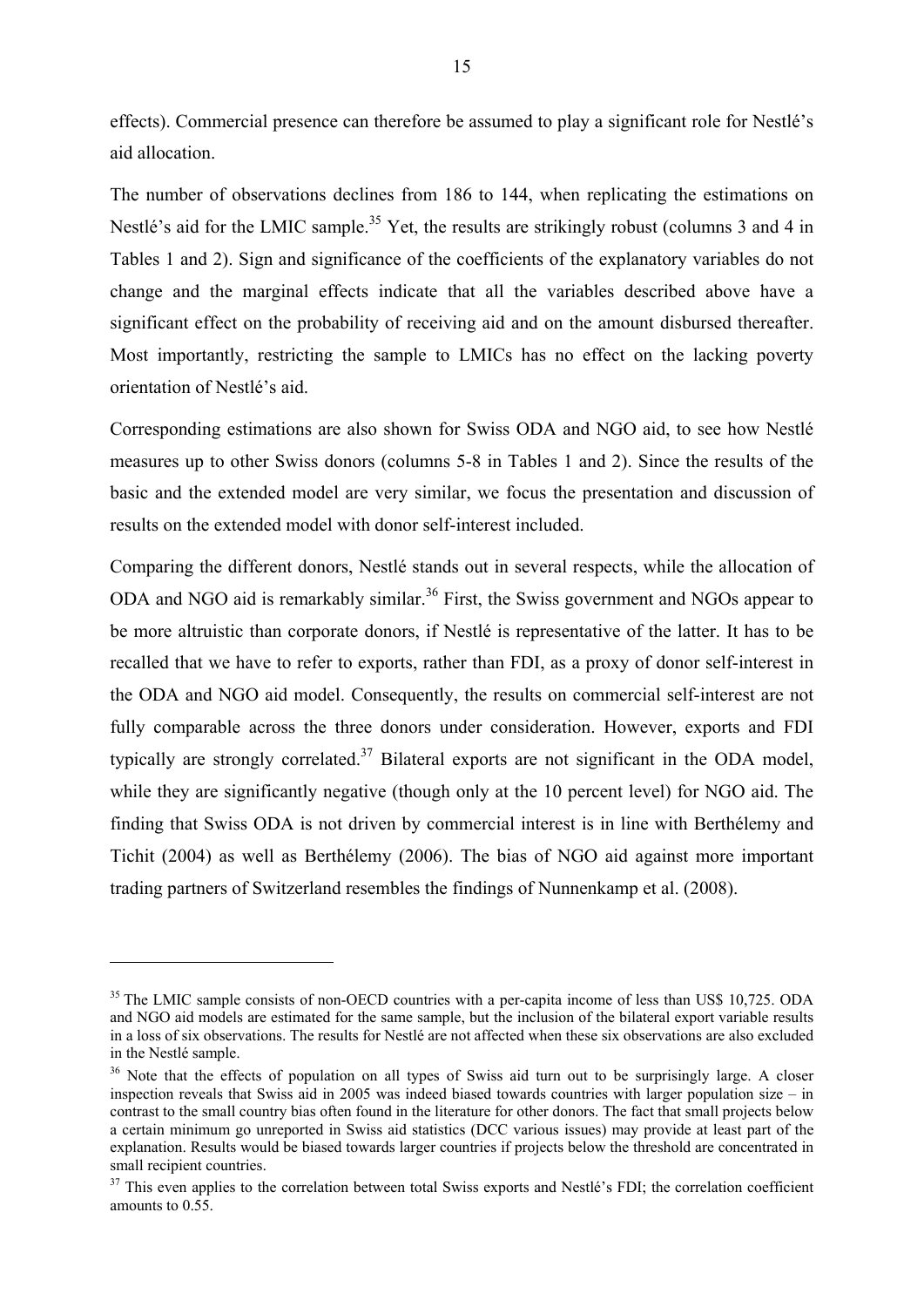effects). Commercial presence can therefore be assumed to play a significant role for Nestlé's aid allocation.

The number of observations declines from 186 to 144, when replicating the estimations on Nestlé's aid for the LMIC sample.<sup>35</sup> Yet, the results are strikingly robust (columns 3 and 4 in Tables 1 and 2). Sign and significance of the coefficients of the explanatory variables do not change and the marginal effects indicate that all the variables described above have a significant effect on the probability of receiving aid and on the amount disbursed thereafter. Most importantly, restricting the sample to LMICs has no effect on the lacking poverty orientation of Nestlé's aid.

Corresponding estimations are also shown for Swiss ODA and NGO aid, to see how Nestlé measures up to other Swiss donors (columns 5-8 in Tables 1 and 2). Since the results of the basic and the extended model are very similar, we focus the presentation and discussion of results on the extended model with donor self-interest included.

Comparing the different donors, Nestlé stands out in several respects, while the allocation of ODA and NGO aid is remarkably similar.<sup>36</sup> First, the Swiss government and NGOs appear to be more altruistic than corporate donors, if Nestlé is representative of the latter. It has to be recalled that we have to refer to exports, rather than FDI, as a proxy of donor self-interest in the ODA and NGO aid model. Consequently, the results on commercial self-interest are not fully comparable across the three donors under consideration. However, exports and FDI typically are strongly correlated.<sup>37</sup> Bilateral exports are not significant in the ODA model, while they are significantly negative (though only at the 10 percent level) for NGO aid. The finding that Swiss ODA is not driven by commercial interest is in line with Berthélemy and Tichit (2004) as well as Berthélemy (2006). The bias of NGO aid against more important trading partners of Switzerland resembles the findings of Nunnenkamp et al. (2008).

<sup>&</sup>lt;sup>35</sup> The LMIC sample consists of non-OECD countries with a per-capita income of less than US\$ 10,725. ODA and NGO aid models are estimated for the same sample, but the inclusion of the bilateral export variable results in a loss of six observations. The results for Nestlé are not affected when these six observations are also excluded in the Nestlé sample.

<sup>&</sup>lt;sup>36</sup> Note that the effects of population on all types of Swiss aid turn out to be surprisingly large. A closer inspection reveals that Swiss aid in 2005 was indeed biased towards countries with larger population size – in contrast to the small country bias often found in the literature for other donors. The fact that small projects below a certain minimum go unreported in Swiss aid statistics (DCC various issues) may provide at least part of the explanation. Results would be biased towards larger countries if projects below the threshold are concentrated in small recipient countries.

<sup>&</sup>lt;sup>37</sup> This even applies to the correlation between total Swiss exports and Nestlé's FDI; the correlation coefficient amounts to 0.55.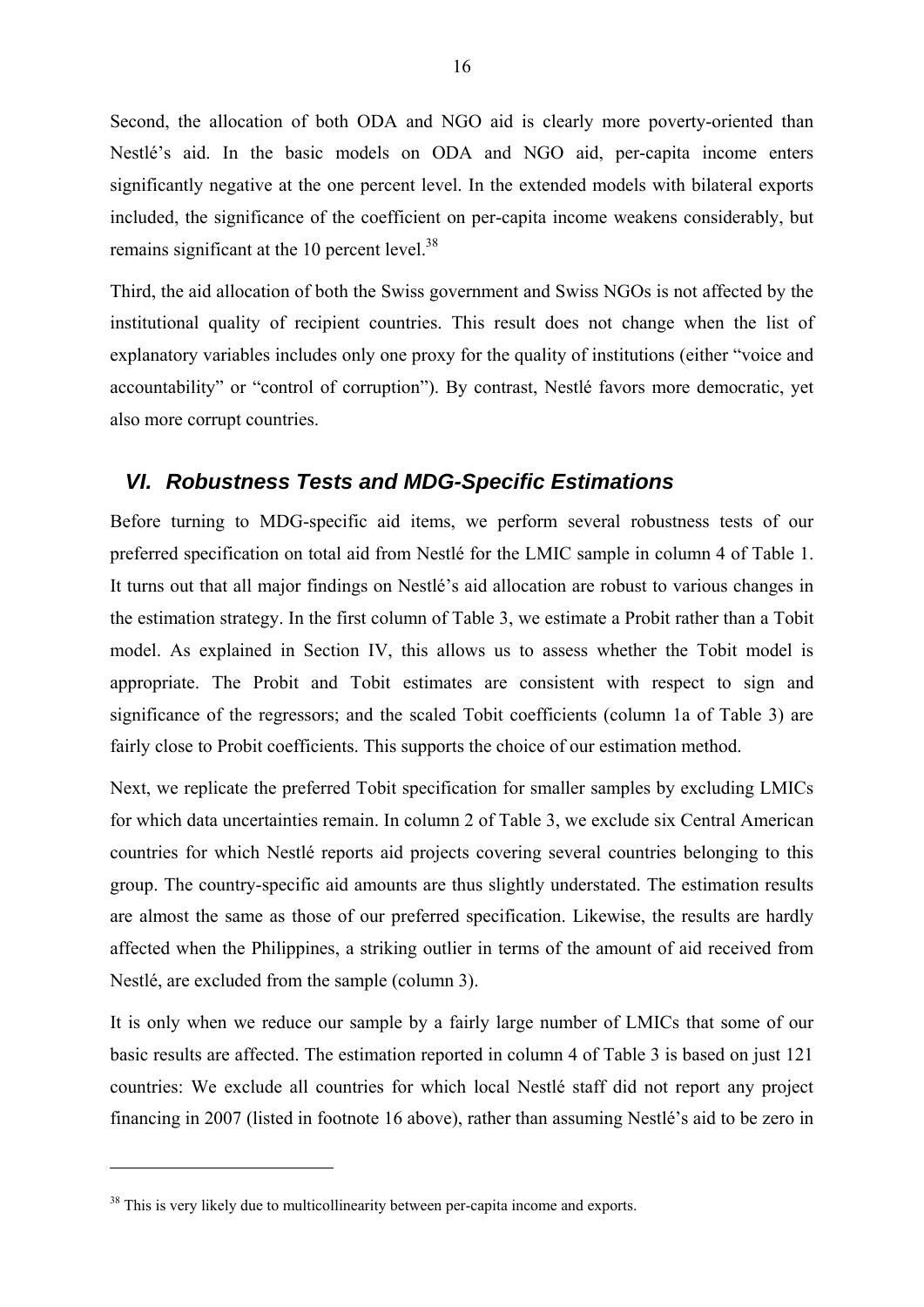Second, the allocation of both ODA and NGO aid is clearly more poverty-oriented than Nestlé's aid. In the basic models on ODA and NGO aid, per-capita income enters significantly negative at the one percent level. In the extended models with bilateral exports included, the significance of the coefficient on per-capita income weakens considerably, but remains significant at the 10 percent level.<sup>38</sup>

Third, the aid allocation of both the Swiss government and Swiss NGOs is not affected by the institutional quality of recipient countries. This result does not change when the list of explanatory variables includes only one proxy for the quality of institutions (either "voice and accountability" or "control of corruption"). By contrast, Nestlé favors more democratic, yet also more corrupt countries.

#### *VI. Robustness Tests and MDG-Specific Estimations*

Before turning to MDG-specific aid items, we perform several robustness tests of our preferred specification on total aid from Nestlé for the LMIC sample in column 4 of Table 1. It turns out that all major findings on Nestlé's aid allocation are robust to various changes in the estimation strategy. In the first column of Table 3, we estimate a Probit rather than a Tobit model. As explained in Section IV, this allows us to assess whether the Tobit model is appropriate. The Probit and Tobit estimates are consistent with respect to sign and significance of the regressors; and the scaled Tobit coefficients (column 1a of Table 3) are fairly close to Probit coefficients. This supports the choice of our estimation method.

Next, we replicate the preferred Tobit specification for smaller samples by excluding LMICs for which data uncertainties remain. In column 2 of Table 3, we exclude six Central American countries for which Nestlé reports aid projects covering several countries belonging to this group. The country-specific aid amounts are thus slightly understated. The estimation results are almost the same as those of our preferred specification. Likewise, the results are hardly affected when the Philippines, a striking outlier in terms of the amount of aid received from Nestlé, are excluded from the sample (column 3).

It is only when we reduce our sample by a fairly large number of LMICs that some of our basic results are affected. The estimation reported in column 4 of Table 3 is based on just 121 countries: We exclude all countries for which local Nestlé staff did not report any project financing in 2007 (listed in footnote 16 above), rather than assuming Nestlé's aid to be zero in

<sup>&</sup>lt;sup>38</sup> This is very likely due to multicollinearity between per-capita income and exports.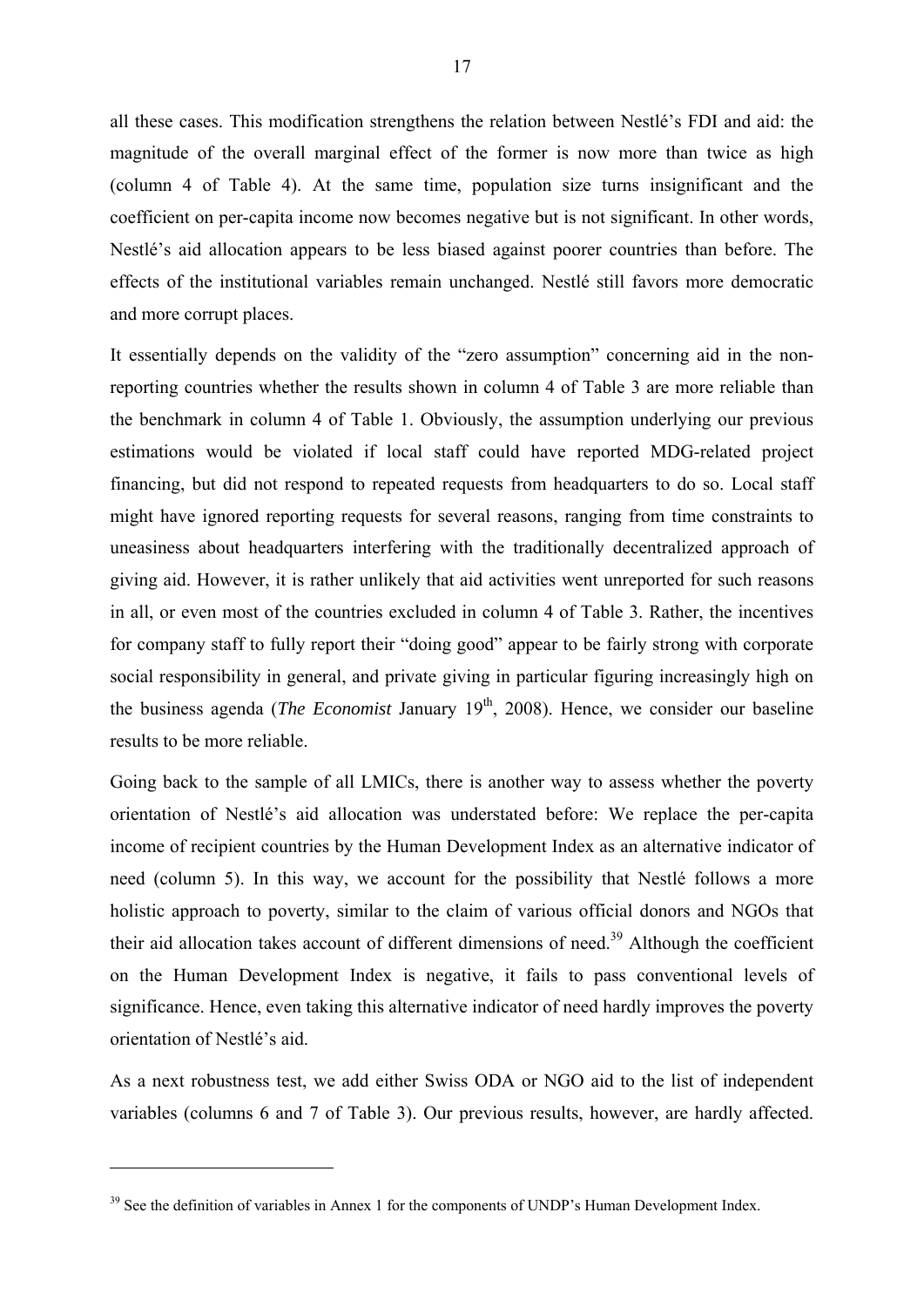all these cases. This modification strengthens the relation between Nestlé's FDI and aid: the magnitude of the overall marginal effect of the former is now more than twice as high (column 4 of Table 4). At the same time, population size turns insignificant and the coefficient on per-capita income now becomes negative but is not significant. In other words, Nestlé's aid allocation appears to be less biased against poorer countries than before. The effects of the institutional variables remain unchanged. Nestlé still favors more democratic and more corrupt places.

It essentially depends on the validity of the "zero assumption" concerning aid in the nonreporting countries whether the results shown in column 4 of Table 3 are more reliable than the benchmark in column 4 of Table 1. Obviously, the assumption underlying our previous estimations would be violated if local staff could have reported MDG-related project financing, but did not respond to repeated requests from headquarters to do so. Local staff might have ignored reporting requests for several reasons, ranging from time constraints to uneasiness about headquarters interfering with the traditionally decentralized approach of giving aid. However, it is rather unlikely that aid activities went unreported for such reasons in all, or even most of the countries excluded in column 4 of Table 3. Rather, the incentives for company staff to fully report their "doing good" appear to be fairly strong with corporate social responsibility in general, and private giving in particular figuring increasingly high on the business agenda (*The Economist January 19*<sup>th</sup>, 2008). Hence, we consider our baseline results to be more reliable.

Going back to the sample of all LMICs, there is another way to assess whether the poverty orientation of Nestlé's aid allocation was understated before: We replace the per-capita income of recipient countries by the Human Development Index as an alternative indicator of need (column 5). In this way, we account for the possibility that Nestlé follows a more holistic approach to poverty, similar to the claim of various official donors and NGOs that their aid allocation takes account of different dimensions of need.<sup>39</sup> Although the coefficient on the Human Development Index is negative, it fails to pass conventional levels of significance. Hence, even taking this alternative indicator of need hardly improves the poverty orientation of Nestlé's aid.

As a next robustness test, we add either Swiss ODA or NGO aid to the list of independent variables (columns 6 and 7 of Table 3). Our previous results, however, are hardly affected.

<sup>&</sup>lt;sup>39</sup> See the definition of variables in Annex 1 for the components of UNDP's Human Development Index.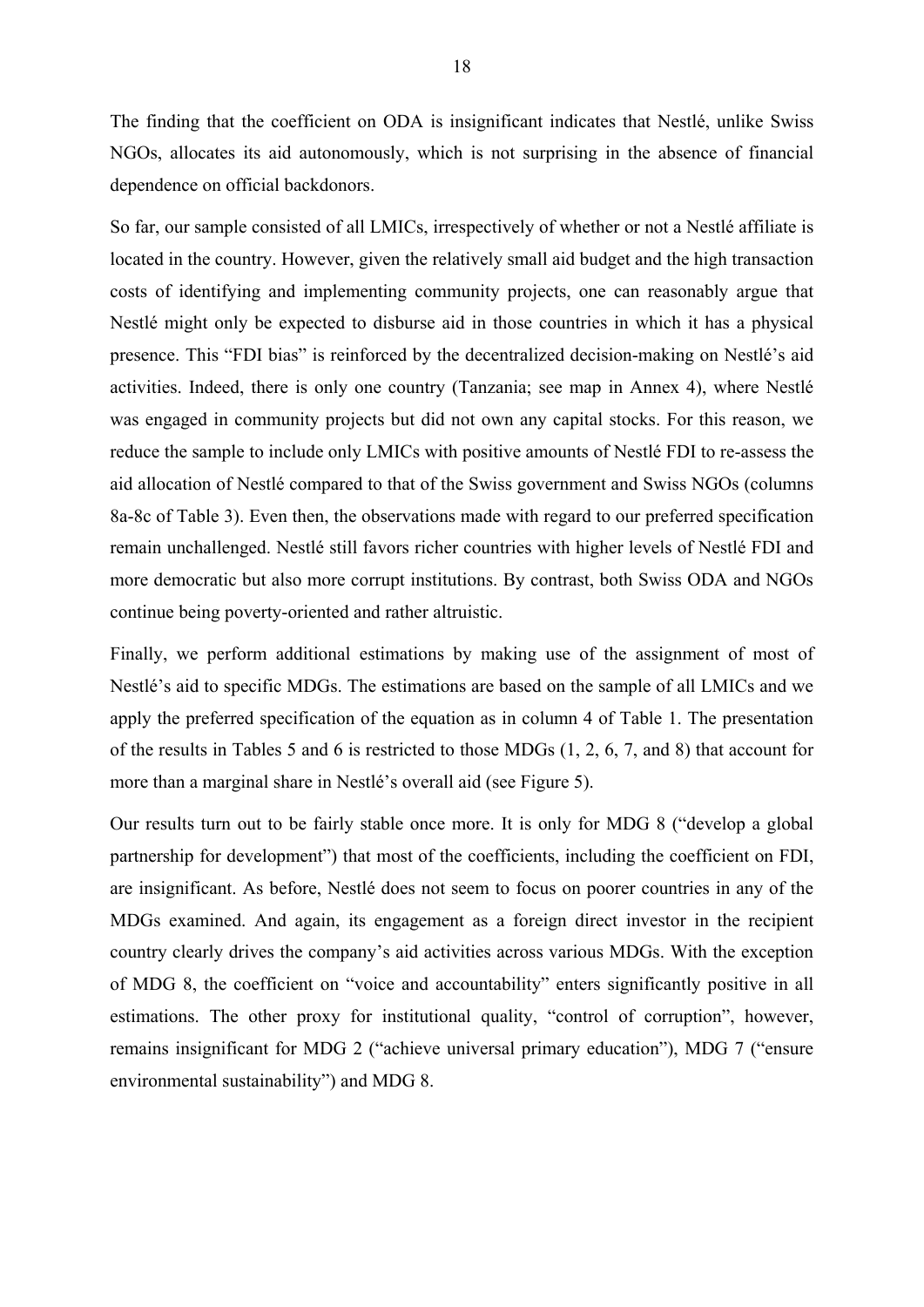The finding that the coefficient on ODA is insignificant indicates that Nestlé, unlike Swiss NGOs, allocates its aid autonomously, which is not surprising in the absence of financial dependence on official backdonors.

So far, our sample consisted of all LMICs, irrespectively of whether or not a Nestlé affiliate is located in the country. However, given the relatively small aid budget and the high transaction costs of identifying and implementing community projects, one can reasonably argue that Nestlé might only be expected to disburse aid in those countries in which it has a physical presence. This "FDI bias" is reinforced by the decentralized decision-making on Nestlé's aid activities. Indeed, there is only one country (Tanzania; see map in Annex 4), where Nestlé was engaged in community projects but did not own any capital stocks. For this reason, we reduce the sample to include only LMICs with positive amounts of Nestlé FDI to re-assess the aid allocation of Nestlé compared to that of the Swiss government and Swiss NGOs (columns 8a-8c of Table 3). Even then, the observations made with regard to our preferred specification remain unchallenged. Nestlé still favors richer countries with higher levels of Nestlé FDI and more democratic but also more corrupt institutions. By contrast, both Swiss ODA and NGOs continue being poverty-oriented and rather altruistic.

Finally, we perform additional estimations by making use of the assignment of most of Nestlé's aid to specific MDGs. The estimations are based on the sample of all LMICs and we apply the preferred specification of the equation as in column 4 of Table 1. The presentation of the results in Tables 5 and 6 is restricted to those MDGs (1, 2, 6, 7, and 8) that account for more than a marginal share in Nestlé's overall aid (see Figure 5).

Our results turn out to be fairly stable once more. It is only for MDG 8 ("develop a global partnership for development") that most of the coefficients, including the coefficient on FDI, are insignificant. As before, Nestlé does not seem to focus on poorer countries in any of the MDGs examined. And again, its engagement as a foreign direct investor in the recipient country clearly drives the company's aid activities across various MDGs. With the exception of MDG 8, the coefficient on "voice and accountability" enters significantly positive in all estimations. The other proxy for institutional quality, "control of corruption", however, remains insignificant for MDG 2 ("achieve universal primary education"), MDG 7 ("ensure environmental sustainability") and MDG 8.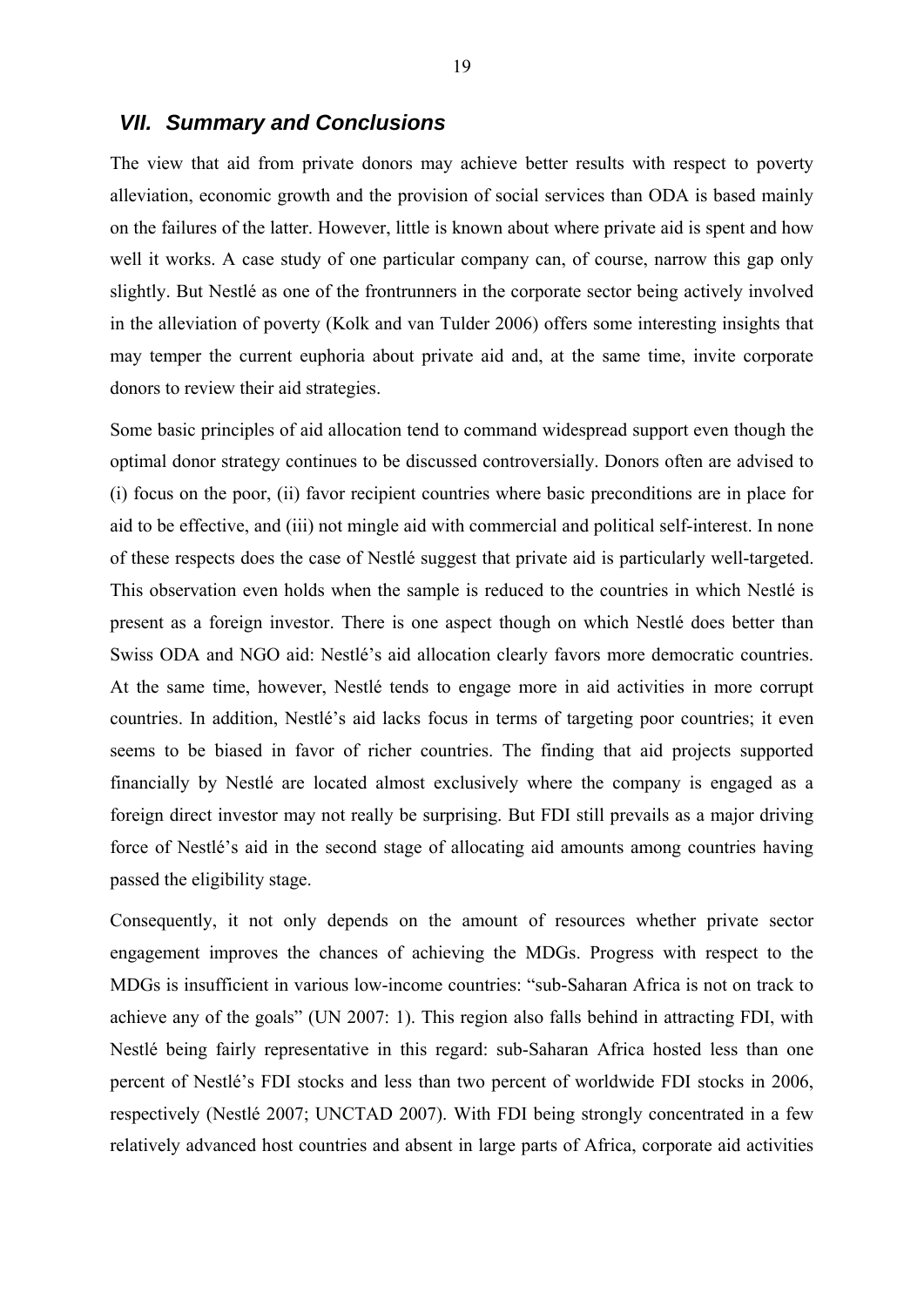#### *VII. Summary and Conclusions*

The view that aid from private donors may achieve better results with respect to poverty alleviation, economic growth and the provision of social services than ODA is based mainly on the failures of the latter. However, little is known about where private aid is spent and how well it works. A case study of one particular company can, of course, narrow this gap only slightly. But Nestlé as one of the frontrunners in the corporate sector being actively involved in the alleviation of poverty (Kolk and van Tulder 2006) offers some interesting insights that may temper the current euphoria about private aid and, at the same time, invite corporate donors to review their aid strategies.

Some basic principles of aid allocation tend to command widespread support even though the optimal donor strategy continues to be discussed controversially. Donors often are advised to (i) focus on the poor, (ii) favor recipient countries where basic preconditions are in place for aid to be effective, and (iii) not mingle aid with commercial and political self-interest. In none of these respects does the case of Nestlé suggest that private aid is particularly well-targeted. This observation even holds when the sample is reduced to the countries in which Nestlé is present as a foreign investor. There is one aspect though on which Nestlé does better than Swiss ODA and NGO aid: Nestlé's aid allocation clearly favors more democratic countries. At the same time, however, Nestlé tends to engage more in aid activities in more corrupt countries. In addition, Nestlé's aid lacks focus in terms of targeting poor countries; it even seems to be biased in favor of richer countries. The finding that aid projects supported financially by Nestlé are located almost exclusively where the company is engaged as a foreign direct investor may not really be surprising. But FDI still prevails as a major driving force of Nestlé's aid in the second stage of allocating aid amounts among countries having passed the eligibility stage.

Consequently, it not only depends on the amount of resources whether private sector engagement improves the chances of achieving the MDGs. Progress with respect to the MDGs is insufficient in various low-income countries: "sub-Saharan Africa is not on track to achieve any of the goals" (UN 2007: 1). This region also falls behind in attracting FDI, with Nestlé being fairly representative in this regard: sub-Saharan Africa hosted less than one percent of Nestlé's FDI stocks and less than two percent of worldwide FDI stocks in 2006, respectively (Nestlé 2007; UNCTAD 2007). With FDI being strongly concentrated in a few relatively advanced host countries and absent in large parts of Africa, corporate aid activities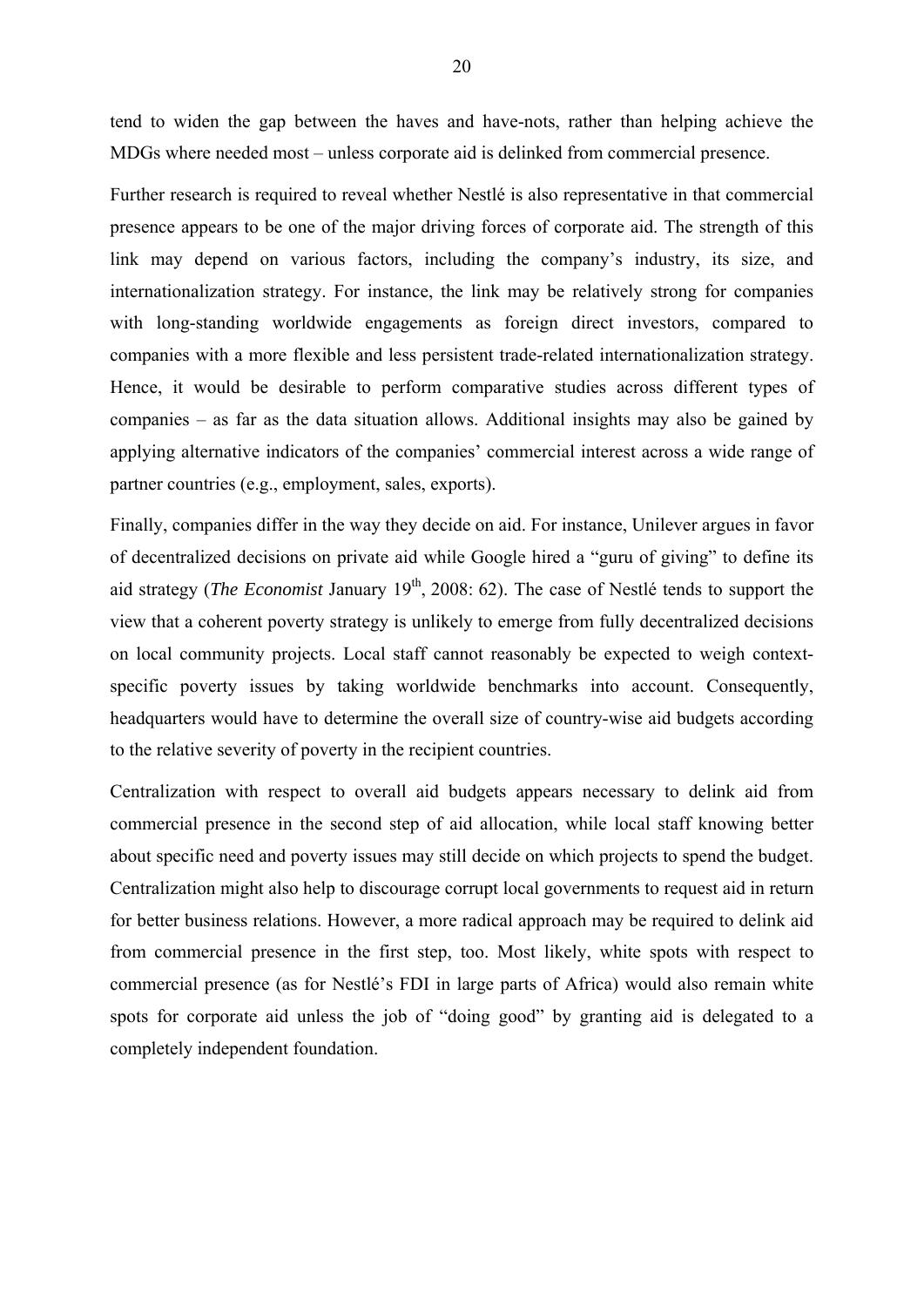tend to widen the gap between the haves and have-nots, rather than helping achieve the MDGs where needed most – unless corporate aid is delinked from commercial presence.

Further research is required to reveal whether Nestlé is also representative in that commercial presence appears to be one of the major driving forces of corporate aid. The strength of this link may depend on various factors, including the company's industry, its size, and internationalization strategy. For instance, the link may be relatively strong for companies with long-standing worldwide engagements as foreign direct investors, compared to companies with a more flexible and less persistent trade-related internationalization strategy. Hence, it would be desirable to perform comparative studies across different types of companies – as far as the data situation allows. Additional insights may also be gained by applying alternative indicators of the companies' commercial interest across a wide range of partner countries (e.g., employment, sales, exports).

Finally, companies differ in the way they decide on aid. For instance, Unilever argues in favor of decentralized decisions on private aid while Google hired a "guru of giving" to define its aid strategy (*The Economist January 19<sup>th</sup>*, 2008: 62). The case of Nestlé tends to support the view that a coherent poverty strategy is unlikely to emerge from fully decentralized decisions on local community projects. Local staff cannot reasonably be expected to weigh contextspecific poverty issues by taking worldwide benchmarks into account. Consequently, headquarters would have to determine the overall size of country-wise aid budgets according to the relative severity of poverty in the recipient countries.

Centralization with respect to overall aid budgets appears necessary to delink aid from commercial presence in the second step of aid allocation, while local staff knowing better about specific need and poverty issues may still decide on which projects to spend the budget. Centralization might also help to discourage corrupt local governments to request aid in return for better business relations. However, a more radical approach may be required to delink aid from commercial presence in the first step, too. Most likely, white spots with respect to commercial presence (as for Nestlé's FDI in large parts of Africa) would also remain white spots for corporate aid unless the job of "doing good" by granting aid is delegated to a completely independent foundation.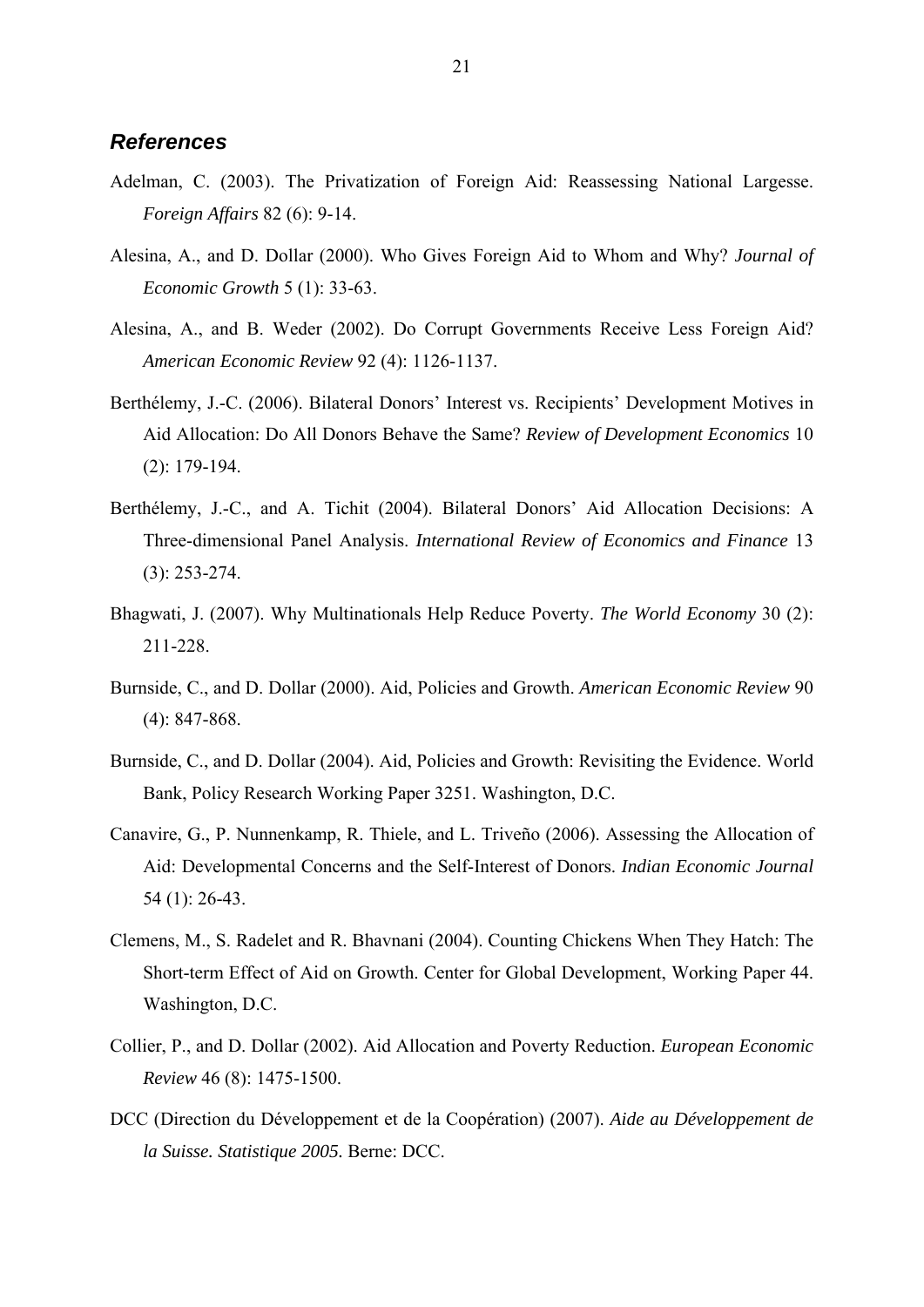#### *References*

- Adelman, C. (2003). The Privatization of Foreign Aid: Reassessing National Largesse. *Foreign Affairs* 82 (6): 9-14.
- Alesina, A., and D. Dollar (2000). Who Gives Foreign Aid to Whom and Why? *Journal of Economic Growth* 5 (1): 33-63.
- Alesina, A., and B. Weder (2002). Do Corrupt Governments Receive Less Foreign Aid? *American Economic Review* 92 (4): 1126-1137.
- Berthélemy, J.-C. (2006). Bilateral Donors' Interest vs. Recipients' Development Motives in Aid Allocation: Do All Donors Behave the Same? *Review of Development Economics* 10 (2): 179-194.
- Berthélemy, J.-C., and A. Tichit (2004). Bilateral Donors' Aid Allocation Decisions: A Three-dimensional Panel Analysis. *International Review of Economics and Finance* 13 (3): 253-274.
- Bhagwati, J. (2007). Why Multinationals Help Reduce Poverty. *The World Economy* 30 (2): 211-228.
- Burnside, C., and D. Dollar (2000). Aid, Policies and Growth. *American Economic Review* 90 (4): 847-868.
- Burnside, C., and D. Dollar (2004). Aid, Policies and Growth: Revisiting the Evidence. World Bank, Policy Research Working Paper 3251. Washington, D.C.
- Canavire, G., P. Nunnenkamp, R. Thiele, and L. Triveño (2006). Assessing the Allocation of Aid: Developmental Concerns and the Self-Interest of Donors. *Indian Economic Journal* 54 (1): 26-43.
- Clemens, M., S. Radelet and R. Bhavnani (2004). Counting Chickens When They Hatch: The Short-term Effect of Aid on Growth. Center for Global Development, Working Paper 44. Washington, D.C.
- Collier, P., and D. Dollar (2002). Aid Allocation and Poverty Reduction. *European Economic Review* 46 (8): 1475-1500.
- DCC (Direction du Développement et de la Coopération) (2007). *Aide au Développement de la Suisse. Statistique 2005.* Berne: DCC.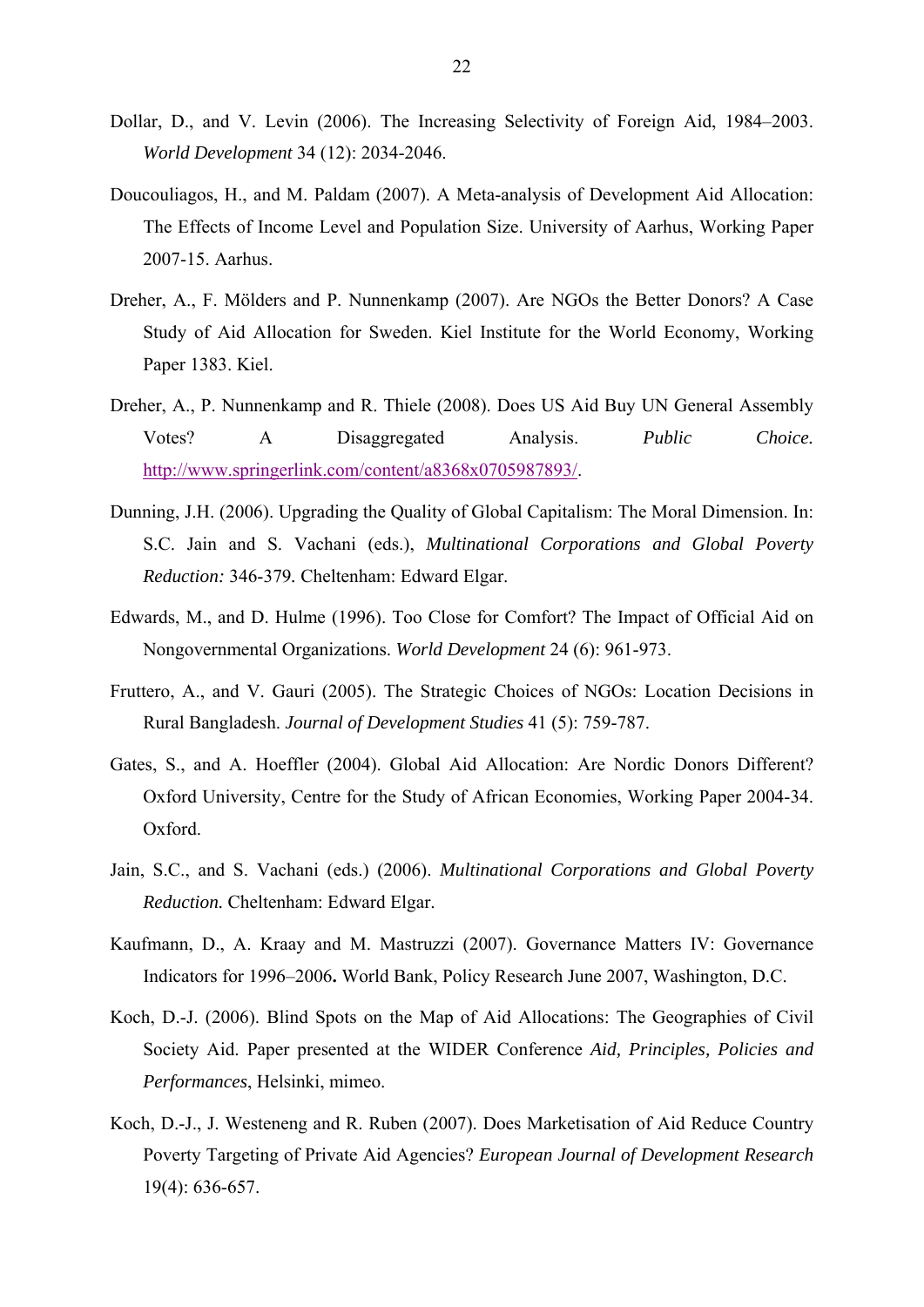- Dollar, D., and V. Levin (2006). The Increasing Selectivity of Foreign Aid, 1984–2003. *World Development* 34 (12): 2034-2046.
- Doucouliagos, H., and M. Paldam (2007). A Meta-analysis of Development Aid Allocation: The Effects of Income Level and Population Size. University of Aarhus, Working Paper 2007-15. Aarhus.
- Dreher, A., F. Mölders and P. Nunnenkamp (2007). Are NGOs the Better Donors? A Case Study of Aid Allocation for Sweden. Kiel Institute for the World Economy, Working Paper 1383. Kiel.
- Dreher, A., P. Nunnenkamp and R. Thiele (2008). Does US Aid Buy UN General Assembly Votes? A Disaggregated Analysis. *Public Choice.* http://www.springerlink.com/content/a8368x0705987893/.
- Dunning, J.H. (2006). Upgrading the Quality of Global Capitalism: The Moral Dimension. In: S.C. Jain and S. Vachani (eds.), *Multinational Corporations and Global Poverty Reduction:* 346-379*.* Cheltenham: Edward Elgar.
- Edwards, M., and D. Hulme (1996). Too Close for Comfort? The Impact of Official Aid on Nongovernmental Organizations. *World Development* 24 (6): 961-973.
- Fruttero, A., and V. Gauri (2005). The Strategic Choices of NGOs: Location Decisions in Rural Bangladesh. *Journal of Development Studies* 41 (5): 759-787.
- Gates, S., and A. Hoeffler (2004). Global Aid Allocation: Are Nordic Donors Different? Oxford University, Centre for the Study of African Economies, Working Paper 2004-34. Oxford.
- Jain, S.C., and S. Vachani (eds.) (2006). *Multinational Corporations and Global Poverty Reduction.* Cheltenham: Edward Elgar.
- Kaufmann, D., A. Kraay and M. Mastruzzi (2007). Governance Matters IV: Governance Indicators for 1996–2006**.** World Bank, Policy Research June 2007, Washington, D.C.
- Koch, D.-J. (2006). Blind Spots on the Map of Aid Allocations: The Geographies of Civil Society Aid. Paper presented at the WIDER Conference *Aid, Principles, Policies and Performances*, Helsinki, mimeo.
- Koch, D.-J., J. Westeneng and R. Ruben (2007). Does Marketisation of Aid Reduce Country Poverty Targeting of Private Aid Agencies? *European Journal of Development Research* 19(4): 636-657.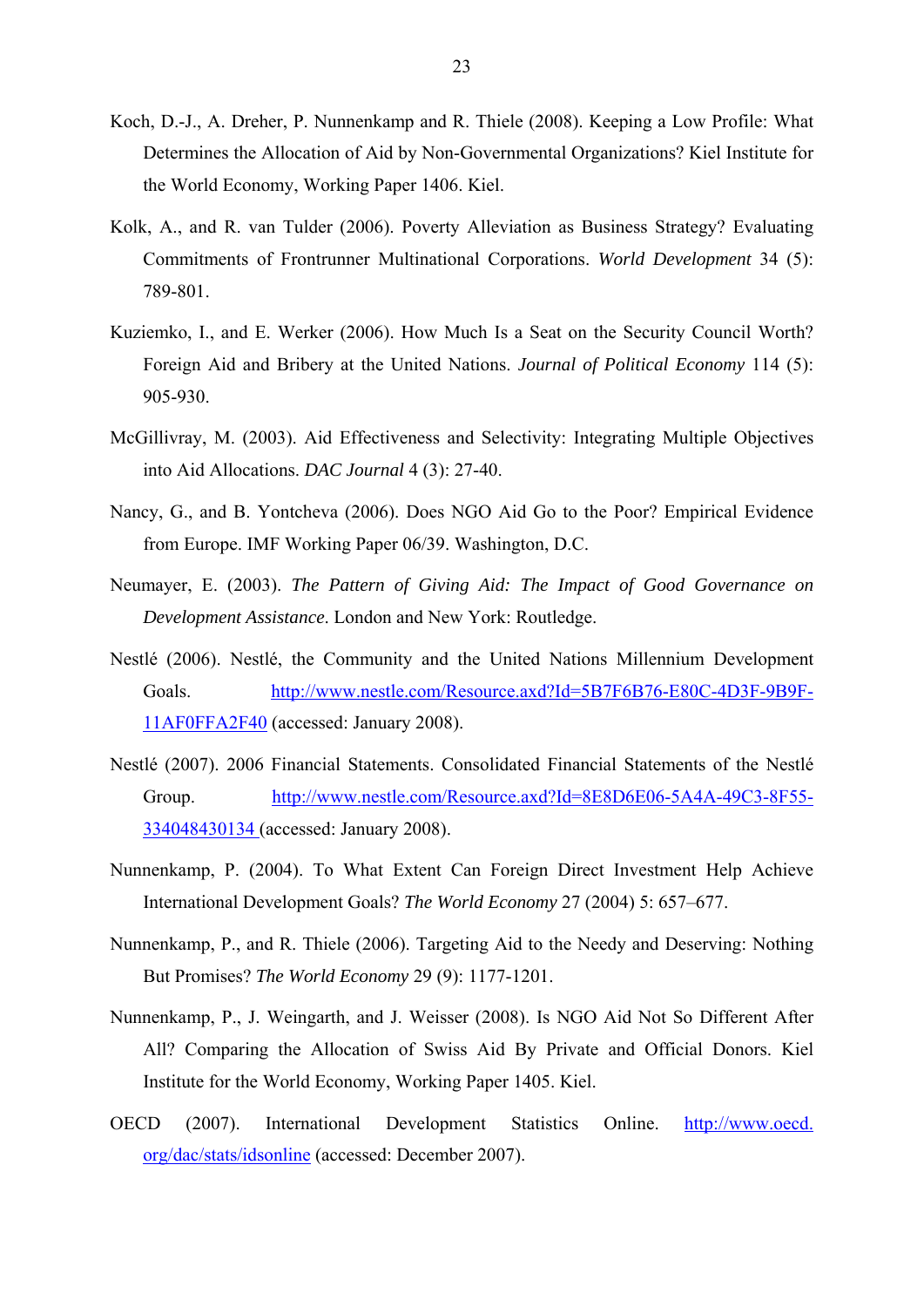- Koch, D.-J., A. Dreher, P. Nunnenkamp and R. Thiele (2008). Keeping a Low Profile: What Determines the Allocation of Aid by Non-Governmental Organizations? Kiel Institute for the World Economy, Working Paper 1406. Kiel.
- Kolk, A., and R. van Tulder (2006). Poverty Alleviation as Business Strategy? Evaluating Commitments of Frontrunner Multinational Corporations. *World Development* 34 (5): 789-801.
- Kuziemko, I., and E. Werker (2006). How Much Is a Seat on the Security Council Worth? Foreign Aid and Bribery at the United Nations. *Journal of Political Economy* 114 (5): 905-930.
- McGillivray, M. (2003). Aid Effectiveness and Selectivity: Integrating Multiple Objectives into Aid Allocations. *DAC Journal* 4 (3): 27-40.
- Nancy, G., and B. Yontcheva (2006). Does NGO Aid Go to the Poor? Empirical Evidence from Europe. IMF Working Paper 06/39. Washington, D.C.
- Neumayer, E. (2003). *The Pattern of Giving Aid: The Impact of Good Governance on Development Assistance*. London and New York: Routledge.
- Nestlé (2006). Nestlé, the Community and the United Nations Millennium Development Goals. http://www.nestle.com/Resource.axd?Id=5B7F6B76-E80C-4D3F-9B9F-11AF0FFA2F40 (accessed: January 2008).
- Nestlé (2007). 2006 Financial Statements. Consolidated Financial Statements of the Nestlé Group. http://www.nestle.com/Resource.axd?Id=8E8D6E06-5A4A-49C3-8F55- 334048430134 (accessed: January 2008).
- Nunnenkamp, P. (2004). To What Extent Can Foreign Direct Investment Help Achieve International Development Goals? *The World Economy* 27 (2004) 5: 657–677.
- Nunnenkamp, P., and R. Thiele (2006). Targeting Aid to the Needy and Deserving: Nothing But Promises? *The World Economy* 29 (9): 1177-1201.
- Nunnenkamp, P., J. Weingarth, and J. Weisser (2008). Is NGO Aid Not So Different After All? Comparing the Allocation of Swiss Aid By Private and Official Donors. Kiel Institute for the World Economy, Working Paper 1405. Kiel.
- OECD (2007). International Development Statistics Online. http://www.oecd. org/dac/stats/idsonline (accessed: December 2007).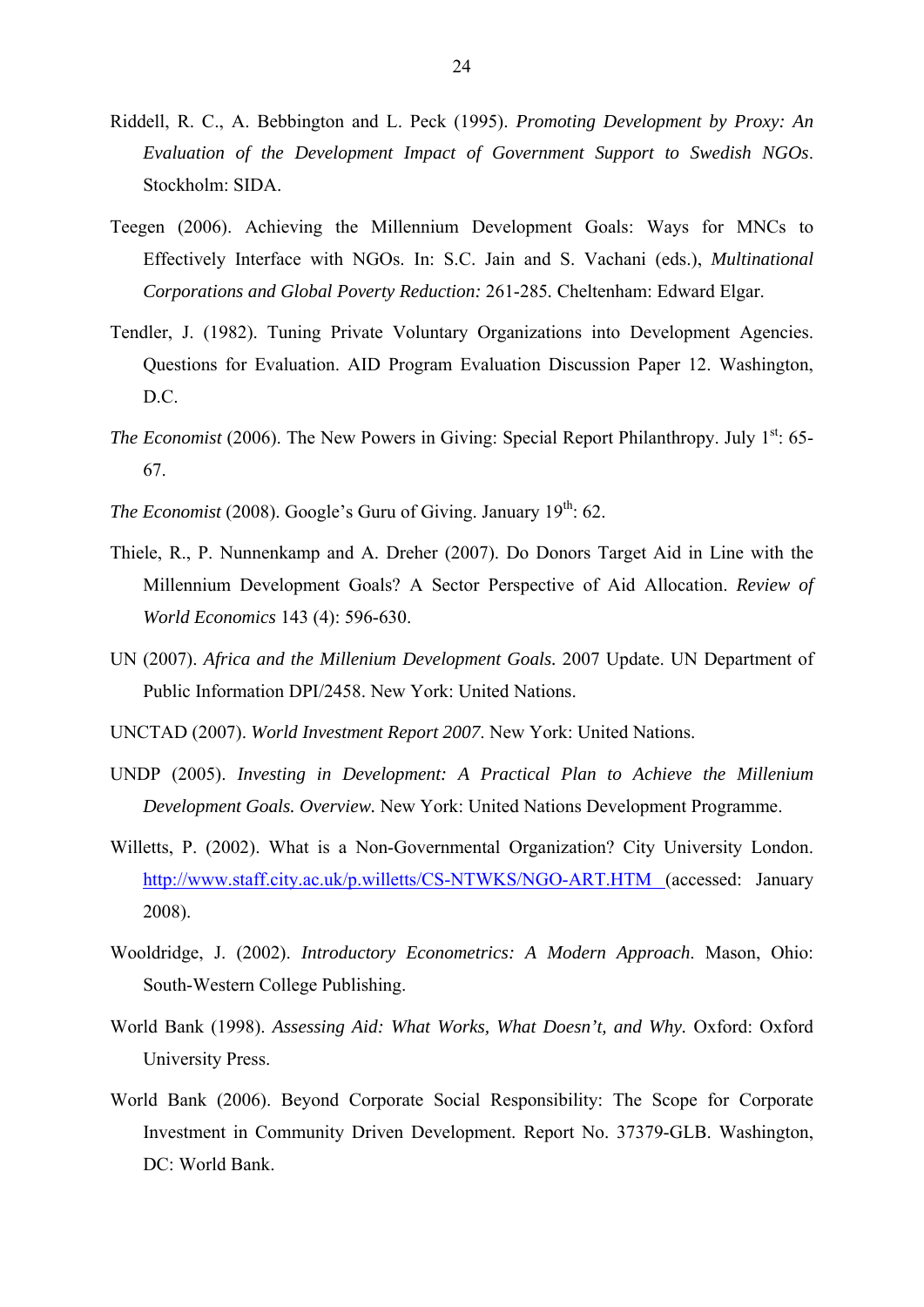- Riddell, R. C., A. Bebbington and L. Peck (1995). *Promoting Development by Proxy: An Evaluation of the Development Impact of Government Support to Swedish NGOs*. Stockholm: SIDA.
- Teegen (2006). Achieving the Millennium Development Goals: Ways for MNCs to Effectively Interface with NGOs. In: S.C. Jain and S. Vachani (eds.), *Multinational Corporations and Global Poverty Reduction:* 261-285*.* Cheltenham: Edward Elgar.
- Tendler, J. (1982). Tuning Private Voluntary Organizations into Development Agencies. Questions for Evaluation. AID Program Evaluation Discussion Paper 12. Washington, D.C.
- *The Economist* (2006). The New Powers in Giving: Special Report Philanthropy. July 1<sup>st</sup>: 65-67.
- *The Economist* (2008). Google's Guru of Giving. January  $19<sup>th</sup>$ : 62.
- Thiele, R., P. Nunnenkamp and A. Dreher (2007). Do Donors Target Aid in Line with the Millennium Development Goals? A Sector Perspective of Aid Allocation. *Review of World Economics* 143 (4): 596-630.
- UN (2007). *Africa and the Millenium Development Goals.* 2007 Update. UN Department of Public Information DPI/2458. New York: United Nations.
- UNCTAD (2007). *World Investment Report 2007*. New York: United Nations.
- UNDP (2005). *Investing in Development: A Practical Plan to Achieve the Millenium Development Goals. Overview.* New York: United Nations Development Programme.
- Willetts, P. (2002). What is a Non-Governmental Organization? City University London. http://www.staff.city.ac.uk/p.willetts/CS-NTWKS/NGO-ART.HTM (accessed: January 2008).
- Wooldridge, J. (2002). *Introductory Econometrics: A Modern Approach*. Mason, Ohio: South-Western College Publishing.
- World Bank (1998). *Assessing Aid: What Works, What Doesn't, and Why.* Oxford: Oxford University Press.
- World Bank (2006). Beyond Corporate Social Responsibility: The Scope for Corporate Investment in Community Driven Development. Report No. 37379-GLB. Washington, DC: World Bank.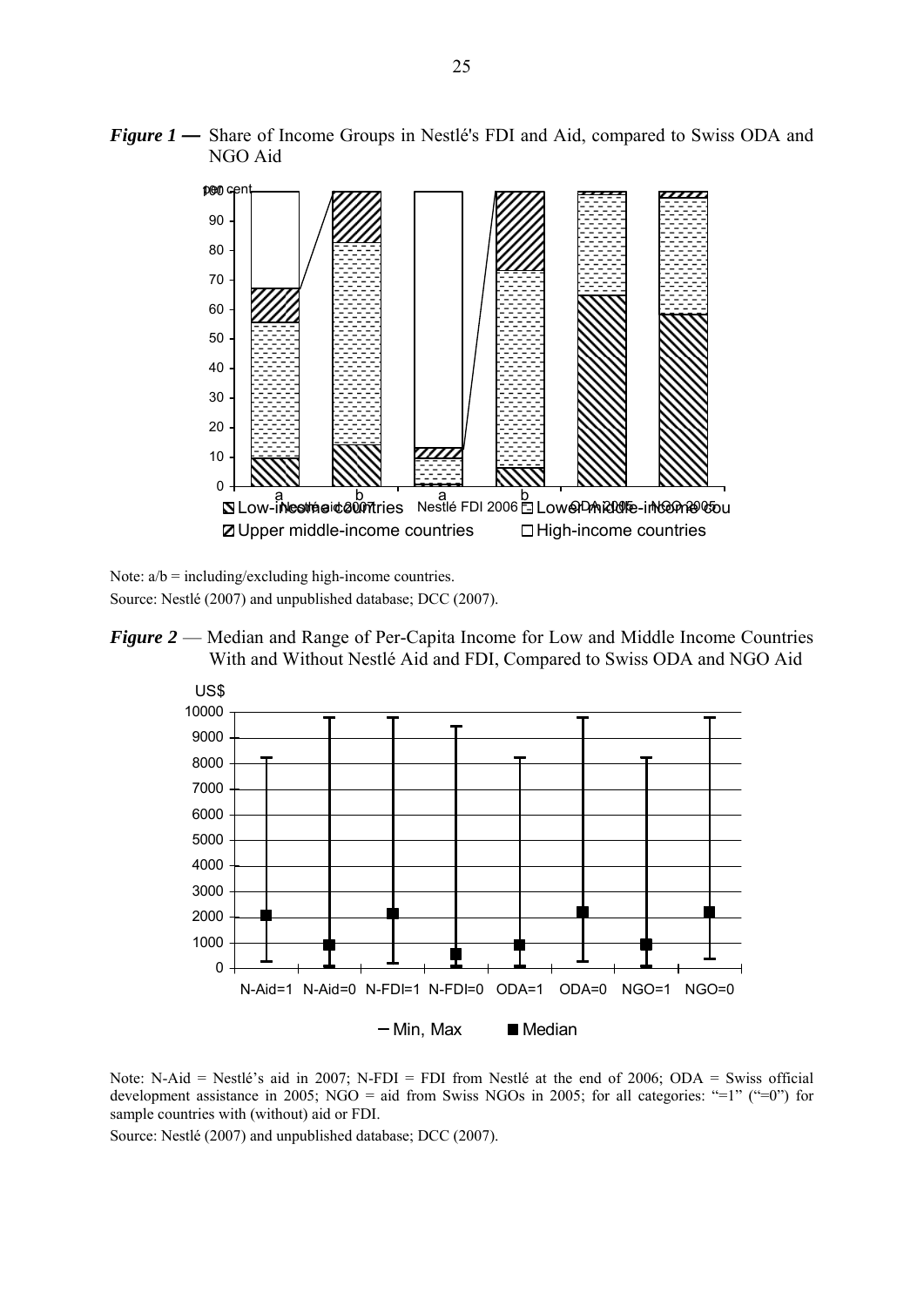



Note:  $a/b = \text{including}/\text{excluding high-income countries.}$ Source: Nestlé (2007) and unpublished database; DCC (2007).

*Figure 2* — Median and Range of Per-Capita Income for Low and Middle Income Countries With and Without Nestlé Aid and FDI, Compared to Swiss ODA and NGO Aid



Note: N-Aid = Nestlé's aid in 2007; N-FDI = FDI from Nestlé at the end of 2006; ODA = Swiss official development assistance in 2005; NGO = aid from Swiss NGOs in 2005; for all categories: "=1" ("=0") for sample countries with (without) aid or FDI.

Source: Nestlé (2007) and unpublished database; DCC (2007).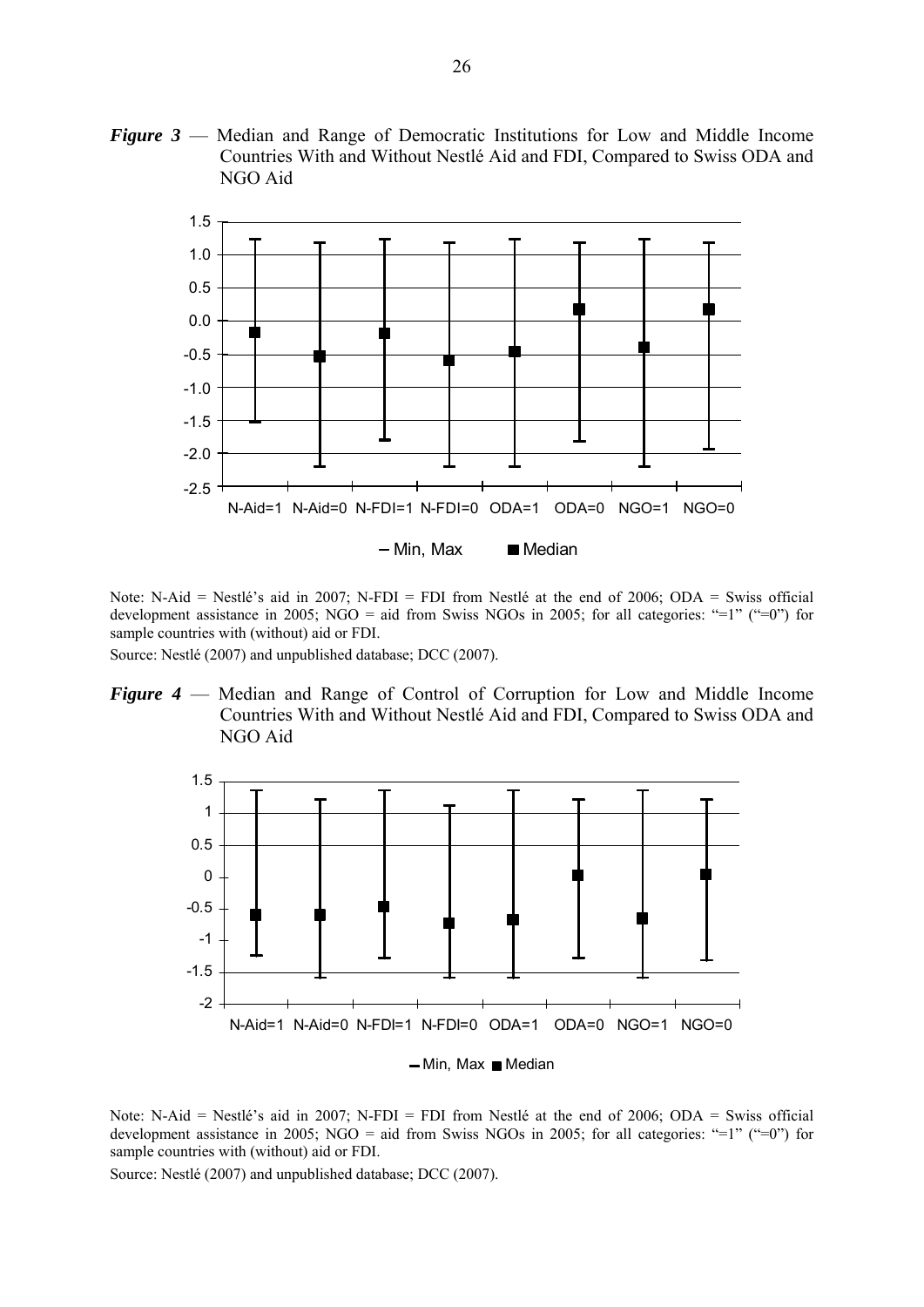*Figure 3* — Median and Range of Democratic Institutions for Low and Middle Income Countries With and Without Nestlé Aid and FDI, Compared to Swiss ODA and NGO Aid



Note: N-Aid = Nestlé's aid in 2007; N-FDI = FDI from Nestlé at the end of 2006; ODA = Swiss official development assistance in 2005; NGO = aid from Swiss NGOs in 2005; for all categories: "=1" ("=0") for sample countries with (without) aid or FDI.

Source: Nestlé (2007) and unpublished database; DCC (2007).

*Figure 4* — Median and Range of Control of Corruption for Low and Middle Income Countries With and Without Nestlé Aid and FDI, Compared to Swiss ODA and NGO Aid



Note: N-Aid = Nestlé's aid in 2007; N-FDI = FDI from Nestlé at the end of 2006; ODA = Swiss official development assistance in 2005; NGO = aid from Swiss NGOs in 2005; for all categories: "=1" ("=0") for sample countries with (without) aid or FDI.

Source: Nestlé (2007) and unpublished database; DCC (2007).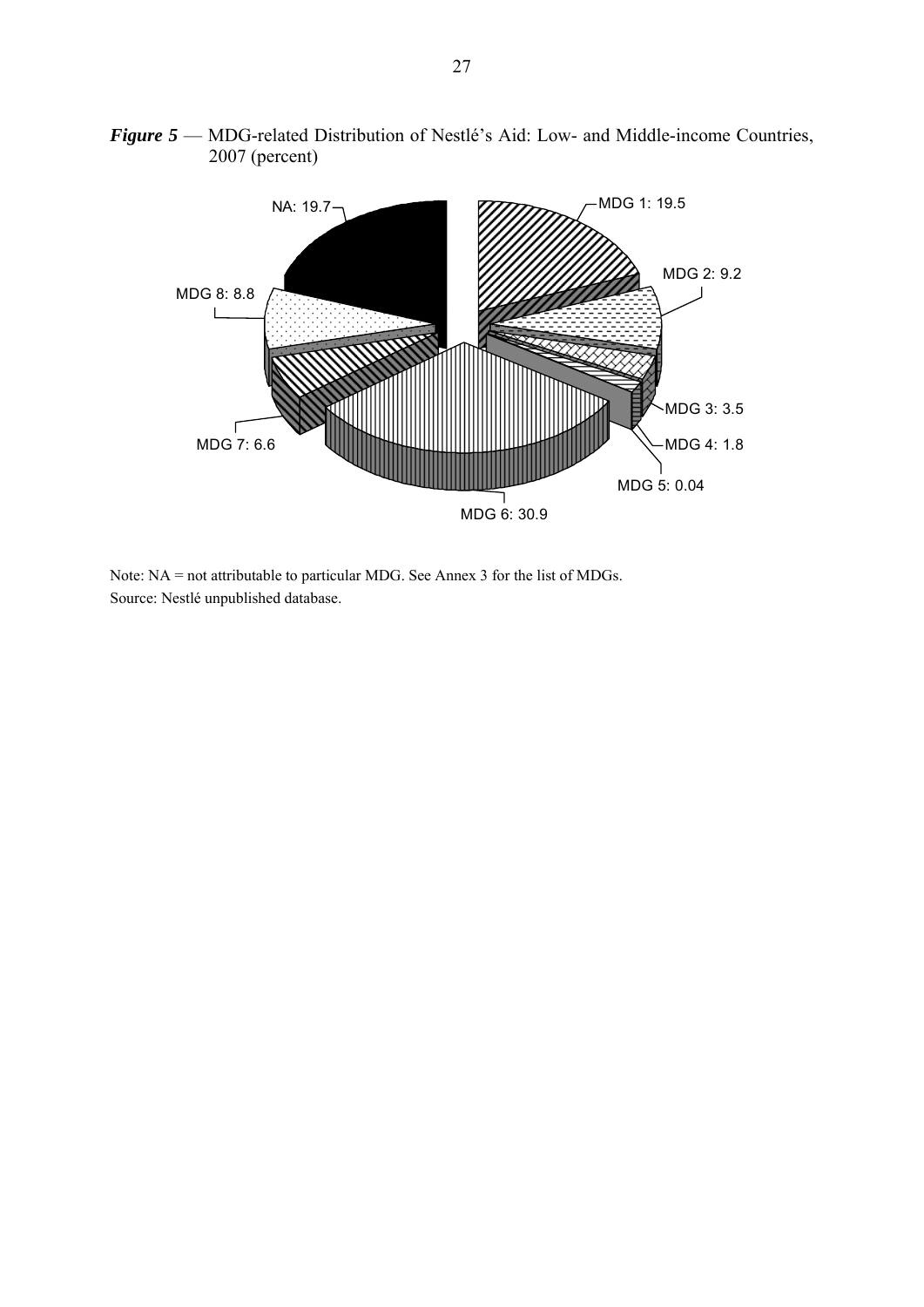

*Figure 5* — MDG-related Distribution of Nestlé's Aid: Low- and Middle-income Countries, 2007 (percent)

Note: NA = not attributable to particular MDG. See Annex 3 for the list of MDGs. Source: Nestlé unpublished database.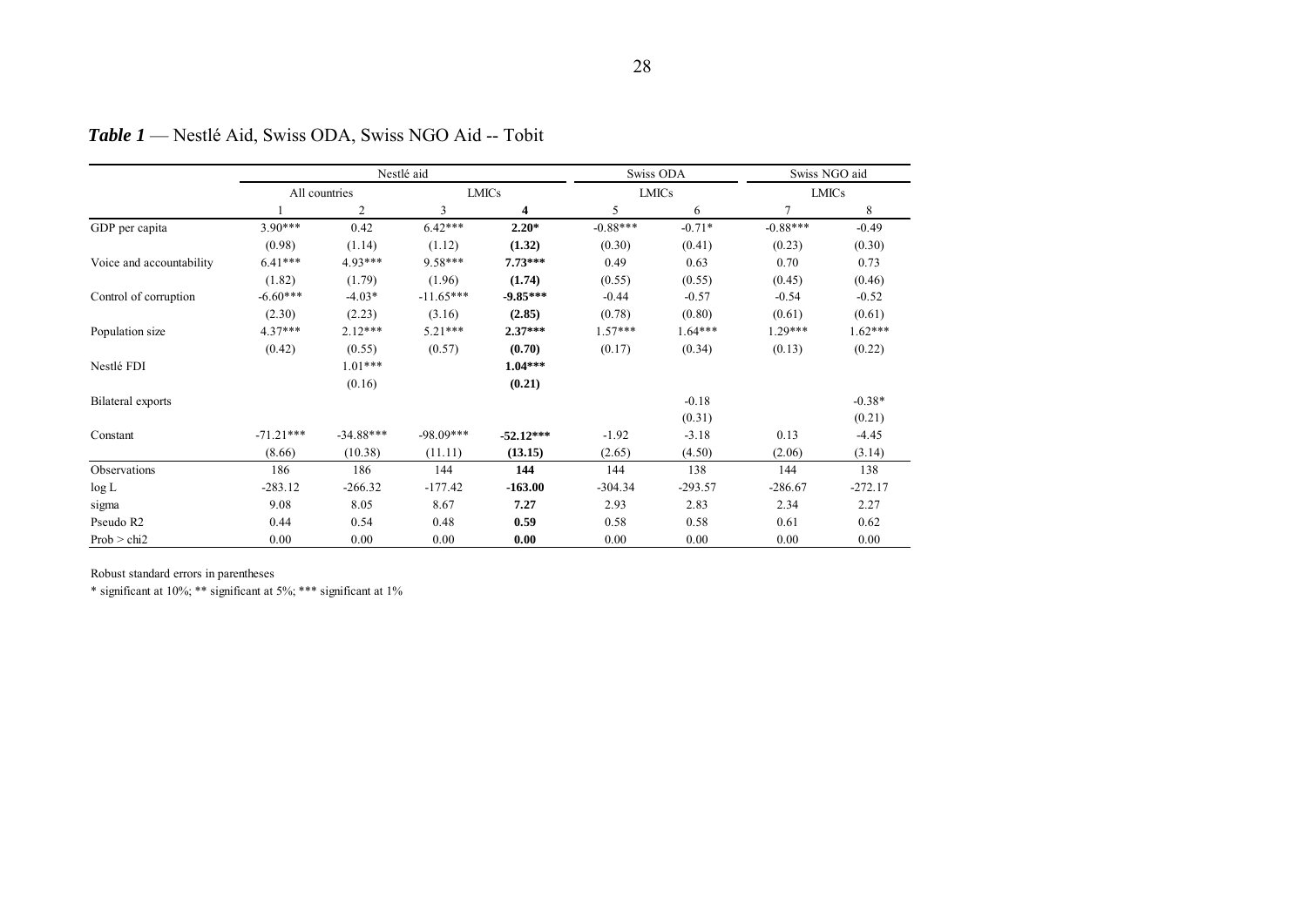|                          |             |                | Nestlé aid  |              | Swiss ODA  |              | Swiss NGO aid |              |
|--------------------------|-------------|----------------|-------------|--------------|------------|--------------|---------------|--------------|
|                          |             | All countries  |             | <b>LMICs</b> |            | <b>LMICs</b> |               | <b>LMICs</b> |
|                          |             | $\overline{c}$ | 3           | 4            | 5          | 6            | 7             | 8            |
| GDP per capita           | $3.90***$   | 0.42           | $6.42***$   | $2.20*$      | $-0.88***$ | $-0.71*$     | $-0.88***$    | $-0.49$      |
|                          | (0.98)      | (1.14)         | (1.12)      | (1.32)       | (0.30)     | (0.41)       | (0.23)        | (0.30)       |
| Voice and accountability | $6.41***$   | $4.93***$      | 9.58***     | $7.73***$    | 0.49       | 0.63         | 0.70          | 0.73         |
|                          | (1.82)      | (1.79)         | (1.96)      | (1.74)       | (0.55)     | (0.55)       | (0.45)        | (0.46)       |
| Control of corruption    | $-6.60***$  | $-4.03*$       | $-11.65***$ | $-9.85***$   | $-0.44$    | $-0.57$      | $-0.54$       | $-0.52$      |
|                          | (2.30)      | (2.23)         | (3.16)      | (2.85)       | (0.78)     | (0.80)       | (0.61)        | (0.61)       |
| Population size          | $4.37***$   | $2.12***$      | $5.21***$   | $2.37***$    | $1.57***$  | $1.64***$    | 1.29***       | $1.62***$    |
|                          | (0.42)      | (0.55)         | (0.57)      | (0.70)       | (0.17)     | (0.34)       | (0.13)        | (0.22)       |
| Nestlé FDI               |             | $1.01***$      |             | $1.04***$    |            |              |               |              |
|                          |             | (0.16)         |             | (0.21)       |            |              |               |              |
| Bilateral exports        |             |                |             |              |            | $-0.18$      |               | $-0.38*$     |
|                          |             |                |             |              |            | (0.31)       |               | (0.21)       |
| Constant                 | $-71.21***$ | $-34.88***$    | $-98.09***$ | $-52.12***$  | $-1.92$    | $-3.18$      | 0.13          | $-4.45$      |
|                          | (8.66)      | (10.38)        | (11.11)     | (13.15)      | (2.65)     | (4.50)       | (2.06)        | (3.14)       |
| Observations             | 186         | 186            | 144         | 144          | 144        | 138          | 144           | 138          |
| log L                    | $-283.12$   | $-266.32$      | $-177.42$   | $-163.00$    | $-304.34$  | $-293.57$    | $-286.67$     | $-272.17$    |
| sigma                    | 9.08        | 8.05           | 8.67        | 7.27         | 2.93       | 2.83         | 2.34          | 2.27         |
| Pseudo R2                | 0.44        | 0.54           | 0.48        | 0.59         | 0.58       | 0.58         | 0.61          | 0.62         |
| Prob > chi2              | 0.00        | 0.00           | 0.00        | 0.00         | 0.00       | 0.00         | 0.00          | 0.00         |

*Table 1* — Nestlé Aid, Swiss ODA, Swiss NGO Aid -- Tobit

Robust standard errors in parentheses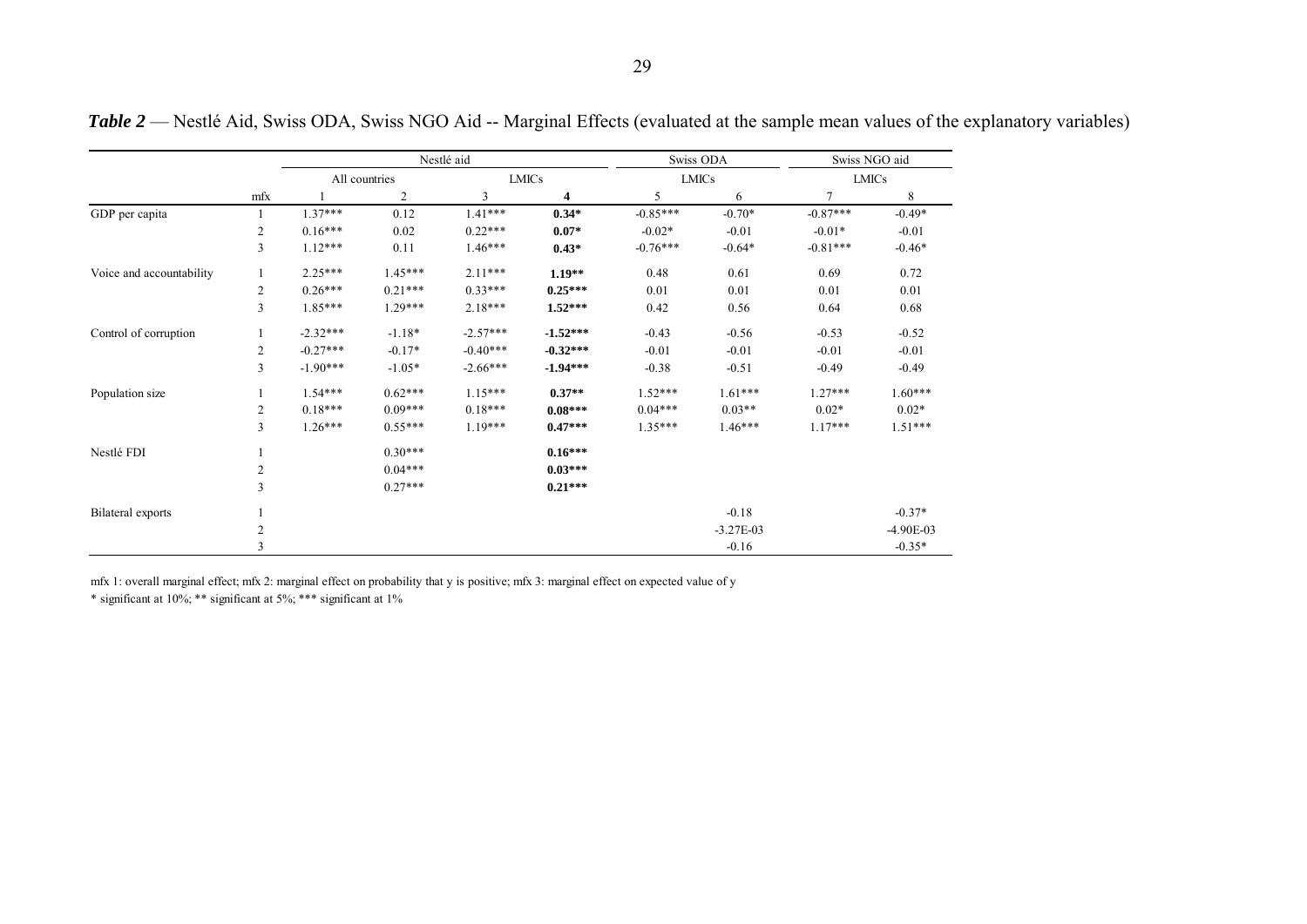|                          |                         |               |                | Nestlé aid   |            |              | Swiss ODA   |               | Swiss NGO aid |
|--------------------------|-------------------------|---------------|----------------|--------------|------------|--------------|-------------|---------------|---------------|
|                          |                         | All countries |                | <b>LMICs</b> |            | <b>LMICs</b> |             | <b>LMICs</b>  |               |
|                          | mfx                     |               | $\overline{2}$ | 3            | 4          | 5            | 6           | $\mathcal{I}$ | 8             |
| GDP per capita           |                         | $1.37***$     | 0.12           | $1.41***$    | $0.34*$    | $-0.85***$   | $-0.70*$    | $-0.87***$    | $-0.49*$      |
|                          | 2                       | $0.16***$     | 0.02           | $0.22***$    | $0.07*$    | $-0.02*$     | $-0.01$     | $-0.01*$      | $-0.01$       |
|                          | 3                       | $1.12***$     | 0.11           | 1.46***      | $0.43*$    | $-0.76***$   | $-0.64*$    | $-0.81***$    | $-0.46*$      |
| Voice and accountability | 1                       | $2.25***$     | $1.45***$      | $2.11***$    | $1.19**$   | 0.48         | 0.61        | 0.69          | 0.72          |
|                          | 2                       | $0.26***$     | $0.21***$      | $0.33***$    | $0.25***$  | 0.01         | 0.01        | 0.01          | 0.01          |
|                          | 3                       | $1.85***$     | $1.29***$      | $2.18***$    | $1.52***$  | 0.42         | 0.56        | 0.64          | 0.68          |
| Control of corruption    |                         | $-2.32***$    | $-1.18*$       | $-2.57***$   | $-1.52***$ | $-0.43$      | $-0.56$     | $-0.53$       | $-0.52$       |
|                          | 2                       | $-0.27***$    | $-0.17*$       | $-0.40***$   | $-0.32***$ | $-0.01$      | $-0.01$     | $-0.01$       | $-0.01$       |
|                          | 3                       | $-1.90***$    | $-1.05*$       | $-2.66***$   | $-1.94***$ | $-0.38$      | $-0.51$     | $-0.49$       | $-0.49$       |
| Population size          |                         | $1.54***$     | $0.62***$      | $1.15***$    | $0.37**$   | $1.52***$    | $1.61***$   | $1.27***$     | 1.60***       |
|                          | 2                       | $0.18***$     | $0.09***$      | $0.18***$    | $0.08***$  | $0.04***$    | $0.03**$    | $0.02*$       | $0.02*$       |
|                          | 3                       | $1.26***$     | $0.55***$      | $1.19***$    | $0.47***$  | $1.35***$    | $1.46***$   | $1.17***$     | $1.51***$     |
| Nestlé FDI               |                         |               | $0.30***$      |              | $0.16***$  |              |             |               |               |
|                          | $\overline{\mathbf{c}}$ |               | $0.04***$      |              | $0.03***$  |              |             |               |               |
|                          | 3                       |               | $0.27***$      |              | $0.21***$  |              |             |               |               |
| Bilateral exports        |                         |               |                |              |            |              | $-0.18$     |               | $-0.37*$      |
|                          | 2                       |               |                |              |            |              | $-3.27E-03$ |               | $-4.90E-03$   |
|                          | $\mathcal{E}$           |               |                |              |            |              | $-0.16$     |               | $-0.35*$      |

*Table 2* — Nestlé Aid, Swiss ODA, Swiss NGO Aid -- Marginal Effects (evaluated at the sample mean values of the explanatory variables)

mfx 1: overall marginal effect; mfx 2: marginal effect on probability that y is positive; mfx 3: marginal effect on expected value of y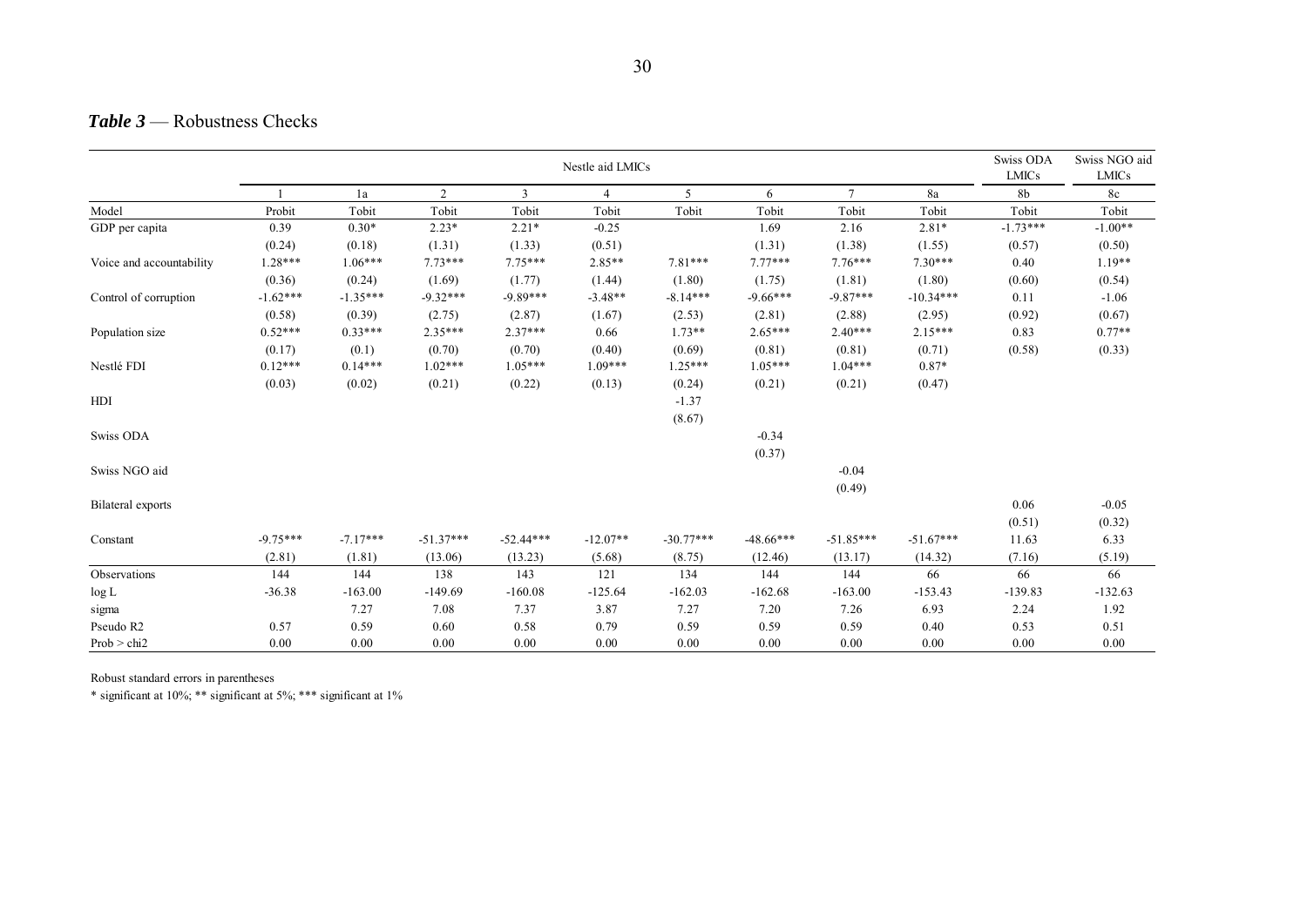#### *Table 3* — Robustness Checks

|                          | Nestle aid LMICs |            |                |                |                |             |             |             | Swiss ODA<br><b>LMICs</b> | Swiss NGO aid<br><b>LMICs</b> |           |
|--------------------------|------------------|------------|----------------|----------------|----------------|-------------|-------------|-------------|---------------------------|-------------------------------|-----------|
|                          |                  | 1a         | $\overline{2}$ | $\overline{3}$ | $\overline{4}$ | 5           | 6           | $\tau$      | 8a                        | 8b                            | 8c        |
| Model                    | Probit           | Tobit      | Tobit          | Tobit          | Tobit          | Tobit       | Tobit       | Tobit       | Tobit                     | Tobit                         | Tobit     |
| GDP per capita           | 0.39             | $0.30*$    | $2.23*$        | $2.21*$        | $-0.25$        |             | 1.69        | 2.16        | $2.81*$                   | $-1.73***$                    | $-1.00**$ |
|                          | (0.24)           | (0.18)     | (1.31)         | (1.33)         | (0.51)         |             | (1.31)      | (1.38)      | (1.55)                    | (0.57)                        | (0.50)    |
| Voice and accountability | 1.28***          | $1.06***$  | $7.73***$      | $7.75***$      | $2.85**$       | $7.81***$   | $7.77***$   | $7.76***$   | $7.30***$                 | 0.40                          | $1.19**$  |
|                          | (0.36)           | (0.24)     | (1.69)         | (1.77)         | (1.44)         | (1.80)      | (1.75)      | (1.81)      | (1.80)                    | (0.60)                        | (0.54)    |
| Control of corruption    | $-1.62***$       | $-1.35***$ | $-9.32***$     | $-9.89***$     | $-3.48**$      | $-8.14***$  | $-9.66***$  | $-9.87***$  | $-10.34***$               | 0.11                          | $-1.06$   |
|                          | (0.58)           | (0.39)     | (2.75)         | (2.87)         | (1.67)         | (2.53)      | (2.81)      | (2.88)      | (2.95)                    | (0.92)                        | (0.67)    |
| Population size          | $0.52***$        | $0.33***$  | $2.35***$      | $2.37***$      | 0.66           | $1.73**$    | $2.65***$   | $2.40***$   | 2.15***                   | 0.83                          | $0.77**$  |
|                          | (0.17)           | (0.1)      | (0.70)         | (0.70)         | (0.40)         | (0.69)      | (0.81)      | (0.81)      | (0.71)                    | (0.58)                        | (0.33)    |
| Nestlé FDI               | $0.12***$        | $0.14***$  | $1.02***$      | $1.05***$      | $1.09***$      | $1.25***$   | $1.05***$   | $1.04***$   | $0.87*$                   |                               |           |
|                          | (0.03)           | (0.02)     | (0.21)         | (0.22)         | (0.13)         | (0.24)      | (0.21)      | (0.21)      | (0.47)                    |                               |           |
| HDI                      |                  |            |                |                |                | $-1.37$     |             |             |                           |                               |           |
|                          |                  |            |                |                |                | (8.67)      |             |             |                           |                               |           |
| Swiss ODA                |                  |            |                |                |                |             | $-0.34$     |             |                           |                               |           |
|                          |                  |            |                |                |                |             | (0.37)      |             |                           |                               |           |
| Swiss NGO aid            |                  |            |                |                |                |             |             | $-0.04$     |                           |                               |           |
|                          |                  |            |                |                |                |             |             | (0.49)      |                           |                               |           |
| Bilateral exports        |                  |            |                |                |                |             |             |             |                           | 0.06                          | $-0.05$   |
|                          |                  |            |                |                |                |             |             |             |                           | (0.51)                        | (0.32)    |
| Constant                 | $-9.75***$       | $-7.17***$ | $-51.37***$    | $-52.44***$    | $-12.07**$     | $-30.77***$ | $-48.66***$ | $-51.85***$ | $-51.67***$               | 11.63                         | 6.33      |
|                          | (2.81)           | (1.81)     | (13.06)        | (13.23)        | (5.68)         | (8.75)      | (12.46)     | (13.17)     | (14.32)                   | (7.16)                        | (5.19)    |
| Observations             | 144              | 144        | 138            | 143            | 121            | 134         | 144         | 144         | 66                        | 66                            | 66        |
| log L                    | $-36.38$         | $-163.00$  | $-149.69$      | $-160.08$      | $-125.64$      | $-162.03$   | $-162.68$   | $-163.00$   | $-153.43$                 | $-139.83$                     | $-132.63$ |
| sigma                    |                  | 7.27       | 7.08           | 7.37           | 3.87           | 7.27        | 7.20        | 7.26        | 6.93                      | 2.24                          | 1.92      |
| Pseudo R2                | 0.57             | 0.59       | 0.60           | 0.58           | 0.79           | 0.59        | 0.59        | 0.59        | 0.40                      | 0.53                          | 0.51      |
| Prob > chi2              | 0.00             | 0.00       | 0.00           | 0.00           | 0.00           | 0.00        | 0.00        | 0.00        | 0.00                      | 0.00                          | 0.00      |

Robust standard errors in parentheses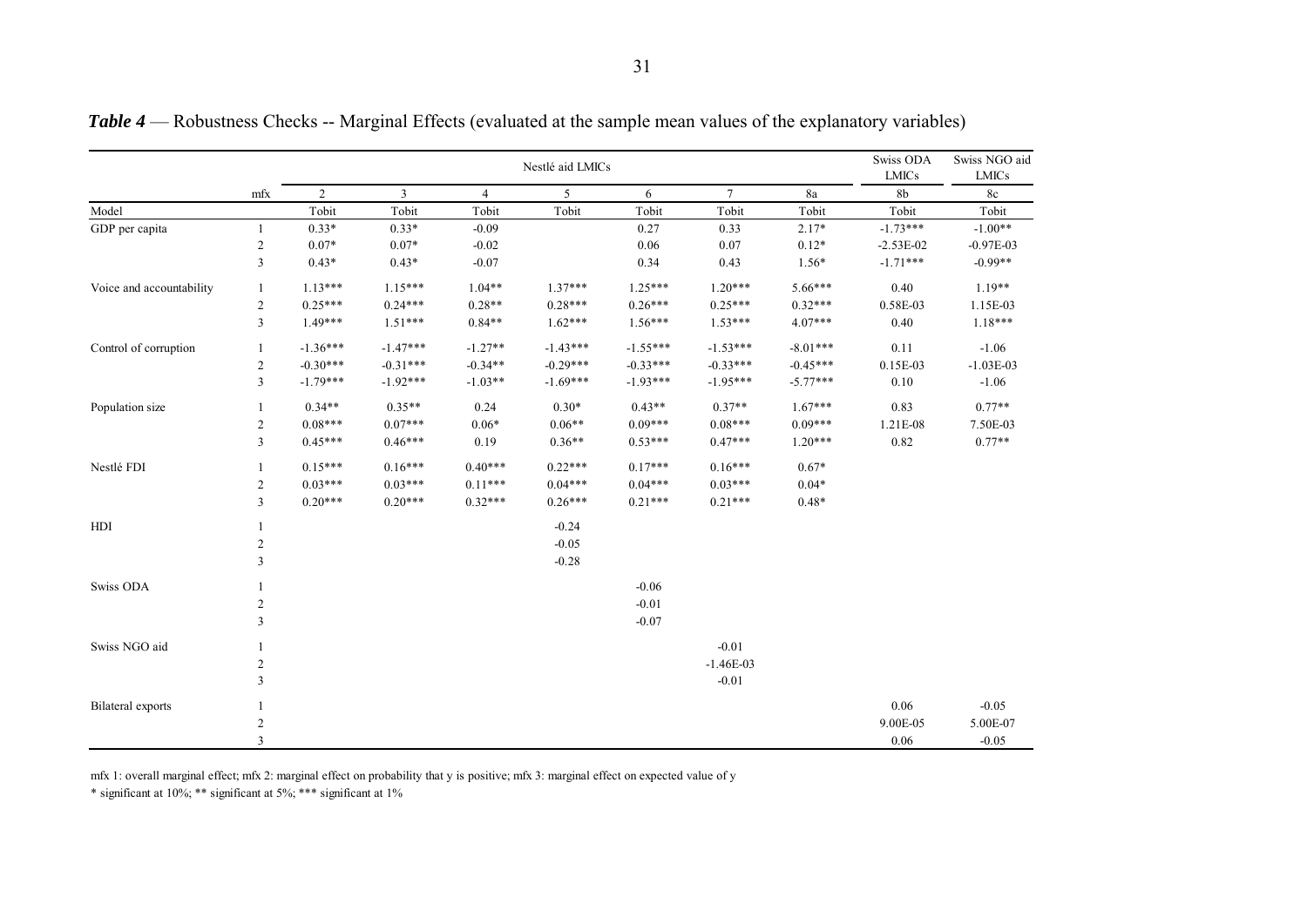|                          |                |                |            |                | Nestlé aid LMICs |            |                 |               | Swiss ODA<br><b>LMICs</b> | Swiss NGO aid<br><b>LMICs</b> |
|--------------------------|----------------|----------------|------------|----------------|------------------|------------|-----------------|---------------|---------------------------|-------------------------------|
|                          | mfx            | $\overline{2}$ | 3          | $\overline{4}$ | 5                | 6          | $7\overline{ }$ | $8\mathrm{a}$ | 8 <sub>b</sub>            | $8\mathrm{c}$                 |
| Model                    |                | Tobit          | Tobit      | Tobit          | Tobit            | Tobit      | Tobit           | Tobit         | Tobit                     | Tobit                         |
| GDP per capita           | $\mathbf{1}$   | $0.33*$        | $0.33*$    | $-0.09$        |                  | 0.27       | 0.33            | $2.17*$       | $-1.73***$                | $-1.00**$                     |
|                          | $\overline{2}$ | $0.07*$        | $0.07*$    | $-0.02$        |                  | 0.06       | 0.07            | $0.12*$       | $-2.53E-02$               | $-0.97E-03$                   |
|                          | $\overline{3}$ | $0.43*$        | $0.43*$    | $-0.07$        |                  | 0.34       | 0.43            | $1.56*$       | $-1.71***$                | $-0.99**$                     |
| Voice and accountability | 1              | $1.13***$      | $1.15***$  | $1.04**$       | $1.37***$        | $1.25***$  | $1.20***$       | 5.66***       | 0.40                      | $1.19**$                      |
|                          | $\overline{2}$ | $0.25***$      | $0.24***$  | $0.28**$       | $0.28***$        | $0.26***$  | $0.25***$       | $0.32***$     | 0.58E-03                  | 1.15E-03                      |
|                          | $\overline{3}$ | $1.49***$      | $1.51***$  | $0.84**$       | $1.62***$        | $1.56***$  | $1.53***$       | $4.07***$     | 0.40                      | $1.18***$                     |
| Control of corruption    | 1              | $-1.36***$     | $-1.47***$ | $-1.27**$      | $-1.43***$       | $-1.55***$ | $-1.53***$      | $-8.01***$    | 0.11                      | $-1.06$                       |
|                          | $\sqrt{2}$     | $-0.30***$     | $-0.31***$ | $-0.34**$      | $-0.29***$       | $-0.33***$ | $-0.33***$      | $-0.45***$    | 0.15E-03                  | $-1.03E-03$                   |
|                          | $\mathfrak{Z}$ | $-1.79***$     | $-1.92***$ | $-1.03**$      | $-1.69***$       | $-1.93***$ | $-1.95***$      | $-5.77***$    | 0.10                      | $-1.06$                       |
| Population size          | -1             | $0.34**$       | $0.35**$   | 0.24           | $0.30*$          | $0.43**$   | $0.37**$        | $1.67***$     | 0.83                      | $0.77**$                      |
|                          | $\overline{2}$ | $0.08***$      | $0.07***$  | $0.06*$        | $0.06**$         | $0.09***$  | $0.08***$       | $0.09***$     | 1.21E-08                  | 7.50E-03                      |
|                          | 3              | $0.45***$      | $0.46***$  | 0.19           | $0.36**$         | $0.53***$  | $0.47***$       | $1.20***$     | 0.82                      | $0.77**$                      |
| Nestlé FDI               | -1             | $0.15***$      | $0.16***$  | $0.40***$      | $0.22***$        | $0.17***$  | $0.16***$       | $0.67*$       |                           |                               |
|                          | $\overline{2}$ | $0.03***$      | $0.03***$  | $0.11***$      | $0.04***$        | $0.04***$  | $0.03***$       | $0.04*$       |                           |                               |
|                          | 3              | $0.20***$      | $0.20***$  | $0.32***$      | $0.26***$        | $0.21***$  | $0.21***$       | $0.48*$       |                           |                               |
| HDI                      | -1             |                |            |                | $-0.24$          |            |                 |               |                           |                               |
|                          | $\overline{c}$ |                |            |                | $-0.05$          |            |                 |               |                           |                               |
|                          | $\mathfrak{Z}$ |                |            |                | $-0.28$          |            |                 |               |                           |                               |
| Swiss ODA                |                |                |            |                |                  | $-0.06$    |                 |               |                           |                               |
|                          | $\overline{2}$ |                |            |                |                  | $-0.01$    |                 |               |                           |                               |
|                          | $\overline{3}$ |                |            |                |                  | $-0.07$    |                 |               |                           |                               |
| Swiss NGO aid            | $\mathbf{1}$   |                |            |                |                  |            | $-0.01$         |               |                           |                               |
|                          | $\sqrt{2}$     |                |            |                |                  |            | $-1.46E-03$     |               |                           |                               |
|                          | $\overline{3}$ |                |            |                |                  |            | $-0.01$         |               |                           |                               |
| Bilateral exports        |                |                |            |                |                  |            |                 |               | 0.06                      | $-0.05$                       |
|                          | $\overline{2}$ |                |            |                |                  |            |                 |               | 9.00E-05                  | 5.00E-07                      |
|                          | 3              |                |            |                |                  |            |                 |               | 0.06                      | $-0.05$                       |

*Table 4* — Robustness Checks -- Marginal Effects (evaluated at the sample mean values of the explanatory variables)

mfx 1: overall marginal effect; mfx 2: marginal effect on probability that y is positive; mfx 3: marginal effect on expected value of y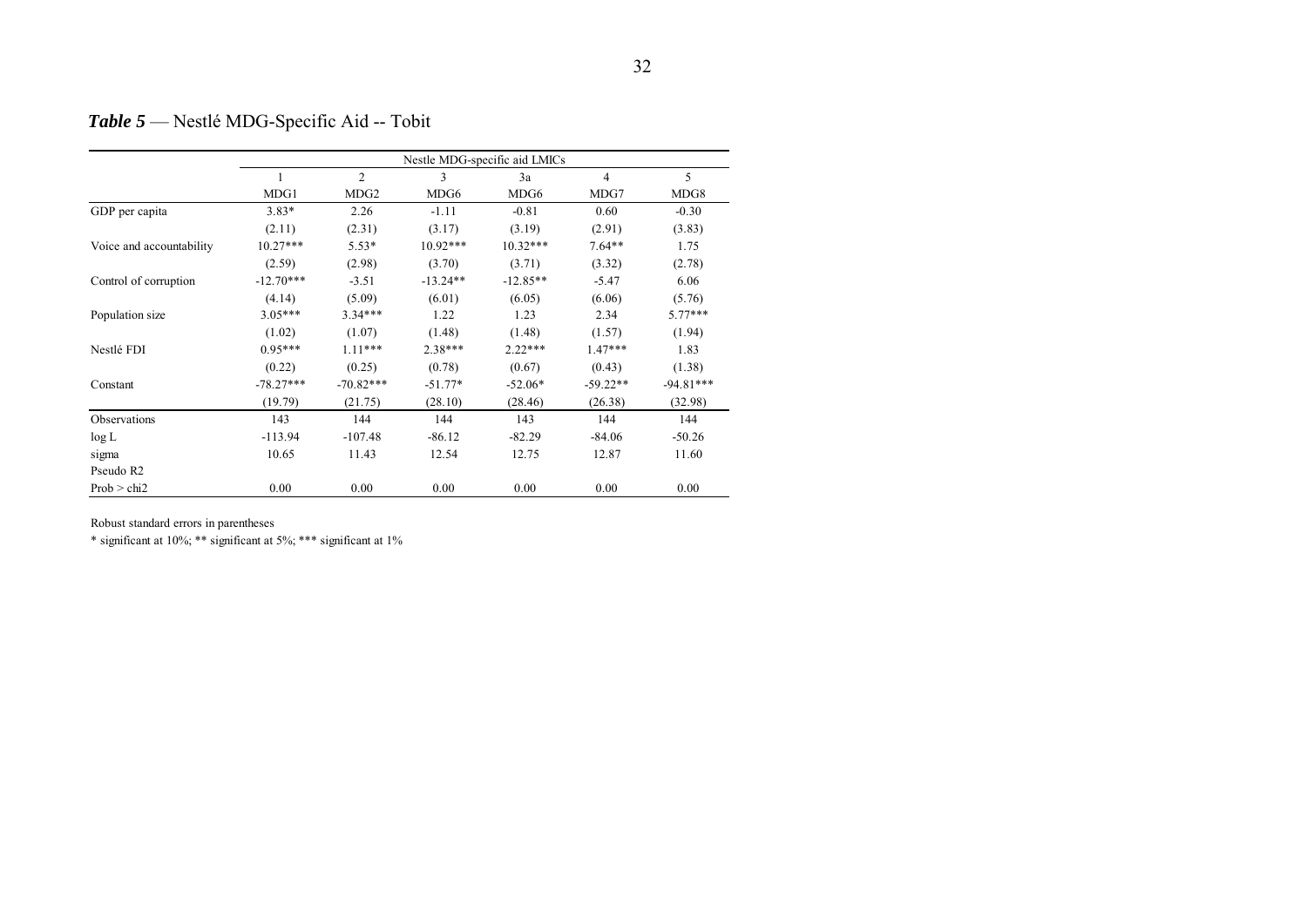# *Table 5* — Nestlé MDG-Specific Aid -- Tobit

|                          | Nestle MDG-specific aid LMICs |                  |            |            |                |             |  |  |  |
|--------------------------|-------------------------------|------------------|------------|------------|----------------|-------------|--|--|--|
|                          | 1                             | 2                | 3          | 3a         | $\overline{4}$ | 5           |  |  |  |
|                          | MDG1                          | MDG <sub>2</sub> | MDG6       | MDG6       | MDG7           | MDG8        |  |  |  |
| GDP per capita           | $3.83*$                       | 2.26             | $-1.11$    | $-0.81$    | 0.60           | $-0.30$     |  |  |  |
|                          | (2.11)                        | (2.31)           | (3.17)     | (3.19)     | (2.91)         | (3.83)      |  |  |  |
| Voice and accountability | $10.27***$                    | $5.53*$          | $10.92***$ | $10.32***$ | $7.64**$       | 1.75        |  |  |  |
|                          | (2.59)                        | (2.98)           | (3.70)     | (3.71)     | (3.32)         | (2.78)      |  |  |  |
| Control of corruption    | $-12.70***$                   | $-3.51$          | $-13.24**$ | $-12.85**$ | $-5.47$        | 6.06        |  |  |  |
|                          | (4.14)                        | (5.09)           | (6.01)     | (6.05)     | (6.06)         | (5.76)      |  |  |  |
| Population size          | $3.05***$                     | $3.34***$        | 1.22       | 1.23       | 2.34           | $5.77***$   |  |  |  |
|                          | (1.02)                        | (1.07)           | (1.48)     | (1.48)     | (1.57)         | (1.94)      |  |  |  |
| Nestlé FDI               | $0.95***$                     | $1.11***$        | $2.38***$  | $2.22***$  | $1.47***$      | 1.83        |  |  |  |
|                          | (0.22)                        | (0.25)           | (0.78)     | (0.67)     | (0.43)         | (1.38)      |  |  |  |
| Constant                 | $-78.27***$                   | $-70.82***$      | $-51.77*$  | $-52.06*$  | $-59.22**$     | $-94.81***$ |  |  |  |
|                          | (19.79)                       | (21.75)          | (28.10)    | (28.46)    | (26.38)        | (32.98)     |  |  |  |
| Observations             | 143                           | 144              | 144        | 143        | 144            | 144         |  |  |  |
| log L                    | $-113.94$                     | $-107.48$        | $-86.12$   | $-82.29$   | $-84.06$       | $-50.26$    |  |  |  |
| sigma                    | 10.65                         | 11.43            | 12.54      | 12.75      | 12.87          | 11.60       |  |  |  |
| Pseudo R2                |                               |                  |            |            |                |             |  |  |  |
| Prob > chi2              | 0.00                          | 0.00             | 0.00       | 0.00       | 0.00           | 0.00        |  |  |  |

Robust standard errors in parentheses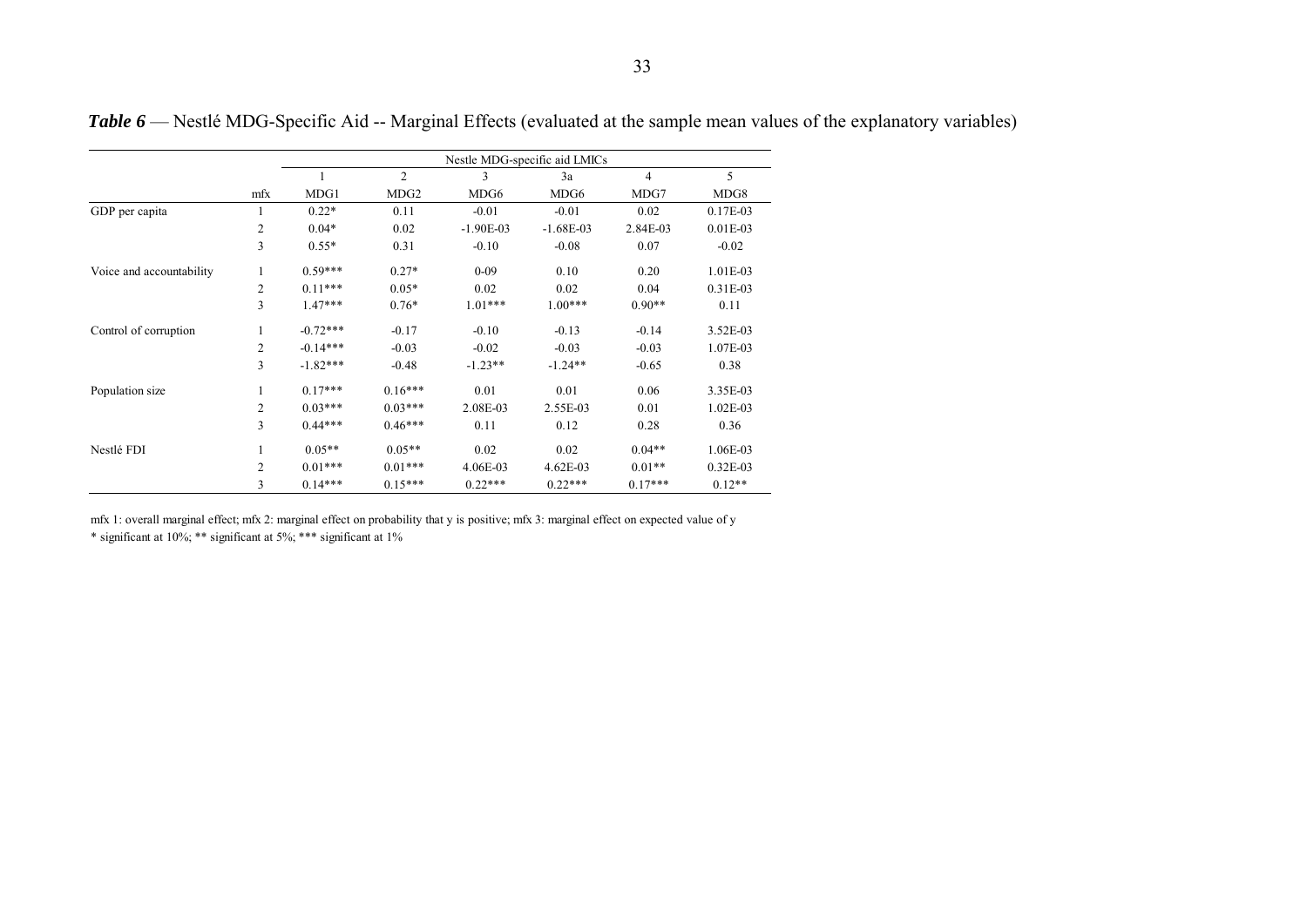|                          |                | Nestle MDG-specific aid LMICs |                  |             |             |           |            |  |  |
|--------------------------|----------------|-------------------------------|------------------|-------------|-------------|-----------|------------|--|--|
|                          |                |                               | $\overline{c}$   | 3           | 3a          | 4         | 5          |  |  |
|                          | mfx            | MDG1                          | MDG <sub>2</sub> | MDG6        | MDG6        | MDG7      | MDG8       |  |  |
| GDP per capita           | 1              | $0.22*$                       | 0.11             | $-0.01$     | $-0.01$     | 0.02      | $0.17E-03$ |  |  |
|                          | $\overline{c}$ | $0.04*$                       | 0.02             | $-1.90E-03$ | $-1.68E-03$ | 2.84E-03  | $0.01E-03$ |  |  |
|                          | 3              | $0.55*$                       | 0.31             | $-0.10$     | $-0.08$     | 0.07      | $-0.02$    |  |  |
| Voice and accountability | 1              | $0.59***$                     | $0.27*$          | $0 - 09$    | 0.10        | 0.20      | 1.01E-03   |  |  |
|                          | $\overline{2}$ | $0.11***$                     | $0.05*$          | 0.02        | 0.02        | 0.04      | 0.31E-03   |  |  |
|                          | 3              | $1.47***$                     | $0.76*$          | $1.01***$   | $1.00***$   | $0.90**$  | 0.11       |  |  |
| Control of corruption    | 1              | $-0.72***$                    | $-0.17$          | $-0.10$     | $-0.13$     | $-0.14$   | 3.52E-03   |  |  |
|                          | 2              | $-0.14***$                    | $-0.03$          | $-0.02$     | $-0.03$     | $-0.03$   | 1.07E-03   |  |  |
|                          | 3              | $-1.82***$                    | $-0.48$          | $-1.23**$   | $-1.24**$   | $-0.65$   | 0.38       |  |  |
| Population size          | 1              | $0.17***$                     | $0.16***$        | 0.01        | 0.01        | 0.06      | 3.35E-03   |  |  |
|                          | $\overline{c}$ | $0.03***$                     | $0.03***$        | 2.08E-03    | 2.55E-03    | 0.01      | 1.02E-03   |  |  |
|                          | 3              | $0.44***$                     | $0.46***$        | 0.11        | 0.12        | 0.28      | 0.36       |  |  |
| Nestlé FDI               | 1              | $0.05**$                      | $0.05**$         | 0.02        | 0.02        | $0.04**$  | 1.06E-03   |  |  |
|                          | $\overline{c}$ | $0.01***$                     | $0.01***$        | 4.06E-03    | $4.62E-03$  | $0.01**$  | $0.32E-03$ |  |  |
|                          | 3              | $0.14***$                     | $0.15***$        | $0.22***$   | $0.22***$   | $0.17***$ | $0.12**$   |  |  |

*Table 6* — Nestlé MDG-Specific Aid -- Marginal Effects (evaluated at the sample mean values of the explanatory variables)

mfx 1: overall marginal effect; mfx 2: marginal effect on probability that y is positive; mfx 3: marginal effect on expected value of y \* significant at 10%; \*\* significant at 5%; \*\*\* significant at 1%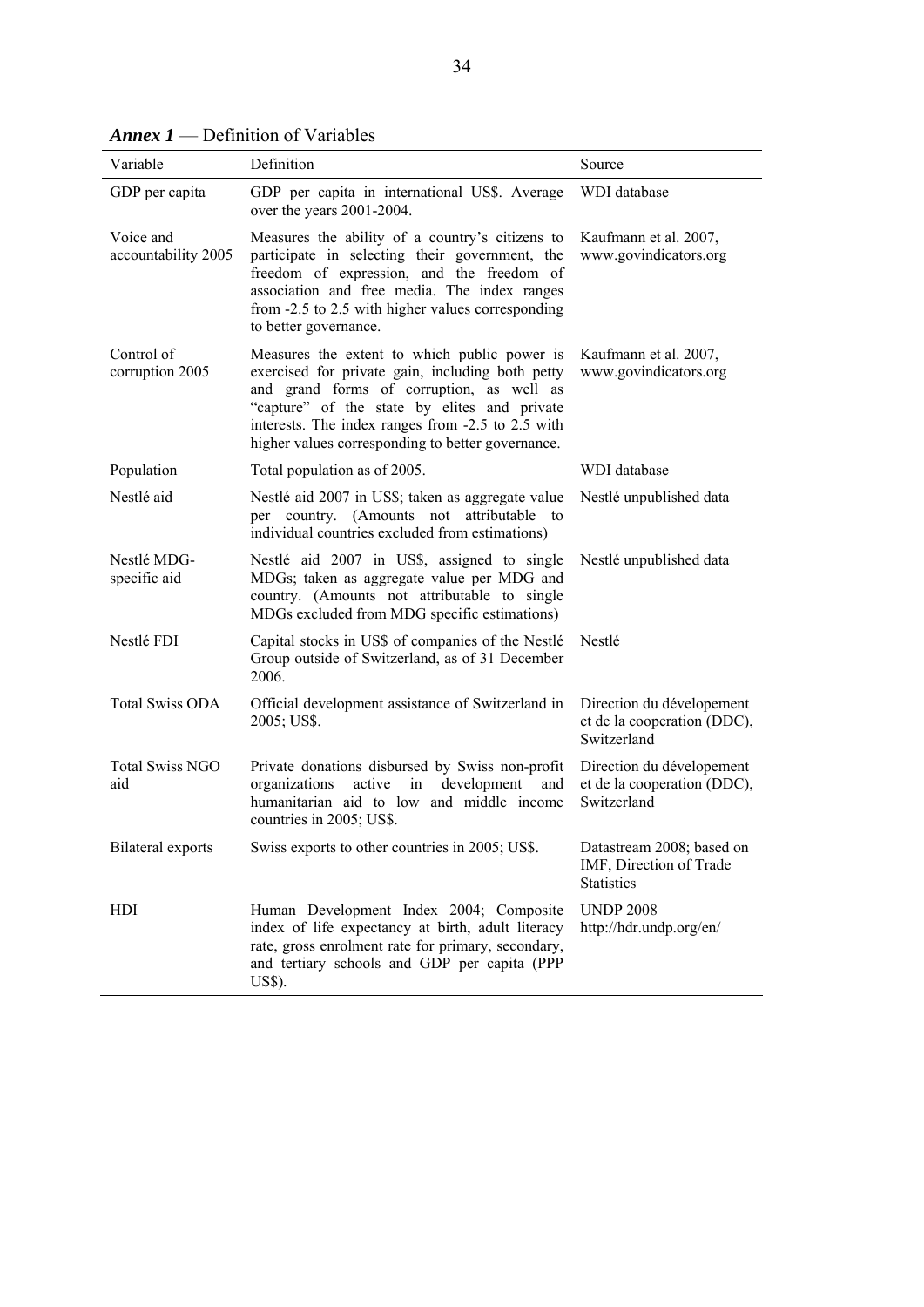| Variable                         | Definition                                                                                                                                                                                                                                                                                              | Source                                                                    |
|----------------------------------|---------------------------------------------------------------------------------------------------------------------------------------------------------------------------------------------------------------------------------------------------------------------------------------------------------|---------------------------------------------------------------------------|
| GDP per capita                   | GDP per capita in international US\$. Average<br>over the years 2001-2004.                                                                                                                                                                                                                              | <b>WDI</b> database                                                       |
| Voice and<br>accountability 2005 | Measures the ability of a country's citizens to<br>participate in selecting their government, the<br>freedom of expression, and the freedom of<br>association and free media. The index ranges<br>from -2.5 to 2.5 with higher values corresponding<br>to better governance.                            | Kaufmann et al. 2007,<br>www.govindicators.org                            |
| Control of<br>corruption 2005    | Measures the extent to which public power is<br>exercised for private gain, including both petty<br>and grand forms of corruption, as well as<br>"capture" of the state by elites and private<br>interests. The index ranges from -2.5 to 2.5 with<br>higher values corresponding to better governance. | Kaufmann et al. 2007,<br>www.govindicators.org                            |
| Population                       | Total population as of 2005.                                                                                                                                                                                                                                                                            | <b>WDI</b> database                                                       |
| Nestlé aid                       | Nestlé aid 2007 in US\$; taken as aggregate value<br>per country. (Amounts not attributable to<br>individual countries excluded from estimations)                                                                                                                                                       | Nestlé unpublished data                                                   |
| Nestlé MDG-<br>specific aid      | Nestlé aid 2007 in US\$, assigned to single<br>MDGs; taken as aggregate value per MDG and<br>country. (Amounts not attributable to single<br>MDGs excluded from MDG specific estimations)                                                                                                               | Nestlé unpublished data                                                   |
| Nestlé FDI                       | Capital stocks in US\$ of companies of the Nestlé<br>Group outside of Switzerland, as of 31 December<br>2006.                                                                                                                                                                                           | Nestlé                                                                    |
| <b>Total Swiss ODA</b>           | Official development assistance of Switzerland in<br>2005; US\$.                                                                                                                                                                                                                                        | Direction du dévelopement<br>et de la cooperation (DDC),<br>Switzerland   |
| <b>Total Swiss NGO</b><br>aid    | Private donations disbursed by Swiss non-profit<br>active<br>development<br>organizations<br>in<br>and<br>humanitarian aid to low and middle income<br>countries in 2005; US\$.                                                                                                                         | Direction du dévelopement<br>et de la cooperation (DDC),<br>Switzerland   |
| Bilateral exports                | Swiss exports to other countries in 2005; US\$.                                                                                                                                                                                                                                                         | Datastream 2008; based on<br>IMF, Direction of Trade<br><b>Statistics</b> |
| HDI                              | Human Development Index 2004; Composite<br>index of life expectancy at birth, adult literacy<br>rate, gross enrolment rate for primary, secondary,<br>and tertiary schools and GDP per capita (PPP<br>US\$).                                                                                            | <b>UNDP 2008</b><br>http://hdr.undp.org/en/                               |

*Annex 1* — Definition of Variables